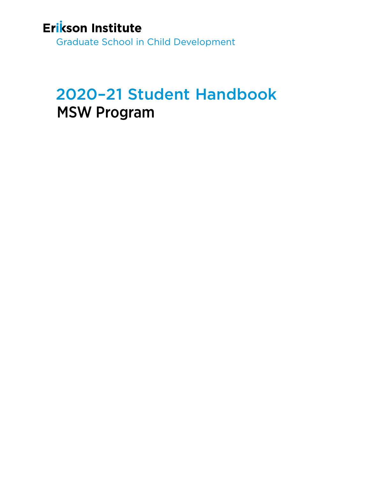# Erikson Institute

Graduate School in Child Development

# 2020–21 Student Handbook MSW Program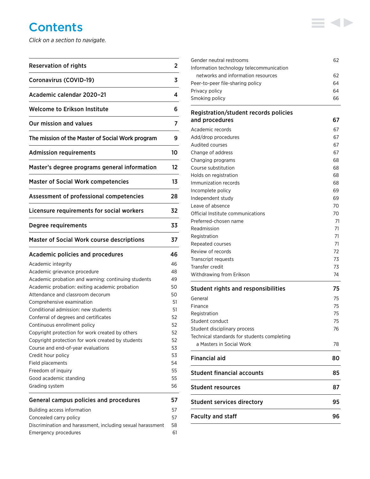# **Contents**

*Click on a section to navigate.*

| <b>Reservation of rights</b>                               | 2  |
|------------------------------------------------------------|----|
| <b>Coronavirus (COVID-19)</b>                              | 3  |
| Academic calendar 2020-21                                  | 4  |
| <b>Welcome to Erikson Institute</b>                        | 6  |
| Our mission and values                                     | 7  |
| The mission of the Master of Social Work program           | 9  |
| <b>Admission requirements</b>                              | 10 |
| Master's degree programs general information               | 12 |
| <b>Master of Social Work competencies</b>                  | 13 |
| Assessment of professional competencies                    | 28 |
| Licensure requirements for social workers                  | 32 |
| Degree requirements                                        | 33 |
| <b>Master of Social Work course descriptions</b>           | 37 |
| <b>Academic policies and procedures</b>                    | 46 |
| Academic integrity                                         | 46 |
| Academic grievance procedure                               | 48 |
| Academic probation and warning: continuing students        | 49 |
| Academic probation: exiting academic probation             | 50 |
| Attendance and classroom decorum                           | 50 |
| Comprehensive examination                                  | 51 |
| Conditional admission: new students                        | 51 |
| Conferral of degrees and certificates                      | 52 |
| Continuous enrollment policy                               | 52 |
| Copyright protection for work created by others            | 52 |
| Copyright protection for work created by students          | 52 |
| Course and end-of-year evaluations                         | 53 |
| Credit hour policy                                         | 53 |
| Field placements                                           | 54 |
| Freedom of inquiry                                         | 55 |
| Good academic standing                                     | 55 |
| Grading system                                             | 56 |
| General campus policies and procedures                     | 57 |
| Building access information                                | 57 |
| Concealed carry policy                                     | 57 |
| Discrimination and harassment, including sexual harassment | 58 |

[Emergency procedures](#page-61-0) 61

| Gender neutral restrooms                                | 62 |
|---------------------------------------------------------|----|
| Information technology telecommunication                |    |
| networks and information resources                      | 62 |
| Peer-to-peer file-sharing policy                        | 64 |
| Privacy policy                                          | 64 |
| Smoking policy                                          | 66 |
| Registration/student records policies<br>and procedures | 67 |
| Academic records                                        | 67 |
| Add/drop procedures                                     | 67 |
| Audited courses                                         | 67 |
| Change of address                                       | 67 |
| Changing programs                                       | 68 |
| Course substitution                                     | 68 |
|                                                         |    |

| <b>Financial aid</b>                        |    |
|---------------------------------------------|----|
| a Masters in Social Work                    | 78 |
| Technical standards for students completing |    |
| Student disciplinary process                | 76 |
| Student conduct                             | 75 |
| Registration                                | 75 |
| Finance                                     | 75 |
| General                                     | 75 |
| Student rights and responsibilities         | 75 |
| Withdrawing from Erikson                    | 74 |
| Transfer credit                             | 73 |
| Transcript requests                         | 73 |
| Review of records                           | 72 |
| Repeated courses                            | 71 |
| Registration                                | 71 |
| Readmission                                 | 71 |
| Preferred-chosen name                       | 71 |
| Official Institute communications           | 70 |
| Leave of absence                            | 70 |
| Independent study                           | 69 |
| Incomplete policy                           | 69 |
| Immunization records                        | 68 |
| Holds on registration                       | 68 |
| Course substitution                         | 68 |
| Changing programs                           | υo |

[Student financial accounts](#page-85-0) 85

[Student resources](#page-87-0) 87

[Student services directory](#page-95-0) **1998** 85

[Faculty and staff](#page-96-0) 96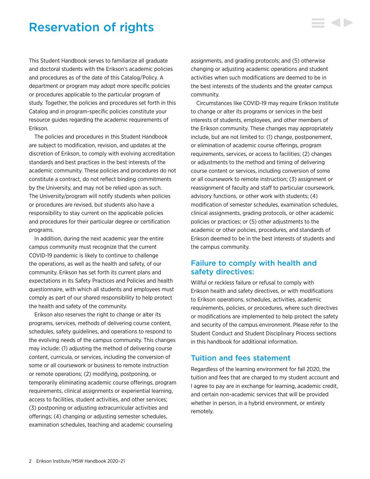# <span id="page-2-0"></span>Reservation of rights

This Student Handbook serves to familiarize all graduate and doctoral students with the Erikson's academic policies and procedures as of the date of this Catalog/Policy. A department or program may adopt more specific policies or procedures applicable to the particular program of study. Together, the policies and procedures set forth in this Catalog and in program-specific policies constitute your resource guides regarding the academic requirements of Erikson.

The policies and procedures in this Student Handbook are subject to modification, revision, and updates at the discretion of Erikson, to comply with evolving accreditation standards and best practices in the best interests of the academic community. These policies and procedures do not constitute a contract, do not reflect binding commitments by the University, and may not be relied upon as such. The University/program will notify students when policies or procedures are revised, but students also have a responsibility to stay current on the applicable policies and procedures for their particular degree or certification programs.

In addition, during the next academic year the entire campus community must recognize that the current COVID-19 pandemic is likely to continue to challenge the operations, as well as the health and safety, of our community. Erikson has set forth its current plans and expectations in its Safety Practices and Policies and health questionnaire, with which all students and employees must comply as part of our shared responsibility to help protect the health and safety of the community.

Erikson also reserves the right to change or alter its programs, services, methods of delivering course content, schedules, safety guidelines, and operations to respond to the evolving needs of the campus community. This changes may include: (1) adjusting the method of delivering course content, curricula, or services, including the conversion of some or all coursework or business to remote instruction or remote operations; (2) modifying, postponing, or temporarily eliminating academic course offerings, program requirements, clinical assignments or experiential learning, access to facilities, student activities, and other services; (3) postponing or adjusting extracurricular activities and offerings; (4) changing or adjusting semester schedules, examination schedules, teaching and academic counseling

assignments, and grading protocols; and (5) otherwise changing or adjusting academic operations and student activities when such modifications are deemed to be in the best interests of the students and the greater campus community.

Circumstances like COVID-19 may require Erikson Institute to change or alter its programs or services in the best interests of students, employees, and other members of the Erikson community. These changes may appropriately include, but are not limited to: (1) change, postponement, or elimination of academic course offerings, program requirements, services, or access to facilities; (2) changes or adjustments to the method and timing of delivering course content or services, including conversion of some or all coursework to remote instruction; (3) assignment or reassignment of faculty and staff to particular coursework, advisory functions, or other work with students; (4) modification of semester schedules, examination schedules, clinical assignments, grading protocols, or other academic policies or practices; or (5) other adjustments to the academic or other policies, procedures, and standards of Erikson deemed to be in the best interests of students and the campus community.

# Failure to comply with health and safety directives:

Willful or reckless failure or refusal to comply with Erikson health and safety directives, or with modifications to Erikson operations, schedules, activities, academic requirements, policies, or procedures, where such directives or modifications are implemented to help protect the safety and security of the campus environment. Please refer to the Student Conduct and Student Disciplinary Process sections in this handbook for additional information.

# Tuition and fees statement

Regardless of the learning environment for fall 2020, the tuition and fees that are charged to my student account and I agree to pay are in exchange for learning, academic credit, and certain non-academic services that will be provided whether in person, in a hybrid environment, or entirely remotely.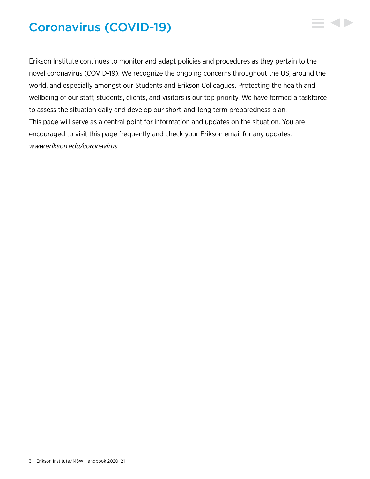# <span id="page-3-0"></span>Coronavirus (COVID-19)

Erikson Institute continues to monitor and adapt policies and procedures as they pertain to the novel coronavirus (COVID-19). We recognize the ongoing concerns throughout the US, around the world, and especially amongst our Students and Erikson Colleagues. Protecting the health and wellbeing of our staff, students, clients, and visitors is our top priority. We have formed a taskforce to assess the situation daily and develop our short-and-long term preparedness plan. This page will serve as a central point for information and updates on the situation. You are encouraged to visit this page frequently and check your Erikson email for any updates. *[www.erikson.edu/coronavirus](https://www.erikson.edu/coronavirus/)*

**KID**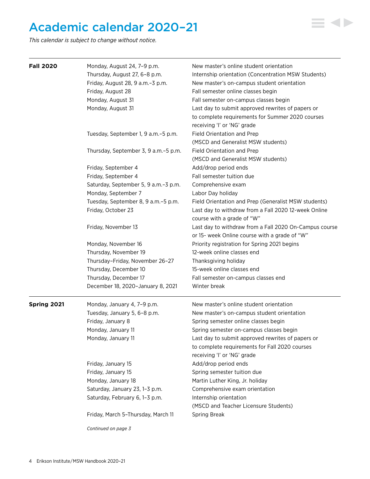# <span id="page-4-0"></span>Academic calendar 2020–21

*This calendar is subject to change without notice.*

| <b>Fall 2020</b> | Monday, August 24, 7-9 p.m.           | New master's online student orientation                |
|------------------|---------------------------------------|--------------------------------------------------------|
|                  | Thursday, August 27, 6-8 p.m.         | Internship orientation (Concentration MSW Students)    |
|                  | Friday, August 28, 9 a.m.-3 p.m.      | New master's on-campus student orientation             |
|                  | Friday, August 28                     | Fall semester online classes begin                     |
|                  | Monday, August 31                     | Fall semester on-campus classes begin                  |
|                  | Monday, August 31                     | Last day to submit approved rewrites of papers or      |
|                  |                                       | to complete requirements for Summer 2020 courses       |
|                  |                                       | receiving 'I' or 'NG' grade                            |
|                  | Tuesday, September 1, 9 a.m. - 5 p.m. | Field Orientation and Prep                             |
|                  |                                       | (MSCD and Generalist MSW students)                     |
|                  | Thursday, September 3, 9 a.m.-5 p.m.  | Field Orientation and Prep                             |
|                  |                                       | (MSCD and Generalist MSW students)                     |
|                  | Friday, September 4                   | Add/drop period ends                                   |
|                  | Friday, September 4                   | Fall semester tuition due                              |
|                  | Saturday, September 5, 9 a.m.-3 p.m.  | Comprehensive exam                                     |
|                  | Monday, September 7                   | Labor Day holiday                                      |
|                  | Tuesday, September 8, 9 a.m.-5 p.m.   | Field Orientation and Prep (Generalist MSW students)   |
|                  | Friday, October 23                    | Last day to withdraw from a Fall 2020 12-week Online   |
|                  |                                       | course with a grade of "W"                             |
|                  | Friday, November 13                   | Last day to withdraw from a Fall 2020 On-Campus course |
|                  |                                       | or 15- week Online course with a grade of "W"          |
|                  | Monday, November 16                   | Priority registration for Spring 2021 begins           |
|                  | Thursday, November 19                 | 12-week online classes end                             |
|                  | Thursday-Friday, November 26-27       | Thanksgiving holiday                                   |
|                  | Thursday, December 10                 | 15-week online classes end                             |
|                  | Thursday, December 17                 | Fall semester on-campus classes end                    |
|                  | December 18, 2020-January 8, 2021     | Winter break                                           |
| Spring 2021      | Monday, January 4, 7-9 p.m.           | New master's online student orientation                |
|                  | Tuesday, January 5, 6-8 p.m.          | New master's on-campus student orientation             |
|                  | Friday, January 8                     | Spring semester online classes begin                   |
|                  | Monday, January 11                    | Spring semester on-campus classes begin                |
|                  | Monday, January 11                    | Last day to submit approved rewrites of papers or      |
|                  |                                       | to complete requirements for Fall 2020 courses         |
|                  |                                       | receiving 'I' or 'NG' grade                            |
|                  | Friday, January 15                    | Add/drop period ends                                   |
|                  | Friday, January 15                    | Spring semester tuition due                            |
|                  | Monday, January 18                    | Martin Luther King, Jr. holiday                        |
|                  | Saturday, January 23, 1-3 p.m.        | Comprehensive exam orientation                         |
|                  | Saturday, February 6, 1-3 p.m.        | Internship orientation                                 |
|                  |                                       | (MSCD and Teacher Licensure Students)                  |
|                  | Friday, March 5-Thursday, March 11    | Spring Break                                           |
|                  | Continued on page 3                   |                                                        |

 $\equiv$  4>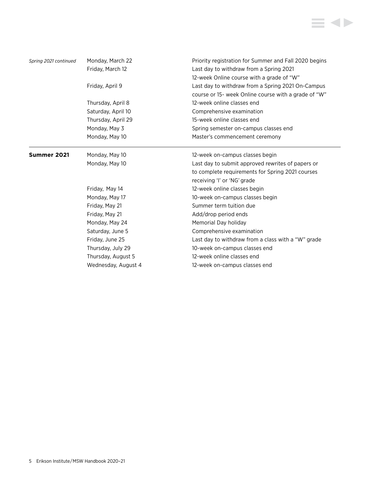

| Spring 2021 continued | Monday, March 22<br>Friday, March 12 | Priority registration for Summer and Fall 2020 begins<br>Last day to withdraw from a Spring 2021<br>12-week Online course with a grade of "W" |
|-----------------------|--------------------------------------|-----------------------------------------------------------------------------------------------------------------------------------------------|
|                       | Friday, April 9                      | Last day to withdraw from a Spring 2021 On-Campus<br>course or 15- week Online course with a grade of "W"                                     |
|                       | Thursday, April 8                    | 12-week online classes end                                                                                                                    |
|                       | Saturday, April 10                   | Comprehensive examination                                                                                                                     |
|                       | Thursday, April 29                   | 15-week online classes end                                                                                                                    |
|                       | Monday, May 3                        | Spring semester on-campus classes end                                                                                                         |
|                       | Monday, May 10                       | Master's commencement ceremony                                                                                                                |
| Summer 2021           | Monday, May 10                       | 12-week on-campus classes begin                                                                                                               |
|                       | Monday, May 10                       | Last day to submit approved rewrites of papers or                                                                                             |
|                       |                                      | to complete requirements for Spring 2021 courses                                                                                              |
|                       |                                      | receiving 'I' or 'NG' grade                                                                                                                   |
|                       | Friday, May 14                       | 12-week online classes begin                                                                                                                  |
|                       | Monday, May 17                       | 10-week on-campus classes begin                                                                                                               |
|                       | Friday, May 21                       | Summer term tuition due                                                                                                                       |
|                       | Friday, May 21                       | Add/drop period ends                                                                                                                          |
|                       | Monday, May 24                       | Memorial Day holiday                                                                                                                          |
|                       | Saturday, June 5                     | Comprehensive examination                                                                                                                     |
|                       | Friday, June 25                      | Last day to withdraw from a class with a "W" grade                                                                                            |
|                       | Thursday, July 29                    | 10-week on-campus classes end                                                                                                                 |
|                       | Thursday, August 5                   | 12-week online classes end                                                                                                                    |
|                       | Wednesday, August 4                  | 12-week on-campus classes end                                                                                                                 |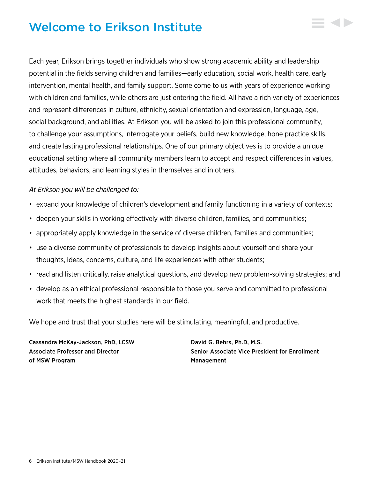# <span id="page-6-0"></span>Welcome to Erikson Institute

Each year, Erikson brings together individuals who show strong academic ability and leadership potential in the fields serving children and families—early education, social work, health care, early intervention, mental health, and family support. Some come to us with years of experience working with children and families, while others are just entering the field. All have a rich variety of experiences and represent differences in culture, ethnicity, sexual orientation and expression, language, age, social background, and abilities. At Erikson you will be asked to join this professional community, to challenge your assumptions, interrogate your beliefs, build new knowledge, hone practice skills, and create lasting professional relationships. One of our primary objectives is to provide a unique educational setting where all community members learn to accept and respect differences in values, attitudes, behaviors, and learning styles in themselves and in others.

# *At Erikson you will be challenged to:*

- expand your knowledge of children's development and family functioning in a variety of contexts;
- deepen your skills in working effectively with diverse children, families, and communities;
- appropriately apply knowledge in the service of diverse children, families and communities;
- use a diverse community of professionals to develop insights about yourself and share your thoughts, ideas, concerns, culture, and life experiences with other students;
- read and listen critically, raise analytical questions, and develop new problem-solving strategies; and
- develop as an ethical professional responsible to those you serve and committed to professional work that meets the highest standards in our field.

We hope and trust that your studies here will be stimulating, meaningful, and productive.

Cassandra McKay-Jackson, PhD, LCSW David G. Behrs, Ph.D, M.S. of MSW Program and the Management of Management

Associate Professor and Director Senior Senior Associate Vice President for Enrollment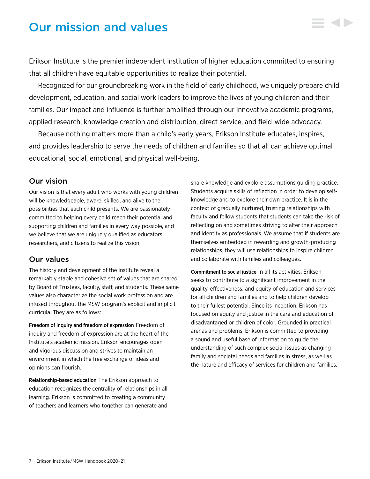# <span id="page-7-0"></span>Our mission and values

Erikson Institute is the premier independent institution of higher education committed to ensuring that all children have equitable opportunities to realize their potential.

Recognized for our groundbreaking work in the field of early childhood, we uniquely prepare child development, education, and social work leaders to improve the lives of young children and their families. Our impact and influence is further amplified through our innovative academic programs, applied research, knowledge creation and distribution, direct service, and field-wide advocacy.

Because nothing matters more than a child's early years, Erikson Institute educates, inspires, and provides leadership to serve the needs of children and families so that all can achieve optimal educational, social, emotional, and physical well-being.

# Our vision

Our vision is that every adult who works with young children will be knowledgeable, aware, skilled, and alive to the possibilities that each child presents. We are passionately committed to helping every child reach their potential and supporting children and families in every way possible, and we believe that we are uniquely qualified as educators, researchers, and citizens to realize this vision.

# Our values

The history and development of the Institute reveal a remarkably stable and cohesive set of values that are shared by Board of Trustees, faculty, staff, and students. These same values also characterize the social work profession and are infused throughout the MSW program's explicit and implicit curricula. They are as follows:

Freedom of inquiry and freedom of expression Freedom of inquiry and freedom of expression are at the heart of the Institute's academic mission. Erikson encourages open and vigorous discussion and strives to maintain an environment in which the free exchange of ideas and opinions can flourish.

Relationship-based education The Erikson approach to education recognizes the centrality of relationships in all learning. Erikson is committed to creating a community of teachers and learners who together can generate and

share knowledge and explore assumptions guiding practice. Students acquire skills of reflection in order to develop selfknowledge and to explore their own practice. It is in the context of gradually nurtured, trusting relationships with faculty and fellow students that students can take the risk of reflecting on and sometimes striving to alter their approach and identity as professionals. We assume that if students are themselves embedded in rewarding and growth-producing relationships, they will use relationships to inspire children and collaborate with families and colleagues.

Commitment to social justice In all its activities, Erikson seeks to contribute to a significant improvement in the quality, effectiveness, and equity of education and services for all children and families and to help children develop to their fullest potential. Since its inception, Erikson has focused on equity and justice in the care and education of disadvantaged or children of color. Grounded in practical arenas and problems, Erikson is committed to providing a sound and useful base of information to guide the understanding of such complex social issues as changing family and societal needs and families in stress, as well as the nature and efficacy of services for children and families.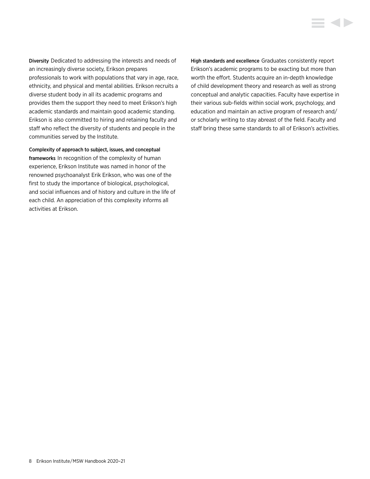Diversity Dedicated to addressing the interests and needs of an increasingly diverse society, Erikson prepares professionals to work with populations that vary in age, race, ethnicity, and physical and mental abilities. Erikson recruits a diverse student body in all its academic programs and provides them the support they need to meet Erikson's high academic standards and maintain good academic standing. Erikson is also committed to hiring and retaining faculty and staff who reflect the diversity of students and people in the communities served by the Institute.

Complexity of approach to subject, issues, and conceptual frameworks In recognition of the complexity of human experience, Erikson Institute was named in honor of the renowned psychoanalyst Erik Erikson, who was one of the first to study the importance of biological, psychological, and social influences and of history and culture in the life of each child. An appreciation of this complexity informs all activities at Erikson.

High standards and excellence Graduates consistently report Erikson's academic programs to be exacting but more than worth the effort. Students acquire an in-depth knowledge of child development theory and research as well as strong conceptual and analytic capacities. Faculty have expertise in their various sub-fields within social work, psychology, and education and maintain an active program of research and/ or scholarly writing to stay abreast of the field. Faculty and staff bring these same standards to all of Erikson's activities.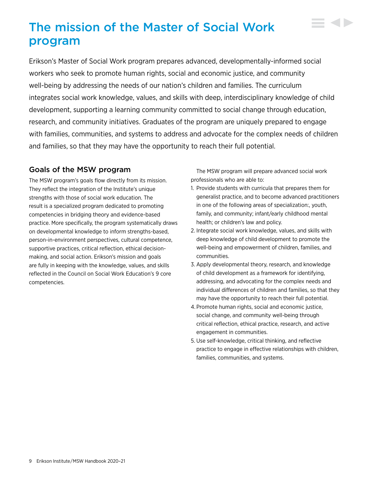# <span id="page-9-0"></span>The mission of the Master of Social Work program

Erikson's Master of Social Work program prepares advanced, developmentally-informed social workers who seek to promote human rights, social and economic justice, and community well-being by addressing the needs of our nation's children and families. The curriculum integrates social work knowledge, values, and skills with deep, interdisciplinary knowledge of child development, supporting a learning community committed to social change through education, research, and community initiatives. Graduates of the program are uniquely prepared to engage with families, communities, and systems to address and advocate for the complex needs of children and families, so that they may have the opportunity to reach their full potential.

# Goals of the MSW program

The MSW program's goals flow directly from its mission. They reflect the integration of the Institute's unique strengths with those of social work education. The result is a specialized program dedicated to promoting competencies in bridging theory and evidence-based practice. More specifically, the program systematically draws on developmental knowledge to inform strengths-based, person-in-environment perspectives, cultural competence, supportive practices, critical reflection, ethical decisionmaking, and social action. Erikson's mission and goals are fully in keeping with the knowledge, values, and skills reflected in the Council on Social Work Education's 9 core competencies.

The MSW program will prepare advanced social work professionals who are able to:

- 1. Provide students with curricula that prepares them for generalist practice, and to become advanced practitioners in one of the following areas of specialization:, youth, family, and community; infant/early childhood mental health; or children's law and policy.
- 2. Integrate social work knowledge, values, and skills with deep knowledge of child development to promote the well-being and empowerment of children, families, and communities.
- 3. Apply developmental theory, research, and knowledge of child development as a framework for identifying, addressing, and advocating for the complex needs and individual differences of children and families, so that they may have the opportunity to reach their full potential.
- 4. Promote human rights, social and economic justice, social change, and community well-being through critical reflection, ethical practice, research, and active engagement in communities.
- 5. Use self-knowledge, critical thinking, and reflective practice to engage in effective relationships with children, families, communities, and systems.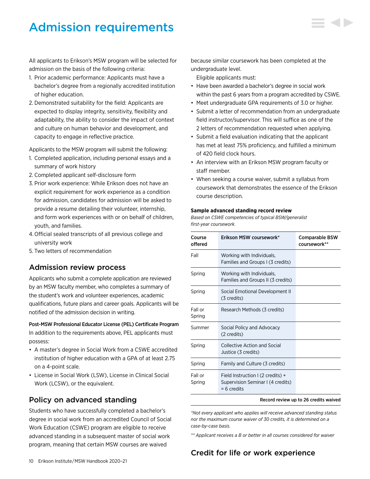# <span id="page-10-0"></span>Admission requirements

All applicants to Erikson's MSW program will be selected for admission on the basis of the following criteria:

- 1. Prior academic performance: Applicants must have a bachelor's degree from a regionally accredited institution of higher education.
- 2. Demonstrated suitability for the field: Applicants are expected to display integrity, sensitivity, flexibility and adaptability, the ability to consider the impact of context and culture on human behavior and development, and capacity to engage in reflective practice.

Applicants to the MSW program will submit the following:

- 1. Completed application, including personal essays and a summary of work history
- 2. Completed applicant self-disclosure form
- 3. Prior work experience: While Erikson does not have an explicit requirement for work experience as a condition for admission, candidates for admission will be asked to provide a resume detailing their volunteer, internship, and form work experiences with or on behalf of children, youth, and families.
- 4. Official sealed transcripts of all previous college and university work
- 5. Two letters of recommendation

# Admission review process

Applicants who submit a complete application are reviewed by an MSW faculty member, who completes a summary of the student's work and volunteer experiences, academic qualifications, future plans and career goals. Applicants will be notified of the admission decision in writing.

#### Post-MSW Professional Educator License (PEL) Certificate Program

In addition to the requirements above, PEL applicants must possess:

- A master's degree in Social Work from a CSWE accredited institution of higher education with a GPA of at least 2.75 on a 4-point scale.
- License in Social Work (LSW), License in Clinical Social Work (LCSW), or the equivalent.

# Policy on advanced standing

Students who have successfully completed a bachelor's degree in social work from an accredited Council of Social Work Education (CSWE) program are eligible to receive advanced standing in a subsequent master of social work program, meaning that certain MSW courses are waived

because similar coursework has been completed at the undergraduate level.

Eligible applicants must:

- Have been awarded a bachelor's degree in social work within the past 6 years from a program accredited by CSWE.
- Meet undergraduate GPA requirements of 3.0 or higher.
- Submit a letter of recommendation from an undergraduate field instructor/supervisor. This will suffice as one of the 2 letters of recommendation requested when applying.
- Submit a field evaluation indicating that the applicant has met at least 75% proficiency, and fulfilled a minimum of 420 field clock hours.
- An interview with an Erikson MSW program faculty or staff member.
- When seeking a course waiver, submit a syllabus from coursework that demonstrates the essence of the Erikson course description.

#### **Sample advanced standing record review**

*Based on CSWE competencies of typical BSW/generalist first-year coursework.*

| Working with Individuals,<br>Families and Groups I (3 credits)<br>Working with Individuals,<br>Families and Groups II (3 credits) |                                   |
|-----------------------------------------------------------------------------------------------------------------------------------|-----------------------------------|
|                                                                                                                                   |                                   |
|                                                                                                                                   |                                   |
| Social Emotional Development II<br>(3 credits)                                                                                    |                                   |
| Research Methods (3 credits)                                                                                                      |                                   |
| Social Policy and Advocacy<br>(2 credits)                                                                                         |                                   |
| <b>Collective Action and Social</b><br>Justice (3 credits)                                                                        |                                   |
| Family and Culture (3 credits)                                                                                                    |                                   |
| Field Instruction I (2 credits) +<br>Supervision Seminar I (4 credits)<br>$= 6$ credits                                           |                                   |
|                                                                                                                                   | Bessel usukan me ta 90 susalita m |

#### Record review up to 26 credits waived

*\*Not every applicant who applies will receive advanced standing status nor the maximum course waiver of 30 credits, it is determined on a case-by-case basis.*

*\*\* Applicant receives a B or better in all courses considered for waiver*

# Credit for life or work experience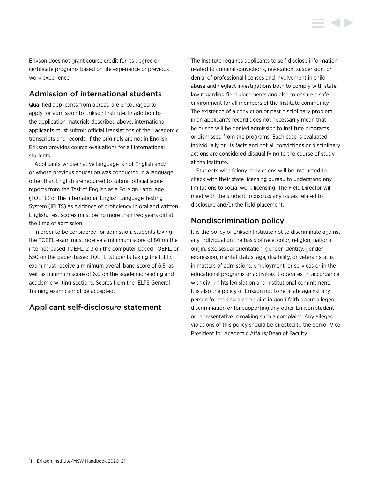Erikson does not grant course credit for its degree or certificate programs based on life experience or previous work experience.

# Admission of international students

Qualified applicants from abroad are encouraged to apply for admission to Erikson Institute. In addition to the application materials described above, international applicants must submit official translations of their academic transcripts and records, if the originals are not in English. Erikson provides course evaluations for all international students.

Applicants whose native language is not English and/ or whose previous education was conducted in a language other than English are required to submit official score reports from the Test of English as a Foreign Language (TOEFL) or the International English Language Testing System (IELTS) as evidence of proficiency in oral and written English. Test scores must be no more than two years old at the time of admission.

In order to be considered for admission, students taking the TOEFL exam must receive a minimum score of 80 on the internet-based TOEFL, 213 on the computer-based TOEFL, or 550 on the paper-based TOEFL. Students taking the IELTS exam must receive a minimum overall band score of 6.5, as well as minimum score of 6.0 on the academic reading and academic writing sections. Scores from the IELTS General Training exam cannot be accepted.

# Applicant self-disclosure statement

The Institute requires applicants to self disclose information related to criminal convictions, revocation, suspension, or denial of professional licenses and involvement in child abuse and neglect investigations both to comply with state law regarding field placements and also to ensure a safe environment for all members of the Institute community. The existence of a conviction or past disciplinary problem in an applicant's record does not necessarily mean that he or she will be denied admission to Institute programs or dismissed from the programs. Each case is evaluated individually on its facts and not all convictions or disciplinary actions are considered disqualifying to the course of study at the Institute.

Students with felony convictions will be instructed to check with their state licensing bureau to understand any limitations to social work licensing. The Field Director will meet with the student to discuss any issues related to disclosure and/or the field placement.

# Nondiscrimination policy

It is the policy of Erikson Institute not to discriminate against any individual on the basis of race, color, religion, national origin, sex, sexual orientation, gender identity, gender expression, marital status, age, disability, or veteran status in matters of admissions, employment, or services or in the educational programs or activities it operates, in accordance with civil rights legislation and institutional commitment. It is also the policy of Erikson not to retaliate against any person for making a complaint in good faith about alleged discrimination or for supporting any other Erikson student or representative in making such a complaint. Any alleged violations of this policy should be directed to the Senior Vice President for Academic Affairs/Dean of Faculty.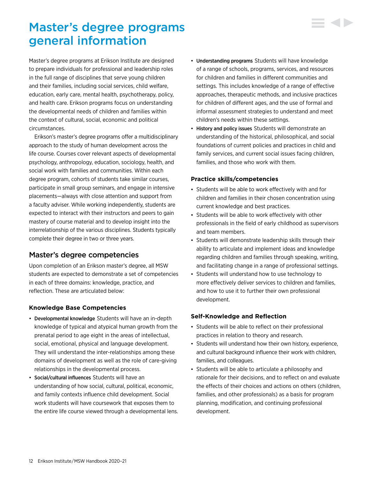# <span id="page-12-0"></span>Master's degree programs general information

Master's degree programs at Erikson Institute are designed to prepare individuals for professional and leadership roles in the full range of disciplines that serve young children and their families, including social services, child welfare, education, early care, mental health, psychotherapy, policy, and health care. Erikson programs focus on understanding the developmental needs of children and families within the context of cultural, social, economic and political circumstances.

Erikson's master's degree programs offer a multidisciplinary approach to the study of human development across the life course. Courses cover relevant aspects of developmental psychology, anthropology, education, sociology, health, and social work with families and communities. Within each degree program, cohorts of students take similar courses, participate in small group seminars, and engage in intensive placements—always with close attention and support from a faculty adviser. While working independently, students are expected to interact with their instructors and peers to gain mastery of course material and to develop insight into the interrelationship of the various disciplines. Students typically complete their degree in two or three years.

# Master's degree competencies

Upon completion of an Erikson master's degree, all MSW students are expected to demonstrate a set of competencies in each of three domains: knowledge, practice, and reflection. These are articulated below:

# **Knowledge Base Competencies**

- Developmental knowledge Students will have an in-depth knowledge of typical and atypical human growth from the prenatal period to age eight in the areas of intellectual, social, emotional, physical and language development. They will understand the inter-relationships among these domains of development as well as the role of care-giving relationships in the developmental process.
- Social/cultural influences Students will have an understanding of how social, cultural, political, economic, and family contexts influence child development. Social work students will have coursework that exposes them to the entire life course viewed through a developmental lens.
- Understanding programs Students will have knowledge of a range of schools, programs, services, and resources for children and families in different communities and settings. This includes knowledge of a range of effective approaches, therapeutic methods, and inclusive practices for children of different ages, and the use of formal and informal assessment strategies to understand and meet children's needs within these settings.
- History and policy issues Students will demonstrate an understanding of the historical, philosophical, and social foundations of current policies and practices in child and family services, and current social issues facing children, families, and those who work with them.

## **Practice skills/competencies**

- Students will be able to work effectively with and for children and families in their chosen concentration using current knowledge and best practices.
- Students will be able to work effectively with other professionals in the field of early childhood as supervisors and team members.
- Students will demonstrate leadership skills through their ability to articulate and implement ideas and knowledge regarding children and families through speaking, writing, and facilitating change in a range of professional settings.
- Students will understand how to use technology to more effectively deliver services to children and families, and how to use it to further their own professional development.

## **Self-Knowledge and Reflection**

- Students will be able to reflect on their professional practices in relation to theory and research.
- Students will understand how their own history, experience, and cultural background influence their work with children, families, and colleagues.
- Students will be able to articulate a philosophy and rationale for their decisions, and to reflect on and evaluate the effects of their choices and actions on others (children, families, and other professionals) as a basis for program planning, modification, and continuing professional development.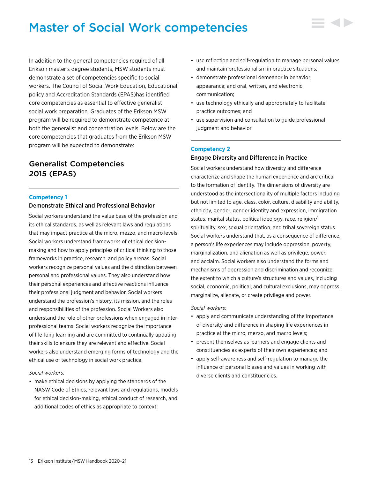# <span id="page-13-0"></span>Master of Social Work competencies



In addition to the general competencies required of all Erikson master's degree students, MSW students must demonstrate a set of competencies specific to social workers. The Council of Social Work Education, Educational policy and Accreditation Standards (EPAS)has identified core competencies as essential to effective generalist social work preparation. Graduates of the Erikson MSW program will be required to demonstrate competence at both the generalist and concentration levels. Below are the core competencies that graduates from the Erikson MSW program will be expected to demonstrate:

# Generalist Competencies 2015 (EPAS)

### **Competency 1**

#### Demonstrate Ethical and Professional Behavior

Social workers understand the value base of the profession and its ethical standards, as well as relevant laws and regulations that may impact practice at the micro, mezzo, and macro levels. Social workers understand frameworks of ethical decisionmaking and how to apply principles of critical thinking to those frameworks in practice, research, and policy arenas. Social workers recognize personal values and the distinction between personal and professional values. They also understand how their personal experiences and affective reactions influence their professional judgment and behavior. Social workers understand the profession's history, its mission, and the roles and responsibilities of the profession. Social Workers also understand the role of other professions when engaged in interprofessional teams. Social workers recognize the importance of life-long learning and are committed to continually updating their skills to ensure they are relevant and effective. Social workers also understand emerging forms of technology and the ethical use of technology in social work practice.

#### *Social workers:*

• make ethical decisions by applying the standards of the NASW Code of Ethics, relevant laws and regulations, models for ethical decision-making, ethical conduct of research, and additional codes of ethics as appropriate to context;

- use reflection and self-regulation to manage personal values and maintain professionalism in practice situations;
- demonstrate professional demeanor in behavior; appearance; and oral, written, and electronic communication;
- use technology ethically and appropriately to facilitate practice outcomes; and
- use supervision and consultation to guide professional judgment and behavior.

#### **Competency 2**

#### Engage Diversity and Difference in Practice

Social workers understand how diversity and difference characterize and shape the human experience and are critical to the formation of identity. The dimensions of diversity are understood as the intersectionality of multiple factors including but not limited to age, class, color, culture, disability and ability, ethnicity, gender, gender identity and expression, immigration status, marital status, political ideology, race, religion/ spirituality, sex, sexual orientation, and tribal sovereign status. Social workers understand that, as a consequence of difference, a person's life experiences may include oppression, poverty, marginalization, and alienation as well as privilege, power, and acclaim. Social workers also understand the forms and mechanisms of oppression and discrimination and recognize the extent to which a culture's structures and values, including social, economic, political, and cultural exclusions, may oppress, marginalize, alienate, or create privilege and power.

*Social workers:*

- apply and communicate understanding of the importance of diversity and difference in shaping life experiences in practice at the micro, mezzo, and macro levels;
- present themselves as learners and engage clients and constituencies as experts of their own experiences; and
- apply self-awareness and self-regulation to manage the influence of personal biases and values in working with diverse clients and constituencies.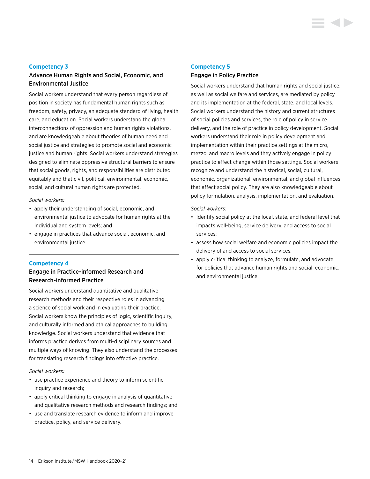## Advance Human Rights and Social, Economic, and Environmental Justice

Social workers understand that every person regardless of position in society has fundamental human rights such as freedom, safety, privacy, an adequate standard of living, health care, and education. Social workers understand the global interconnections of oppression and human rights violations, and are knowledgeable about theories of human need and social justice and strategies to promote social and economic justice and human rights. Social workers understand strategies designed to eliminate oppressive structural barriers to ensure that social goods, rights, and responsibilities are distributed equitably and that civil, political, environmental, economic, social, and cultural human rights are protected.

*Social workers:*

- apply their understanding of social, economic, and environmental justice to advocate for human rights at the individual and system levels; and
- engage in practices that advance social, economic, and environmental justice.

### **Competency 4**

# Engage in Practice-informed Research and Research-informed Practice

Social workers understand quantitative and qualitative research methods and their respective roles in advancing a science of social work and in evaluating their practice. Social workers know the principles of logic, scientific inquiry, and culturally informed and ethical approaches to building knowledge. Social workers understand that evidence that informs practice derives from multi-disciplinary sources and multiple ways of knowing. They also understand the processes for translating research findings into effective practice.

#### *Social workers:*

- use practice experience and theory to inform scientific inquiry and research;
- apply critical thinking to engage in analysis of quantitative and qualitative research methods and research findings; and
- use and translate research evidence to inform and improve practice, policy, and service delivery.

## **Competency 5**

#### Engage in Policy Practice

Social workers understand that human rights and social justice, as well as social welfare and services, are mediated by policy and its implementation at the federal, state, and local levels. Social workers understand the history and current structures of social policies and services, the role of policy in service delivery, and the role of practice in policy development. Social workers understand their role in policy development and implementation within their practice settings at the micro, mezzo, and macro levels and they actively engage in policy practice to effect change within those settings. Social workers recognize and understand the historical, social, cultural, economic, organizational, environmental, and global influences that affect social policy. They are also knowledgeable about policy formulation, analysis, implementation, and evaluation.

*Social workers:* 

- Identify social policy at the local, state, and federal level that impacts well-being, service delivery, and access to social services;
- assess how social welfare and economic policies impact the delivery of and access to social services;
- apply critical thinking to analyze, formulate, and advocate for policies that advance human rights and social, economic, and environmental justice.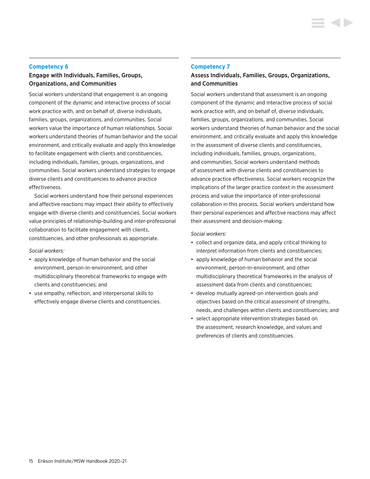## Engage with Individuals, Families, Groups, Organizations, and Communities

Social workers understand that engagement is an ongoing component of the dynamic and interactive process of social work practice with, and on behalf of, diverse individuals, families, groups, organizations, and communities. Social workers value the importance of human relationships. Social workers understand theories of human behavior and the social environment, and critically evaluate and apply this knowledge to facilitate engagement with clients and constituencies, including individuals, families, groups, organizations, and communities. Social workers understand strategies to engage diverse clients and constituencies to advance practice effectiveness.

Social workers understand how their personal experiences and affective reactions may impact their ability to effectively engage with diverse clients and constituencies. Social workers value principles of relationship-building and inter-professional collaboration to facilitate engagement with clients, constituencies, and other professionals as appropriate.

#### *Social workers:*

- apply knowledge of human behavior and the social environment, person-in-environment, and other multidisciplinary theoretical frameworks to engage with clients and constituencies; and
- use empathy, reflection, and interpersonal skills to effectively engage diverse clients and constituencies.

### **Competency 7**

# Assess Individuals, Families, Groups, Organizations, and Communities

Social workers understand that assessment is an ongoing component of the dynamic and interactive process of social work practice with, and on behalf of, diverse individuals, families, groups, organizations, and communities. Social workers understand theories of human behavior and the social environment, and critically evaluate and apply this knowledge in the assessment of diverse clients and constituencies, including individuals, families, groups, organizations, and communities. Social workers understand methods of assessment with diverse clients and constituencies to advance practice effectiveness. Social workers recognize the implications of the larger practice context in the assessment process and value the importance of inter-professional collaboration in this process. Social workers understand how their personal experiences and affective reactions may affect their assessment and decision-making.

#### *Social workers:*

- collect and organize data, and apply critical thinking to interpret information from clients and constituencies;
- apply knowledge of human behavior and the social environment, person-in-environment, and other multidisciplinary theoretical frameworks in the analysis of assessment data from clients and constituencies;
- develop mutually agreed-on intervention goals and objectives based on the critical assessment of strengths, needs, and challenges within clients and constituencies; and
- select appropriate intervention strategies based on the assessment, research knowledge, and values and preferences of clients and constituencies.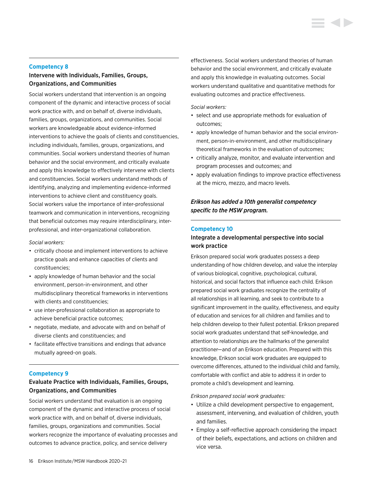## Intervene with Individuals, Families, Groups, Organizations, and Communities

Social workers understand that intervention is an ongoing component of the dynamic and interactive process of social work practice with, and on behalf of, diverse individuals, families, groups, organizations, and communities. Social workers are knowledgeable about evidence-informed interventions to achieve the goals of clients and constituencies, including individuals, families, groups, organizations, and communities. Social workers understand theories of human behavior and the social environment, and critically evaluate and apply this knowledge to effectively intervene with clients and constituencies. Social workers understand methods of identifying, analyzing and implementing evidence-informed interventions to achieve client and constituency goals. Social workers value the importance of inter-professional teamwork and communication in interventions, recognizing that beneficial outcomes may require interdisciplinary, interprofessional, and inter-organizational collaboration.

#### *Social workers:*

- critically choose and implement interventions to achieve practice goals and enhance capacities of clients and constituencies;
- apply knowledge of human behavior and the social environment, person-in-environment, and other multidisciplinary theoretical frameworks in interventions with clients and constituencies;
- use inter-professional collaboration as appropriate to achieve beneficial practice outcomes;
- negotiate, mediate, and advocate with and on behalf of diverse clients and constituencies; and
- facilitate effective transitions and endings that advance mutually agreed-on goals.

#### **Competency 9**

# Evaluate Practice with Individuals, Families, Groups, Organizations, and Communities

Social workers understand that evaluation is an ongoing component of the dynamic and interactive process of social work practice with, and on behalf of, diverse individuals, families, groups, organizations and communities. Social workers recognize the importance of evaluating processes and outcomes to advance practice, policy, and service delivery

effectiveness. Social workers understand theories of human behavior and the social environment, and critically evaluate and apply this knowledge in evaluating outcomes. Social workers understand qualitative and quantitative methods for evaluating outcomes and practice effectiveness.

*Social workers:*

- select and use appropriate methods for evaluation of outcomes;
- apply knowledge of human behavior and the social environment, person-in-environment, and other multidisciplinary theoretical frameworks in the evaluation of outcomes;
- critically analyze, monitor, and evaluate intervention and program processes and outcomes; and
- apply evaluation findings to improve practice effectiveness at the micro, mezzo, and macro levels.

# *Erikson has added a 10th generalist competency specific to the MSW program.*

#### **Competency 10**

# Integrate a developmental perspective into social work practice

Erikson prepared social work graduates possess a deep understanding of how children develop, and value the interplay of various biological, cognitive, psychological, cultural, historical, and social factors that influence each child. Erikson prepared social work graduates recognize the centrality of all relationships in all learning, and seek to contribute to a significant improvement in the quality, effectiveness, and equity of education and services for all children and families and to help children develop to their fullest potential. Erikson prepared social work graduates understand that self-knowledge, and attention to relationships are the hallmarks of the generalist practitioner—and of an Erikson education. Prepared with this knowledge, Erikson social work graduates are equipped to overcome differences, attuned to the individual child and family, comfortable with conflict and able to address it in order to promote a child's development and learning.

#### *Erikson prepared social work graduates:*

- Utilize a child development perspective to engagement, assessment, intervening, and evaluation of children, youth and families.
- Employ a self-reflective approach considering the impact of their beliefs, expectations, and actions on children and vice versa.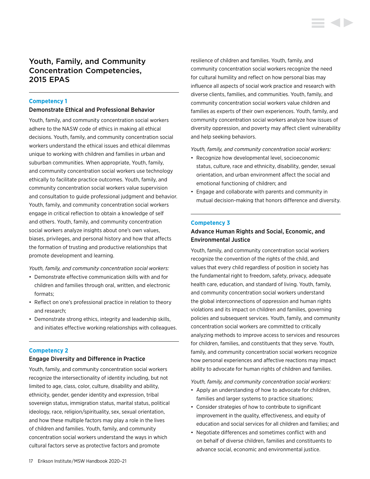# Youth, Family, and Community Concentration Competencies, 2015 EPAS

#### **Competency 1**

#### Demonstrate Ethical and Professional Behavior

Youth, family, and community concentration social workers adhere to the NASW code of ethics in making all ethical decisions. Youth, family, and community concentration social workers understand the ethical issues and ethical dilemmas unique to working with children and families in urban and suburban communities. When appropriate, Youth, family, and community concentration social workers use technology ethically to facilitate practice outcomes. Youth, family, and community concentration social workers value supervision and consultation to guide professional judgment and behavior. Youth, family, and community concentration social workers engage in critical reflection to obtain a knowledge of self and others. Youth, family, and community concentration social workers analyze insights about one's own values, biases, privileges, and personal history and how that affects the formation of trusting and productive relationships that promote development and learning.

*Youth, family, and community concentration social workers:* 

- Demonstrate effective communication skills with and for children and families through oral, written, and electronic formats;
- Reflect on one's professional practice in relation to theory and research;
- Demonstrate strong ethics, integrity and leadership skills, and initiates effective working relationships with colleagues.

#### **Competency 2**

#### Engage Diversity and Difference in Practice

Youth, family, and community concentration social workers recognize the intersectionality of identity including, but not limited to age, class, color, culture, disability and ability, ethnicity, gender, gender identity and expression, tribal sovereign status, immigration status, marital status, political ideology, race, religion/spirituality, sex, sexual orientation, and how these multiple factors may play a role in the lives of children and families. Youth, family, and community concentration social workers understand the ways in which cultural factors serve as protective factors and promote

resilience of children and families. Youth, family, and community concentration social workers recognize the need for cultural humility and reflect on how personal bias may influence all aspects of social work practice and research with diverse clients, families, and communities. Youth, family, and community concentration social workers value children and families as experts of their own experiences. Youth, family, and community concentration social workers analyze how issues of diversity oppression, and poverty may affect client vulnerability and help seeking behaviors.

*Youth, family, and community concentration social workers:*

- Recognize how developmental level, socioeconomic status, culture, race and ethnicity, disability, gender, sexual orientation, and urban environment affect the social and emotional functioning of children; and
- Engage and collaborate with parents and community in mutual decision-making that honors difference and diversity.

#### **Competency 3**

## Advance Human Rights and Social, Economic, and Environmental Justice

Youth, family, and community concentration social workers recognize the convention of the rights of the child, and values that every child regardless of position in society has the fundamental right to freedom, safety, privacy, adequate health care, education, and standard of living. Youth, family, and community concentration social workers understand the global interconnections of oppression and human rights violations and its impact on children and families, governing policies and subsequent services. Youth, family, and community concentration social workers are committed to critically analyzing methods to improve access to services and resources for children, families, and constituents that they serve. Youth, family, and community concentration social workers recognize how personal experiences and affective reactions may impact ability to advocate for human rights of children and families.

*Youth, family, and community concentration social workers:*

- Apply an understanding of how to advocate for children, families and larger systems to practice situations;
- Consider strategies of how to contribute to significant improvement in the quality, effectiveness, and equity of education and social services for all children and families; and
- Negotiate differences and sometimes conflict with and on behalf of diverse children, families and constituents to advance social, economic and environmental justice.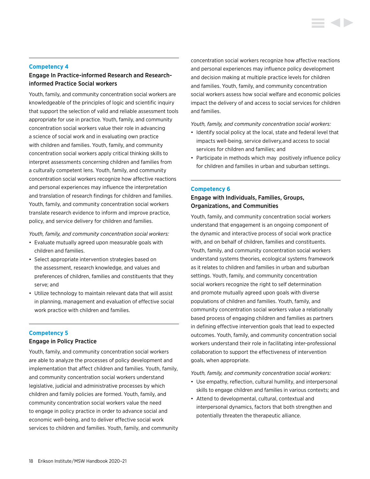## Engage In Practice-informed Research and Researchinformed Practice Social workers

Youth, family, and community concentration social workers are knowledgeable of the principles of logic and scientific inquiry that support the selection of valid and reliable assessment tools appropriate for use in practice. Youth, family, and community concentration social workers value their role in advancing a science of social work and in evaluating own practice with children and families. Youth, family, and community concentration social workers apply critical thinking skills to interpret assessments concerning children and families from a culturally competent lens. Youth, family, and community concentration social workers recognize how affective reactions and personal experiences may influence the interpretation and translation of research findings for children and families. Youth, family, and community concentration social workers translate research evidence to inform and improve practice, policy, and service delivery for children and families.

*Youth, family, and community concentration social workers:*

- Evaluate mutually agreed upon measurable goals with children and families.
- Select appropriate intervention strategies based on the assessment, research knowledge, and values and preferences of children, families and constituents that they serve; and
- Utilize technology to maintain relevant data that will assist in planning, management and evaluation of effective social work practice with children and families.

#### **Competency 5**

#### Engage in Policy Practice

Youth, family, and community concentration social workers are able to analyze the processes of policy development and implementation that affect children and families. Youth, family, and community concentration social workers understand legislative, judicial and administrative processes by which children and family policies are formed. Youth, family, and community concentration social workers value the need to engage in policy practice in order to advance social and economic well-being, and to deliver effective social work services to children and families. Youth, family, and community concentration social workers recognize how affective reactions and personal experiences may influence policy development and decision making at multiple practice levels for children and families. Youth, family, and community concentration social workers assess how social welfare and economic policies impact the delivery of and access to social services for children and families.

*Youth, family, and community concentration social workers:* 

- Identify social policy at the local, state and federal level that impacts well-being, service delivery,and access to social services for children and families; and
- Participate in methods which may positively influence policy for children and families in urban and suburban settings.

#### **Competency 6**

# Engage with Individuals, Families, Groups, Organizations, and Communities

Youth, family, and community concentration social workers understand that engagement is an ongoing component of the dynamic and interactive process of social work practice with, and on behalf of children, families and constituents. Youth, family, and community concentration social workers understand systems theories, ecological systems framework as it relates to children and families in urban and suburban settings. Youth, family, and community concentration social workers recognize the right to self determination and promote mutually agreed upon goals with diverse populations of children and families. Youth, family, and community concentration social workers value a relationally based process of engaging children and families as partners in defining effective intervention goals that lead to expected outcomes. Youth, family, and community concentration social workers understand their role in facilitating inter-professional collaboration to support the effectiveness of intervention goals, when appropriate.

*Youth, family, and community concentration social workers:*

- Use empathy, reflection, cultural humility, and interpersonal skills to engage children and families in various contexts; and
- Attend to developmental, cultural, contextual and interpersonal dynamics, factors that both strengthen and potentially threaten the therapeutic alliance.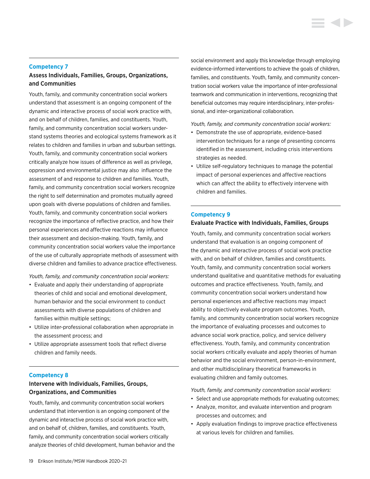## Assess Individuals, Families, Groups, Organizations, and Communities

Youth, family, and community concentration social workers understand that assessment is an ongoing component of the dynamic and interactive process of social work practice with, and on behalf of children, families, and constituents. Youth, family, and community concentration social workers understand systems theories and ecological systems framework as it relates to children and families in urban and suburban settings. Youth, family, and community concentration social workers critically analyze how issues of difference as well as privilege, oppression and environmental justice may also influence the assessment of and response to children and families. Youth, family, and community concentration social workers recognize the right to self determination and promotes mutually agreed upon goals with diverse populations of children and families. Youth, family, and community concentration social workers recognize the importance of reflective practice, and how their personal experiences and affective reactions may influence their assessment and decision-making. Youth, family, and community concentration social workers value the importance of the use of culturally appropriate methods of assessment with diverse children and families to advance practice effectiveness.

*Youth, family, and community concentration social workers:*

- Evaluate and apply their understanding of appropriate theories of child and social and emotional development, human behavior and the social environment to conduct assessments with diverse populations of children and families within multiple settings;
- Utilize inter-professional collaboration when appropriate in the assessment process; and
- Utilize appropriate assessment tools that reflect diverse children and family needs.

#### **Competency 8**

## Intervene with Individuals, Families, Groups, Organizations, and Communities

Youth, family, and community concentration social workers understand that intervention is an ongoing component of the dynamic and interactive process of social work practice with, and on behalf of, children, families, and constituents. Youth, family, and community concentration social workers critically analyze theories of child development, human behavior and the social environment and apply this knowledge through employing evidence-informed interventions to achieve the goals of children, families, and constituents. Youth, family, and community concentration social workers value the importance of inter-professional teamwork and communication in interventions, recognizing that beneficial outcomes may require interdisciplinary, inter-professional, and inter-organizational collaboration.

*Youth, family, and community concentration social workers:*

- Demonstrate the use of appropriate, evidence-based intervention techniques for a range of presenting concerns identified in the assessment, including crisis interventions strategies as needed.
- Utilize self-regulatory techniques to manage the potential impact of personal experiences and affective reactions which can affect the ability to effectively intervene with children and families.

#### **Competency 9**

#### Evaluate Practice with Individuals, Families, Groups

Youth, family, and community concentration social workers understand that evaluation is an ongoing component of the dynamic and interactive process of social work practice with, and on behalf of children, families and constituents. Youth, family, and community concentration social workers understand qualitative and quantitative methods for evaluating outcomes and practice effectiveness. Youth, family, and community concentration social workers understand how personal experiences and affective reactions may impact ability to objectively evaluate program outcomes. Youth, family, and community concentration social workers recognize the importance of evaluating processes and outcomes to advance social work practice, policy, and service delivery effectiveness. Youth, family, and community concentration social workers critically evaluate and apply theories of human behavior and the social environment, person-in-environment, and other multidisciplinary theoretical frameworks in evaluating children and family outcomes.

*Youth, family, and community concentration social workers:*

- Select and use appropriate methods for evaluating outcomes;
- Analyze, monitor, and evaluate intervention and program processes and outcomes; and
- Apply evaluation findings to improve practice effectiveness at various levels for children and families.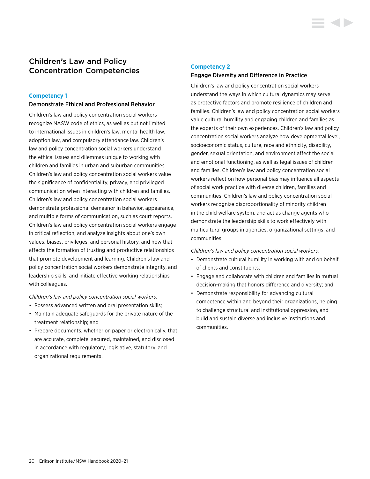# Children's Law and Policy Concentration Competencies

## **Competency 1**

### Demonstrate Ethical and Professional Behavior

Children's law and policy concentration social workers recognize NASW code of ethics, as well as but not limited to international issues in children's law, mental health law, adoption law, and compulsory attendance law. Children's law and policy concentration social workers understand the ethical issues and dilemmas unique to working with children and families in urban and suburban communities. Children's law and policy concentration social workers value the significance of confidentiality, privacy, and privileged communication when interacting with children and families. Children's law and policy concentration social workers demonstrate professional demeanor in behavior, appearance, and multiple forms of communication, such as court reports. Children's law and policy concentration social workers engage in critical reflection, and analyze insights about one's own values, biases, privileges, and personal history, and how that affects the formation of trusting and productive relationships that promote development and learning. Children's law and policy concentration social workers demonstrate integrity, and leadership skills, and initiate effective working relationships with colleagues.

*Children's law and policy concentration social workers:* 

- Possess advanced written and oral presentation skills;
- Maintain adequate safeguards for the private nature of the treatment relationship; and
- Prepare documents, whether on paper or electronically, that are accurate, complete, secured, maintained, and disclosed in accordance with regulatory, legislative, statutory, and organizational requirements.

#### **Competency 2**

#### Engage Diversity and Difference in Practice

Children's law and policy concentration social workers understand the ways in which cultural dynamics may serve as protective factors and promote resilience of children and families. Children's law and policy concentration social workers value cultural humility and engaging children and families as the experts of their own experiences. Children's law and policy concentration social workers analyze how developmental level, socioeconomic status, culture, race and ethnicity, disability, gender, sexual orientation, and environment affect the social and emotional functioning, as well as legal issues of children and families. Children's law and policy concentration social workers reflect on how personal bias may influence all aspects of social work practice with diverse children, families and communities. Children's law and policy concentration social workers recognize disproportionality of minority children in the child welfare system, and act as change agents who demonstrate the leadership skills to work effectively with multicultural groups in agencies, organizational settings, and communities.

- Demonstrate cultural humility in working with and on behalf of clients and constituents;
- Engage and collaborate with children and families in mutual decision-making that honors difference and diversity; and
- Demonstrate responsibility for advancing cultural competence within and beyond their organizations, helping to challenge structural and institutional oppression, and build and sustain diverse and inclusive institutions and communities.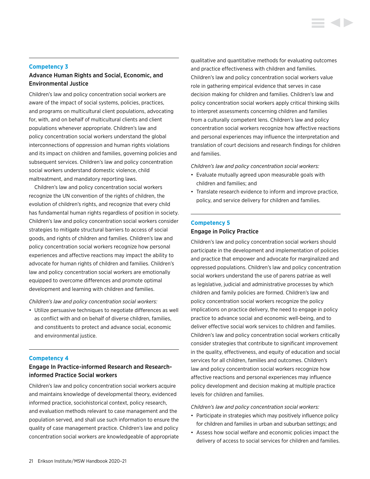## Advance Human Rights and Social, Economic, and Environmental Justice

Children's law and policy concentration social workers are aware of the impact of social systems, policies, practices, and programs on multicultural client populations, advocating for, with, and on behalf of multicultural clients and client populations whenever appropriate. Children's law and policy concentration social workers understand the global interconnections of oppression and human rights violations and its impact on children and families, governing policies and subsequent services. Children's law and policy concentration social workers understand domestic violence, child maltreatment, and mandatory reporting laws.

Children's law and policy concentration social workers recognize the UN convention of the rights of children, the evolution of children's rights, and recognize that every child has fundamental human rights regardless of position in society. Children's law and policy concentration social workers consider strategies to mitigate structural barriers to access of social goods, and rights of children and families. Children's law and policy concentration social workers recognize how personal experiences and affective reactions may impact the ability to advocate for human rights of children and families. Children's law and policy concentration social workers are emotionally equipped to overcome differences and promote optimal development and learning with children and families.

*Children's law and policy concentration social workers:*

• Utilize persuasive techniques to negotiate differences as well as conflict with and on behalf of diverse children, families, and constituents to protect and advance social, economic and environmental justice.

#### **Competency 4**

## Engage In Practice-informed Research and Researchinformed Practice Social workers

Children's law and policy concentration social workers acquire and maintains knowledge of developmental theory, evidenced informed practice, sociohistorical context, policy research, and evaluation methods relevant to case management and the population served, and shall use such information to ensure the quality of case management practice. Children's law and policy concentration social workers are knowledgeable of appropriate qualitative and quantitative methods for evaluating outcomes and practice effectiveness with children and families. Children's law and policy concentration social workers value role in gathering empirical evidence that serves in case decision making for children and families. Children's law and policy concentration social workers apply critical thinking skills to interpret assessments concerning children and families from a culturally competent lens. Children's law and policy concentration social workers recognize how affective reactions and personal experiences may influence the interpretation and translation of court decisions and research findings for children and families.

*Children's law and policy concentration social workers:*

- Evaluate mutually agreed upon measurable goals with children and families; and
- Translate research evidence to inform and improve practice, policy, and service delivery for children and families.

# **Competency 5** Engage in Policy Practice

Children's law and policy concentration social workers should participate in the development and implementation of policies and practice that empower and advocate for marginalized and oppressed populations. Children's law and policy concentration social workers understand the use of parens patriae as well as legislative, judicial and administrative processes by which children and family policies are formed. Children's law and policy concentration social workers recognize the policy implications on practice delivery, the need to engage in policy practice to advance social and economic well-being, and to deliver effective social work services to children and families. Children's law and policy concentration social workers critically consider strategies that contribute to significant improvement in the quality, effectiveness, and equity of education and social services for all children, families and outcomes. Children's law and policy concentration social workers recognize how affective reactions and personal experiences may influence policy development and decision making at multiple practice levels for children and families.

- Participate in strategies which may positively influence policy for children and families in urban and suburban settings; and
- Assess how social welfare and economic policies impact the delivery of access to social services for children and families.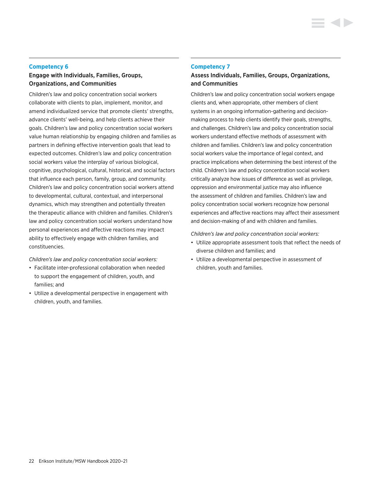## Engage with Individuals, Families, Groups, Organizations, and Communities

Children's law and policy concentration social workers collaborate with clients to plan, implement, monitor, and amend individualized service that promote clients' strengths, advance clients' well-being, and help clients achieve their goals. Children's law and policy concentration social workers value human relationship by engaging children and families as partners in defining effective intervention goals that lead to expected outcomes. Children's law and policy concentration social workers value the interplay of various biological, cognitive, psychological, cultural, historical, and social factors that influence each person, family, group, and community. Children's law and policy concentration social workers attend to developmental, cultural, contextual, and interpersonal dynamics, which may strengthen and potentially threaten the therapeutic alliance with children and families. Children's law and policy concentration social workers understand how personal experiences and affective reactions may impact ability to effectively engage with children families, and constituencies.

*Children's law and policy concentration social workers:*

- Facilitate inter-professional collaboration when needed to support the engagement of children, youth, and families; and
- Utilize a developmental perspective in engagement with children, youth, and families.

#### **Competency 7**

# Assess Individuals, Families, Groups, Organizations, and Communities

Children's law and policy concentration social workers engage clients and, when appropriate, other members of client systems in an ongoing information-gathering and decisionmaking process to help clients identify their goals, strengths, and challenges. Children's law and policy concentration social workers understand effective methods of assessment with children and families. Children's law and policy concentration social workers value the importance of legal context, and practice implications when determining the best interest of the child. Children's law and policy concentration social workers critically analyze how issues of difference as well as privilege, oppression and environmental justice may also influence the assessment of children and families. Children's law and policy concentration social workers recognize how personal experiences and affective reactions may affect their assessment and decision-making of and with children and families.

- Utilize appropriate assessment tools that reflect the needs of diverse children and families; and
- Utilize a developmental perspective in assessment of children, youth and families.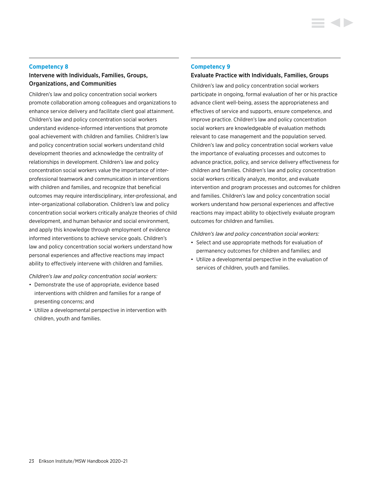## Intervene with Individuals, Families, Groups, Organizations, and Communities

Children's law and policy concentration social workers promote collaboration among colleagues and organizations to enhance service delivery and facilitate client goal attainment. Children's law and policy concentration social workers understand evidence-informed interventions that promote goal achievement with children and families. Children's law and policy concentration social workers understand child development theories and acknowledge the centrality of relationships in development. Children's law and policy concentration social workers value the importance of interprofessional teamwork and communication in interventions with children and families, and recognize that beneficial outcomes may require interdisciplinary, inter-professional, and inter-organizational collaboration. Children's law and policy concentration social workers critically analyze theories of child development, and human behavior and social environment, and apply this knowledge through employment of evidence informed interventions to achieve service goals. Children's law and policy concentration social workers understand how personal experiences and affective reactions may impact ability to effectively intervene with children and families.

*Children's law and policy concentration social workers:* 

- Demonstrate the use of appropriate, evidence based interventions with children and families for a range of presenting concerns; and
- Utilize a developmental perspective in intervention with children, youth and families.

#### **Competency 9**

#### Evaluate Practice with Individuals, Families, Groups

Children's law and policy concentration social workers participate in ongoing, formal evaluation of her or his practice advance client well-being, assess the appropriateness and effectives of service and supports, ensure competence, and improve practice. Children's law and policy concentration social workers are knowledgeable of evaluation methods relevant to case management and the population served. Children's law and policy concentration social workers value the importance of evaluating processes and outcomes to advance practice, policy, and service delivery effectiveness for children and families. Children's law and policy concentration social workers critically analyze, monitor, and evaluate intervention and program processes and outcomes for children and families. Children's law and policy concentration social workers understand how personal experiences and affective reactions may impact ability to objectively evaluate program outcomes for children and families.

- Select and use appropriate methods for evaluation of permanency outcomes for children and families; and
- Utilize a developmental perspective in the evaluation of services of children, youth and families.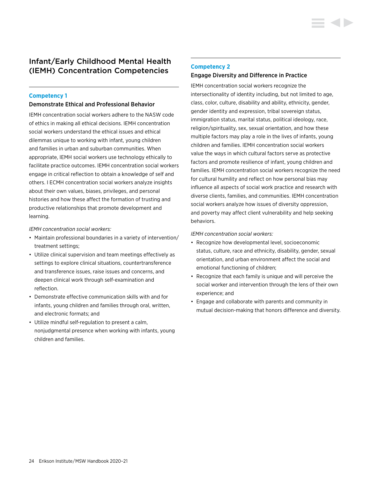# Infant/Early Childhood Mental Health (IEMH) Concentration Competencies

## **Competency 1**

### Demonstrate Ethical and Professional Behavior

IEMH concentration social workers adhere to the NASW code of ethics in making all ethical decisions. IEMH concentration social workers understand the ethical issues and ethical dilemmas unique to working with infant, young children and families in urban and suburban communities. When appropriate, IEMH social workers use technology ethically to facilitate practice outcomes. IEMH concentration social workers engage in critical reflection to obtain a knowledge of self and others. I ECMH concentration social workers analyze insights about their own values, biases, privileges, and personal histories and how these affect the formation of trusting and productive relationships that promote development and learning.

*IEMH concentration social workers:* 

- Maintain professional boundaries in a variety of intervention/ treatment settings;
- Utilize clinical supervision and team meetings effectively as settings to explore clinical situations, countertransference and transference issues, raise issues and concerns, and deepen clinical work through self-examination and reflection.
- Demonstrate effective communication skills with and for infants, young children and families through oral, written, and electronic formats; and
- Utilize mindful self-regulation to present a calm, nonjudgmental presence when working with infants, young children and families.

#### **Competency 2**

#### Engage Diversity and Difference in Practice

IEMH concentration social workers recognize the intersectionality of identity including, but not limited to age, class, color, culture, disability and ability, ethnicity, gender, gender identity and expression, tribal sovereign status, immigration status, marital status, political ideology, race, religion/spirituality, sex, sexual orientation, and how these multiple factors may play a role in the lives of infants, young children and families. IEMH concentration social workers value the ways in which cultural factors serve as protective factors and promote resilience of infant, young children and families. IEMH concentration social workers recognize the need for cultural humility and reflect on how personal bias may influence all aspects of social work practice and research with diverse clients, families, and communities. IEMH concentration social workers analyze how issues of diversity oppression, and poverty may affect client vulnerability and help seeking behaviors.

- Recognize how developmental level, socioeconomic status, culture, race and ethnicity, disability, gender, sexual orientation, and urban environment affect the social and emotional functioning of children;
- Recognize that each family is unique and will perceive the social worker and intervention through the lens of their own experience; and
- Engage and collaborate with parents and community in mutual decision-making that honors difference and diversity.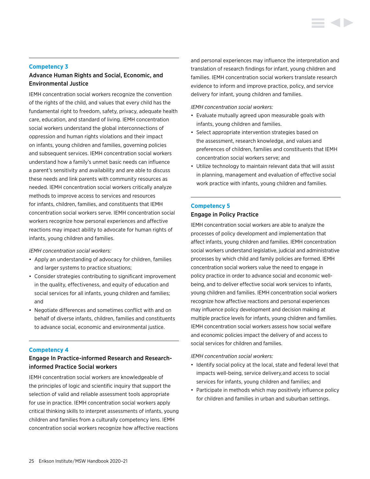## Advance Human Rights and Social, Economic, and Environmental Justice

IEMH concentration social workers recognize the convention of the rights of the child, and values that every child has the fundamental right to freedom, safety, privacy, adequate health care, education, and standard of living. IEMH concentration social workers understand the global interconnections of oppression and human rights violations and their impact on infants, young children and families, governing policies and subsequent services. IEMH concentration social workers understand how a family's unmet basic needs can influence a parent's sensitivity and availability and are able to discuss these needs and link parents with community resources as needed. IEMH concentration social workers critically analyze methods to improve access to services and resources for infants, children, families, and constituents that IEMH concentration social workers serve. IEMH concentration social workers recognize how personal experiences and affective reactions may impact ability to advocate for human rights of infants, young children and families.

*IEMH concentration social workers:* 

- Apply an understanding of advocacy for children, families and larger systems to practice situations;
- Consider strategies contributing to significant improvement in the quality, effectiveness, and equity of education and social services for all infants, young children and families; and
- Negotiate differences and sometimes conflict with and on behalf of diverse infants, children, families and constituents to advance social, economic and environmental justice.

### **Competency 4**

# Engage In Practice-informed Research and Researchinformed Practice Social workers

IEMH concentration social workers are knowledgeable of the principles of logic and scientific inquiry that support the selection of valid and reliable assessment tools appropriate for use in practice. IEMH concentration social workers apply critical thinking skills to interpret assessments of infants, young children and families from a culturally competency lens. IEMH concentration social workers recognize how affective reactions

and personal experiences may influence the interpretation and translation of research findings for infant, young children and families. IEMH concentration social workers translate research evidence to inform and improve practice, policy, and service delivery for infant, young children and families.

*IEMH concentration social workers:* 

- Evaluate mutually agreed upon measurable goals with infants, young children and families.
- Select appropriate intervention strategies based on the assessment, research knowledge, and values and preferences of children, families and constituents that IEMH concentration social workers serve; and
- Utilize technology to maintain relevant data that will assist in planning, management and evaluation of effective social work practice with infants, young children and families.

# **Competency 5** Engage in Policy Practice

IEMH concentration social workers are able to analyze the processes of policy development and implementation that affect infants, young children and families. IEMH concentration social workers understand legislative, judicial and administrative processes by which child and family policies are formed. IEMH concentration social workers value the need to engage in policy practice in order to advance social and economic wellbeing, and to deliver effective social work services to infants, young children and families. IEMH concentration social workers recognize how affective reactions and personal experiences may influence policy development and decision making at multiple practice levels for infants, young children and families. IEMH concentration social workers assess how social welfare and economic policies impact the delivery of and access to social services for children and families.

- Identify social policy at the local, state and federal level that impacts well-being, service delivery,and access to social services for infants, young children and families; and
- Participate in methods which may positively influence policy for children and families in urban and suburban settings.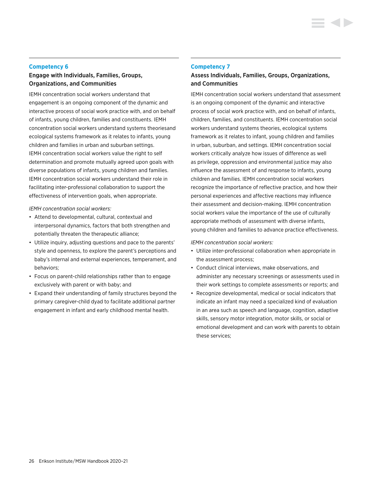## Engage with Individuals, Families, Groups, Organizations, and Communities

IEMH concentration social workers understand that engagement is an ongoing component of the dynamic and interactive process of social work practice with, and on behalf of infants, young children, families and constituents. IEMH concentration social workers understand systems theoriesand ecological systems framework as it relates to infants, young children and families in urban and suburban settings. IEMH concentration social workers value the right to self determination and promote mutually agreed upon goals with diverse populations of infants, young children and families. IEMH concentration social workers understand their role in facilitating inter-professional collaboration to support the effectiveness of intervention goals, when appropriate.

*IEMH concentration social workers:*

- Attend to developmental, cultural, contextual and interpersonal dynamics, factors that both strengthen and potentially threaten the therapeutic alliance;
- Utilize inquiry, adjusting questions and pace to the parents' style and openness, to explore the parent's perceptions and baby's internal and external experiences, temperament, and behaviors;
- Focus on parent-child relationships rather than to engage exclusively with parent or with baby; and
- Expand their understanding of family structures beyond the primary caregiver-child dyad to facilitate additional partner engagement in infant and early childhood mental health.

#### **Competency 7**

## Assess Individuals, Families, Groups, Organizations, and Communities

IEMH concentration social workers understand that assessment is an ongoing component of the dynamic and interactive process of social work practice with, and on behalf of infants, children, families, and constituents. IEMH concentration social workers understand systems theories, ecological systems framework as it relates to infant, young children and families in urban, suburban, and settings. IEMH concentration social workers critically analyze how issues of difference as well as privilege, oppression and environmental justice may also influence the assessment of and response to infants, young children and families. IEMH concentration social workers recognize the importance of reflective practice, and how their personal experiences and affective reactions may influence their assessment and decision-making. IEMH concentration social workers value the importance of the use of culturally appropriate methods of assessment with diverse infants, young children and families to advance practice effectiveness.

- Utilize inter-professional collaboration when appropriate in the assessment process;
- Conduct clinical interviews, make observations, and administer any necessary screenings or assessments used in their work settings to complete assessments or reports; and
- Recognize developmental, medical or social indicators that indicate an infant may need a specialized kind of evaluation in an area such as speech and language, cognition, adaptive skills, sensory motor integration, motor skills, or social or emotional development and can work with parents to obtain these services;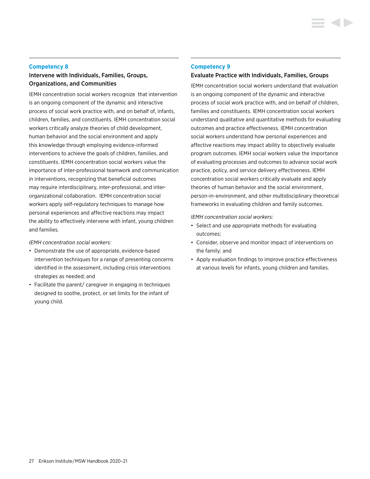## Intervene with Individuals, Families, Groups, Organizations, and Communities

IEMH concentration social workers recognize that intervention is an ongoing component of the dynamic and interactive process of social work practice with, and on behalf of, infants, children, families, and constituents. IEMH concentration social workers critically analyze theories of child development, human behavior and the social environment and apply this knowledge through employing evidence-informed interventions to achieve the goals of children, families, and constituents. IEMH concentration social workers value the importance of inter-professional teamwork and communication in interventions, recognizing that beneficial outcomes may require interdisciplinary, inter-professional, and interorganizational collaboration. IEMH concentration social workers apply self-regulatory techniques to manage how personal experiences and affective reactions may impact the ability to effectively intervene with infant, young children and families.

*IEMH concentration social workers:* 

- Demonstrate the use of appropriate, evidence-based intervention techniques for a range of presenting concerns identified in the assessment, including crisis interventions strategies as needed; and
- Facilitate the parent/ caregiver in engaging in techniques designed to soothe, protect, or set limits for the infant of young child.

#### **Competency 9**

#### Evaluate Practice with Individuals, Families, Groups

IEMH concentration social workers understand that evaluation is an ongoing component of the dynamic and interactive process of social work practice with, and on behalf of children, families and constituents. IEMH concentration social workers understand qualitative and quantitative methods for evaluating outcomes and practice effectiveness. IEMH concentration social workers understand how personal experiences and affective reactions may impact ability to objectively evaluate program outcomes. IEMH social workers value the importance of evaluating processes and outcomes to advance social work practice, policy, and service delivery effectiveness. IEMH concentration social workers critically evaluate and apply theories of human behavior and the social environment, person-in-environment, and other multidisciplinary theoretical frameworks in evaluating children and family outcomes.

- Select and use appropriate methods for evaluating outcomes;
- Consider, observe and monitor impact of interventions on the family; and
- Apply evaluation findings to improve practice effectiveness at various levels for infants, young children and families.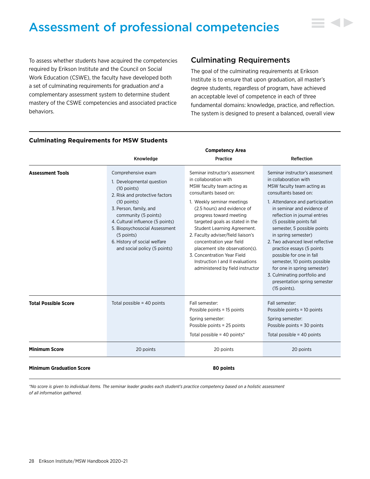# <span id="page-28-0"></span>Assessment of professional competencies

To assess whether students have acquired the competencies required by Erikson Institute and the Council on Social Work Education (CSWE), the faculty have developed both a set of culminating requirements for graduation *and* a complementary assessment system to determine student mastery of the CSWE competencies and associated practice behaviors.

# Culminating Requirements

The goal of the culminating requirements at Erikson Institute is to ensure that upon graduation, all master's degree students, regardless of program, have achieved an acceptable level of competence in each of three fundamental domains: knowledge, practice, and reflection. The system is designed to present a balanced, overall view

**d** b

|                             | <b>Competency Area</b>                                                                                                                                                                                                                                                                                                   |                                                                                                                                                                                                                                                                                                                                                                                                                                                                                      |                                                                                                                                                                                                                                                                                                                                                                                                                                                                                                                                                  |
|-----------------------------|--------------------------------------------------------------------------------------------------------------------------------------------------------------------------------------------------------------------------------------------------------------------------------------------------------------------------|--------------------------------------------------------------------------------------------------------------------------------------------------------------------------------------------------------------------------------------------------------------------------------------------------------------------------------------------------------------------------------------------------------------------------------------------------------------------------------------|--------------------------------------------------------------------------------------------------------------------------------------------------------------------------------------------------------------------------------------------------------------------------------------------------------------------------------------------------------------------------------------------------------------------------------------------------------------------------------------------------------------------------------------------------|
|                             | Knowledge                                                                                                                                                                                                                                                                                                                | Practice                                                                                                                                                                                                                                                                                                                                                                                                                                                                             | Reflection                                                                                                                                                                                                                                                                                                                                                                                                                                                                                                                                       |
| <b>Assessment Tools</b>     | Comprehensive exam<br>1. Developmental question<br>$(10$ points)<br>2. Risk and protective factors<br>$(10$ points)<br>3. Person, family, and<br>community (5 points)<br>4. Cultural influence (5 points)<br>5. Biopsychosocial Assessment<br>(5 points)<br>6. History of social welfare<br>and social policy (5 points) | Seminar instructor's assessment<br>in collaboration with<br>MSW faculty team acting as<br>consultants based on:<br>1. Weekly seminar meetings<br>(2.5 hours) and evidence of<br>progress toward meeting<br>targeted goals as stated in the<br>Student Learning Agreement.<br>2. Faculty adviser/field liaison's<br>concentration year field<br>placement site observation(s).<br>3. Concentration Year Field<br>Instruction I and II evaluations<br>administered by field instructor | Seminar instructor's assessment<br>in collaboration with<br>MSW faculty team acting as<br>consultants based on:<br>1. Attendance and participation<br>in seminar and evidence of<br>reflection in journal entries<br>(5 possible points fall<br>semester, 5 possible points<br>in spring semester)<br>2. Two advanced level reflective<br>practice essays (5 points<br>possible for one in fall<br>semester, 10 points possible<br>for one in spring semester)<br>3. Culminating portfolio and<br>presentation spring semester<br>$(15$ points). |
| <b>Total Possible Score</b> | Total possible = 40 points                                                                                                                                                                                                                                                                                               | Fall semester:<br>Possible points = 15 points<br>Spring semester:<br>Possible points = 25 points<br>Total possible = 40 points*                                                                                                                                                                                                                                                                                                                                                      | Fall semester:<br>Possible points = 10 points<br>Spring semester:<br>Possible points = 30 points<br>Total possible = 40 points                                                                                                                                                                                                                                                                                                                                                                                                                   |
| <b>Minimum Score</b>        | 20 points                                                                                                                                                                                                                                                                                                                | 20 points                                                                                                                                                                                                                                                                                                                                                                                                                                                                            | 20 points                                                                                                                                                                                                                                                                                                                                                                                                                                                                                                                                        |

# **Culminating Requirements for MSW Students**

**Minimum Graduation Score 80 points**

*\*No score is given to individual items. The seminar leader grades each student's practice competency based on a holistic assessment of all information gathered.*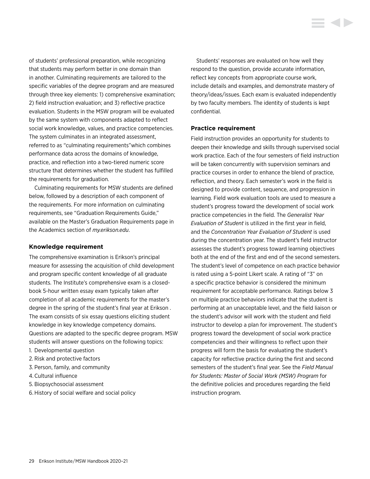of students' professional preparation, while recognizing that students may perform better in one domain than in another. Culminating requirements are tailored to the specific variables of the degree program and are measured through three key elements: 1) comprehensive examination; 2) field instruction evaluation; and 3) reflective practice evaluation. Students in the MSW program will be evaluated by the same system with components adapted to reflect social work knowledge, values, and practice competencies. The system culminates in an integrated assessment, referred to as "culminating requirements"which combines performance data across the domains of knowledge, practice, and reflection into a two-tiered numeric score structure that determines whether the student has fulfilled the requirements for graduation.

Culminating requirements for MSW students are defined below, followed by a description of each component of the requirements. For more information on culminating requirements, see "Graduation Requirements Guide," available on the Master's Graduation Requirements page in the Academics section of *[my.erikson.edu](http://my.erikson.edu)*.

#### **Knowledge requirement**

The comprehensive examination is Erikson's principal measure for assessing the acquisition of child development and program specific content knowledge of all graduate students. The Institute's comprehensive exam is a closedbook 5-hour written essay exam typically taken after completion of all academic requirements for the master's degree in the spring of the student's final year at Erikson . The exam consists of six essay questions eliciting student knowledge in key knowledge competency domains. Questions are adapted to the specific degree program. MSW students will answer questions on the following topics:

- 1. Developmental question
- 2. Risk and protective factors
- 3. Person, family, and community
- 4.Cultural influence
- 5. Biopsychosocial assessment
- 6.History of social welfare and social policy

Students' responses are evaluated on how well they respond to the question, provide accurate information, reflect key concepts from appropriate course work, include details and examples, and demonstrate mastery of theory/ideas/issues. Each exam is evaluated independently by two faculty members. The identity of students is kept confidential.

#### **Practice requirement**

Field instruction provides an opportunity for students to deepen their knowledge and skills through supervised social work practice. Each of the four semesters of field instruction will be taken concurrently with supervision seminars and practice courses in order to enhance the blend of practice, reflection, and theory. Each semester's work in the field is designed to provide content, sequence, and progression in learning. Field work evaluation tools are used to measure a student's progress toward the development of social work practice competencies in the field. The *Generalist Year Evaluation of Student* is utilized in the first year in field, and the *Concentration Year Evaluation of Student* is used during the concentration year. The student's field instructor assesses the student's progress toward learning objectives both at the end of the first and end of the second semesters. The student's level of competence on each practice behavior is rated using a 5-point Likert scale. A rating of "3" on a specific practice behavior is considered the minimum requirement for acceptable performance. Ratings below 3 on multiple practice behaviors indicate that the student is performing at an unacceptable level, and the field liaison or the student's advisor will work with the student and field instructor to develop a plan for improvement. The student's progress toward the development of social work practice competencies and their willingness to reflect upon their progress will form the basis for evaluating the student's capacity for reflective practice during the first and second semesters of the student's final year. See the *Field Manual for Students: Master of Social Work (MSW) Program* for the definitive policies and procedures regarding the field instruction program.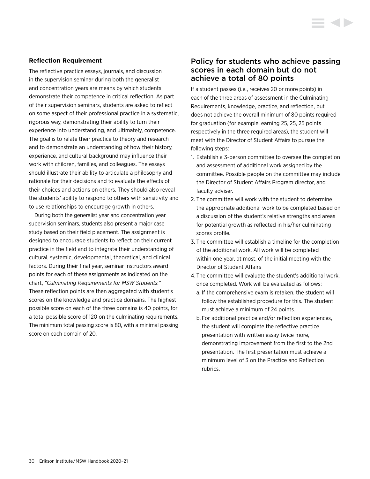## **Reflection Requirement**

The reflective practice essays, journals, and discussion in the supervision seminar during both the generalist and concentration years are means by which students demonstrate their competence in critical reflection. As part of their supervision seminars, students are asked to reflect on some aspect of their professional practice in a systematic, rigorous way, demonstrating their ability to turn their experience into understanding, and ultimately, competence. The goal is to relate their practice to theory and research and to demonstrate an understanding of how their history, experience, and cultural background may influence their work with children, families, and colleagues. The essays should illustrate their ability to articulate a philosophy and rationale for their decisions and to evaluate the effects of their choices and actions on others. They should also reveal the students' ability to respond to others with sensitivity and to use relationships to encourage growth in others.

During both the generalist year and concentration year supervision seminars, students also present a major case study based on their field placement. The assignment is designed to encourage students to reflect on their current practice in the field and to integrate their understanding of cultural, systemic, developmental, theoretical, and clinical factors. During their final year, seminar instructors award points for each of these assignments as indicated on the chart, *"Culminating Requirements for MSW Students."* These reflection points are then aggregated with student's scores on the knowledge and practice domains. The highest possible score on each of the three domains is 40 points, for a total possible score of 120 on the culminating requirements. The minimum total passing score is 80, with a minimal passing score on each domain of 20.

# Policy for students who achieve passing scores in each domain but do not achieve a total of 80 points

If a student passes (i.e., receives 20 or more points) in each of the three areas of assessment in the Culminating Requirements, knowledge, practice, and reflection, but does not achieve the overall minimum of 80 points required for graduation (for example, earning 25, 25, 25 points respectively in the three required areas), the student will meet with the Director of Student Affairs to pursue the following steps:

- 1. Establish a 3-person committee to oversee the completion and assessment of additional work assigned by the committee. Possible people on the committee may include the Director of Student Affairs Program director, and faculty adviser.
- 2. The committee will work with the student to determine the appropriate additional work to be completed based on a discussion of the student's relative strengths and areas for potential growth as reflected in his/her culminating scores profile.
- 3. The committee will establish a timeline for the completion of the additional work. All work will be completed within one year, at most, of the initial meeting with the Director of Student Affairs
- 4. The committee will evaluate the student's additional work, once completed. Work will be evaluated as follows:
	- a. If the comprehensive exam is retaken, the student will follow the established procedure for this. The student must achieve a minimum of 24 points.
	- b. For additional practice and/or reflection experiences, the student will complete the reflective practice presentation with written essay twice more, demonstrating improvement from the first to the 2nd presentation. The first presentation must achieve a minimum level of 3 on the Practice and Reflection rubrics.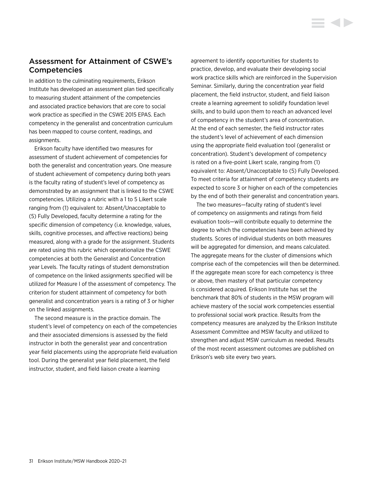# Assessment for Attainment of CSWE's Competencies

In addition to the culminating requirements, Erikson Institute has developed an assessment plan tied specifically to measuring student attainment of the competencies and associated practice behaviors that are core to social work practice as specified in the CSWE 2015 EPAS. Each competency in the generalist and concentration curriculum has been mapped to course content, readings, and assignments.

Erikson faculty have identified two measures for assessment of student achievement of competencies for both the generalist and concentration years. One measure of student achievement of competency during both years is the faculty rating of student's level of competency as demonstrated by an assignment that is linked to the CSWE competencies. Utilizing a rubric with a 1 to 5 Likert scale ranging from (1) equivalent to: Absent/Unacceptable to (5) Fully Developed, faculty determine a rating for the specific dimension of competency (i.e. knowledge, values, skills, cognitive processes, and affective reactions) being measured, along with a grade for the assignment. Students are rated using this rubric which operationalize the CSWE competencies at both the Generalist and Concentration year Levels. The faculty ratings of student demonstration of competence on the linked assignments specified will be utilized for Measure I of the assessment of competency. The criterion for student attainment of competency for both generalist and concentration years is a rating of 3 or higher on the linked assignments.

The second measure is in the practice domain. The student's level of competency on each of the competencies and their associated dimensions is assessed by the field instructor in both the generalist year and concentration year field placements using the appropriate field evaluation tool. During the generalist year field placement, the field instructor, student, and field liaison create a learning

agreement to identify opportunities for students to practice, develop, and evaluate their developing social work practice skills which are reinforced in the Supervision Seminar. Similarly, during the concentration year field placement, the field instructor, student, and field liaison create a learning agreement to solidify foundation level skills, and to build upon them to reach an advanced level of competency in the student's area of concentration. At the end of each semester, the field instructor rates the student's level of achievement of each dimension using the appropriate field evaluation tool (generalist or concentration). Student's development of competency is rated on a five-point Likert scale, ranging from (1) equivalent to: Absent/Unacceptable to (5) Fully Developed. To meet criteria for attainment of competency students are expected to score 3 or higher on each of the competencies by the end of both their generalist and concentration years.

The two measures—faculty rating of student's level of competency on assignments and ratings from field evaluation tools—will contribute equally to determine the degree to which the competencies have been achieved by students. Scores of individual students on both measures will be aggregated for dimension, and means calculated. The aggregate means for the cluster of dimensions which comprise each of the competencies will then be determined. If the aggregate mean score for each competency is three or above, then mastery of that particular competency is considered acquired. Erikson Institute has set the benchmark that 80% of students in the MSW program will achieve mastery of the social work competencies essential to professional social work practice. Results from the competency measures are analyzed by the Erikson Institute Assessment Committee and MSW faculty and utilized to strengthen and adjust MSW curriculum as needed. Results of the most recent assessment outcomes are published on Erikson's web site every two years.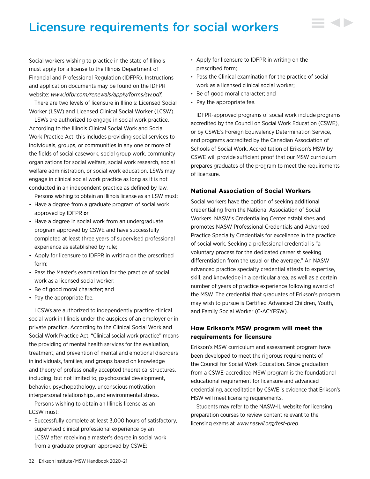# <span id="page-32-0"></span>Licensure requirements for social workers

Social workers wishing to practice in the state of Illinois must apply for a license to the Illinois Department of Financial and Professional Regulation (IDFPR). Instructions and application documents may be found on the IDFPR website: *[www.idfpr.com/renewals/apply/forms/sw.pdf](https://www.idfpr.com/renewals/apply/forms/sw.pdf).*

There are two levels of licensure in Illinois: Licensed Social Worker (LSW) and Licensed Clinical Social Worker (LCSW).

LSWs are authorized to engage in social work practice. According to the Illinois Clinical Social Work and Social Work Practice Act, this includes providing social services to individuals, groups, or communities in any one or more of the fields of social casework, social group work, community organizations for social welfare, social work research, social welfare administration, or social work education. LSWs may engage in clinical social work practice as long as it is not conducted in an independent practice as defined by law.

Persons wishing to obtain an Illinois license as an LSW must:

- Have a degree from a graduate program of social work approved by IDFPR or
- Have a degree in social work from an undergraduate program approved by CSWE and have successfully completed at least three years of supervised professional experience as established by rule;
- Apply for licensure to IDFPR in writing on the prescribed form;
- Pass the Master's examination for the practice of social work as a licensed social worker;
- Be of good moral character; and
- Pay the appropriate fee.

LCSWs are authorized to independently practice clinical social work in Illinois under the auspices of an employer or in private practice. According to the Clinical Social Work and Social Work Practice Act, "Clinical social work practice" means the providing of mental health services for the evaluation, treatment, and prevention of mental and emotional disorders in individuals, families, and groups based on knowledge and theory of professionally accepted theoretical structures, including, but not limited to, psychosocial development, behavior, psychopathology, unconscious motivation, interpersonal relationships, and environmental stress.

Persons wishing to obtain an Illinois license as an LCSW must:

• Successfully complete at least 3,000 hours of satisfactory, supervised clinical professional experience by an LCSW after receiving a master's degree in social work from a graduate program approved by CSWE;

- Apply for licensure to IDFPR in writing on the prescribed form;
- Pass the Clinical examination for the practice of social work as a licensed clinical social worker;
- Be of good moral character; and
- Pay the appropriate fee.

IDFPR-approved programs of social work include programs accredited by the Council on Social Work Education (CSWE), or by CSWE's Foreign Equivalency Determination Service, and programs accredited by the Canadian Association of Schools of Social Work. Accreditation of Erikson's MSW by CSWE will provide sufficient proof that our MSW curriculum prepares graduates of the program to meet the requirements of licensure.

### **National Association of Social Workers**

Social workers have the option of seeking additional credentialing from the National Association of Social Workers. NASW's Credentialing Center establishes and promotes NASW Professional Credentials and Advanced Practice Specialty Credentials for excellence in the practice of social work. Seeking a professional credential is "a voluntary process for the dedicated careerist seeking differentiation from the usual or the average." An NASW advanced practice specialty credential attests to expertise, skill, and knowledge in a particular area, as well as a certain number of years of practice experience following award of the MSW. The credential that graduates of Erikson's program may wish to pursue is Certified Advanced Children, Youth, and Family Social Worker (C-ACYFSW).

# **How Erikson's MSW program will meet the requirements for licensure**

Erikson's MSW curriculum and assessment program have been developed to meet the rigorous requirements of the Council for Social Work Education. Since graduation from a CSWE-accredited MSW program is the foundational educational requirement for licensure and advanced credentialing, accreditation by CSWE is evidence that Erikson's MSW will meet licensing requirements.

Students may refer to the NASW-IL website for licensing preparation courses to review content relevant to the licensing exams at *[www.naswil.org/test-prep](https://www.naswil.org/test-prep)*.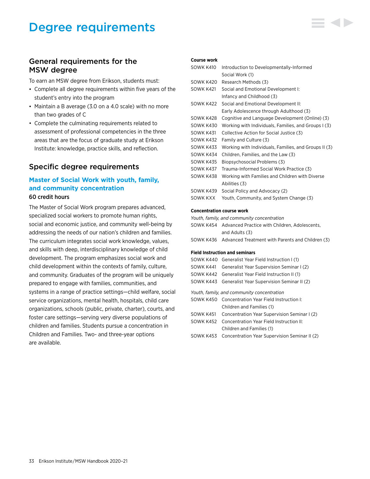# <span id="page-33-0"></span>Degree requirements

# General requirements for the MSW degree

To earn an MSW degree from Erikson, students must:

- Complete all degree requirements within five years of the student's entry into the program
- Maintain a B average (3.0 on a 4.0 scale) with no more than two grades of C
- Complete the culminating requirements related to assessment of professional competencies in the three areas that are the focus of graduate study at Erikson Institute: knowledge, practice skills, and reflection.

# Specific degree requirements

# **Master of Social Work with youth, family, and community concentration** 60 credit hours

The Master of Social Work program prepares advanced, specialized social workers to promote human rights, social and economic justice, and community well-being by addressing the needs of our nation's children and families. The curriculum integrates social work knowledge, values, and skills with deep, interdisciplinary knowledge of child development. The program emphasizes social work and child development within the contexts of family, culture, and community. Graduates of the program will be uniquely prepared to engage with families, communities, and systems in a range of practice settings—child welfare, social service organizations, mental health, hospitals, child care organizations, schools (public, private, charter), courts, and foster care settings—serving very diverse populations of children and families. Students pursue a concentration in Children and Families. Two- and three-year options are available.

#### **Course work**

| SOWK K410 | Introduction to Developmentally-Informed              |
|-----------|-------------------------------------------------------|
|           | Social Work (1)                                       |
| SOWK K420 | Research Methods (3)                                  |
| SOWK K421 | Social and Emotional Development I:                   |
|           | Infancy and Childhood (3)                             |
| SOWK K422 | Social and Emotional Development II:                  |
|           | Early Adolescence through Adulthood (3)               |
| SOWK K428 | Cognitive and Language Development (Online) (3)       |
| SOWK K430 | Working with Individuals, Families, and Groups I (3)  |
| SOWK K431 | Collective Action for Social Justice (3)              |
| SOWK K432 | Family and Culture (3)                                |
| SOWK K433 | Working with Individuals, Families, and Groups II (3) |
| SOWK K434 | Children, Families, and the Law (3)                   |
| SOWK K435 | Biopsychosocial Problems (3)                          |
| SOWK K437 | Trauma-Informed Social Work Practice (3)              |
| SOWK K438 | Working with Families and Children with Diverse       |
|           | Abilities (3)                                         |
| SOWK K439 | Social Policy and Advocacy (2)                        |
| SOWK KXX  | Youth, Community, and System Change (3)               |
|           |                                                       |

#### **Concentration course work**

*Youth, family, and community concentration* SOWK K454 Advanced Practice with Children, Adolescents, and Adults (3) SOWK K436 Advanced Treatment with Parents and Children (3)

#### **Field Instruction and seminars**

|           | SOWK K440 Generalist Year Field Instruction I (1)       |
|-----------|---------------------------------------------------------|
|           | SOWK K441 Generalist Year Supervision Seminar I (2)     |
|           | SOWK K442 Generalist Year Field Instruction II (1)      |
|           | SOWK K443 Generalist Year Supervision Seminar II (2)    |
|           | Youth, family, and community concentration              |
|           | SOWK K450 Concentration Year Field Instruction I:       |
|           | Children and Families (1)                               |
| SOWK K451 | Concentration Year Supervision Seminar I (2)            |
|           | SOWK K452 Concentration Year Field Instruction II:      |
|           | Children and Families (1)                               |
|           | SOWK K453 Concentration Year Supervision Seminar II (2) |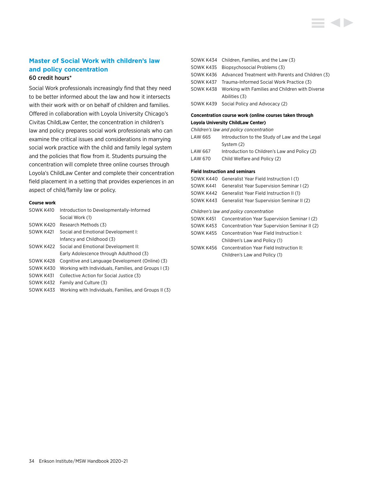# **Master of Social Work with children's law and policy concentration**

# 60 credit hours\*

Social Work professionals increasingly find that they need to be better informed about the law and how it intersects with their work with or on behalf of children and families. Offered in collaboration with Loyola University Chicago's Civitas ChildLaw Center, the concentration in children's law and policy prepares social work professionals who can examine the critical issues and considerations in marrying social work practice with the child and family legal system and the policies that flow from it. Students pursuing the concentration will complete three online courses through Loyola's ChildLaw Center and complete their concentration field placement in a setting that provides experiences in an aspect of child/family law or policy.

#### **Course work**

| SOWK K410 | Introduction to Developmentally-Informed              |
|-----------|-------------------------------------------------------|
|           | Social Work (1)                                       |
| SOWK K420 | Research Methods (3)                                  |
| SOWK K421 | Social and Emotional Development I:                   |
|           | Infancy and Childhood (3)                             |
| SOWK K422 | Social and Emotional Development II:                  |
|           | Early Adolescence through Adulthood (3)               |
| SOWK K428 | Cognitive and Language Development (Online) (3)       |
| SOWK K430 | Working with Individuals, Families, and Groups I (3)  |
| SOWK K431 | Collective Action for Social Justice (3)              |
| SOWK K432 | Family and Culture (3)                                |
| SOWK K433 | Working with Individuals, Families, and Groups II (3) |

| SOWK K434 Children, Families, and the Law (3)              |
|------------------------------------------------------------|
| SOWK K435 Biopsychosocial Problems (3)                     |
| SOWK K436 Advanced Treatment with Parents and Children (3) |
| SOWK K437 Trauma-Informed Social Work Practice (3)         |
| SOWK K438 Working with Families and Children with Diverse  |
| Abilities (3)                                              |
| SOWK K439 Social Policy and Advocacy (2)                   |
|                                                            |

#### **Concentration course work (online courses taken through Loyola University ChildLaw Center)**

| Children's law and policy concentration |                                                |  |  |  |
|-----------------------------------------|------------------------------------------------|--|--|--|
| LAW 665                                 | Introduction to the Study of Law and the Legal |  |  |  |
|                                         | System $(2)$                                   |  |  |  |
| LAW 667                                 | Introduction to Children's Law and Policy (2)  |  |  |  |
| LAW 670                                 | Child Welfare and Policy (2)                   |  |  |  |

#### **Field Instruction and seminars**

|                                         | SOWK K440 Generalist Year Field Instruction I (1)    |  |  |
|-----------------------------------------|------------------------------------------------------|--|--|
| SOWK K441                               | <b>Generalist Year Supervision Seminar I (2)</b>     |  |  |
|                                         | SOWK K442 Generalist Year Field Instruction II (1)   |  |  |
|                                         | SOWK K443 Generalist Year Supervision Seminar II (2) |  |  |
| Children's law and policy concentration |                                                      |  |  |
| SOWK K451                               | Concentration Year Supervision Seminar I (2)         |  |  |
| SOWK K453                               | Concentration Year Supervision Seminar II (2)        |  |  |
| SOWK K455                               | Concentration Year Field Instruction I:              |  |  |
|                                         | Children's Law and Policy (1)                        |  |  |
| SOWK K456                               | Concentration Year Field Instruction II:             |  |  |
|                                         | Children's Law and Policy (1)                        |  |  |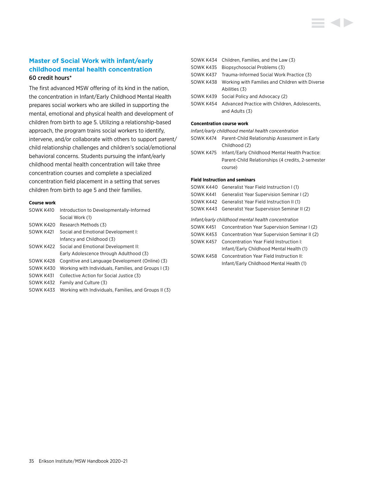# **Master of Social Work with infant/early childhood mental health concentration** 60 credit hours\*

The first advanced MSW offering of its kind in the nation, the concentration in Infant/Early Childhood Mental Health prepares social workers who are skilled in supporting the mental, emotional and physical health and development of children from birth to age 5. Utilizing a relationship-based approach, the program trains social workers to identify, intervene, and/or collaborate with others to support parent/ child relationship challenges and children's social/emotional behavioral concerns. Students pursuing the infant/early childhood mental health concentration will take three concentration courses and complete a specialized concentration field placement in a setting that serves children from birth to age 5 and their families.

#### **Course work**

| SOWK K410 | Introduction to Developmentally-Informed              |
|-----------|-------------------------------------------------------|
|           | Social Work (1)                                       |
| SOWK K420 | Research Methods (3)                                  |
| SOWK K421 | Social and Emotional Development I:                   |
|           | Infancy and Childhood (3)                             |
| SOWK K422 | Social and Emotional Development II:                  |
|           | Early Adolescence through Adulthood (3)               |
| SOWK K428 | Cognitive and Language Development (Online) (3)       |
| SOWK K430 | Working with Individuals, Families, and Groups I (3)  |
| SOWK K431 | Collective Action for Social Justice (3)              |
| SOWK K432 | Family and Culture (3)                                |
| SOWK K433 | Working with Individuals, Families, and Groups II (3) |

|  | SOWK K434 Children, Families, and the Law (3)             |
|--|-----------------------------------------------------------|
|  | SOWK K435 Biopsychosocial Problems (3)                    |
|  | SOWK K437 Trauma-Informed Social Work Practice (3)        |
|  | SOWK K438 Working with Families and Children with Diverse |
|  | Abilities (3)                                             |
|  | SOWK K439 Social Policy and Advocacy (2)                  |
|  | SOWK K454 Advanced Practice with Children, Adolescents,   |
|  | and Adults (3)                                            |
|  |                                                           |

#### **Concentration course work**

*Infant/early childhood mental health concentration*

- SOWK K474 Parent-Child Relationship Assessment in Early Childhood (2)
- SOWK K475 Infant/Early Childhood Mental Health Practice: Parent-Child Relationships (4 credits, 2-semester course)

#### **Field Instruction and seminars**

|           | SOWK K440 Generalist Year Field Instruction I (1)       |
|-----------|---------------------------------------------------------|
| SOWK K441 | <b>Generalist Year Supervision Seminar I (2)</b>        |
|           | SOWK K442 Generalist Year Field Instruction II (1)      |
| SOWK K443 | <b>Generalist Year Supervision Seminar II (2)</b>       |
|           | Infant/early childhood mental health concentration      |
| SOWK K451 | Concentration Year Supervision Seminar I (2)            |
|           | SOWK K453 Concentration Year Supervision Seminar II (2) |
| SOWK K457 | Concentration Year Field Instruction I:                 |
|           | Infant/Early Childhood Mental Health (1)                |
| SOWK K458 | Concentration Year Field Instruction II:                |
|           | Infant/Early Childhood Mental Health (1)                |
|           |                                                         |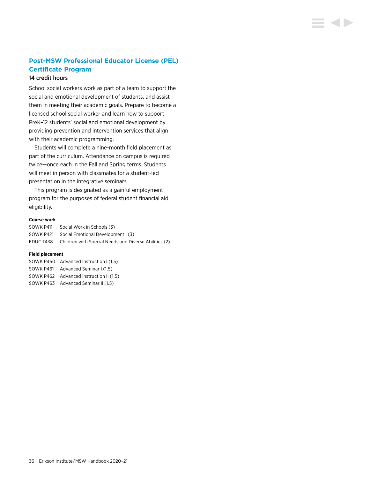# **Post-MSW Professional Educator License (PEL) Certificate Program**

▘◀▶

# 14 credit hours

School social workers work as part of a team to support the social and emotional development of students, and assist them in meeting their academic goals. Prepare to become a licensed school social worker and learn how to support PreK–12 students' social and emotional development by providing prevention and intervention services that align with their academic programming.

Students will complete a nine-month field placement as part of the curriculum. Attendance on campus is required twice—once each in the Fall and Spring terms. Students will meet in person with classmates for a student-led presentation in the integrative seminars.

This program is designated as a gainful employment program for the purposes of federal student financial aid eligibility.

#### **Course work**

| SOWK P411 | Social Work in Schools (3)                            |
|-----------|-------------------------------------------------------|
|           | SOWK P421 Social Emotional Development I (3)          |
| EDUC T438 | Children with Special Needs and Diverse Abilities (2) |

#### **Field placement**

| SOWK P460 Advanced Instruction I (1.5)  |
|-----------------------------------------|
| SOWK P461 Advanced Seminar I (1.5)      |
| SOWK P462 Advanced Instruction II (1.5) |
| SOWK P463 Advanced Seminar II (1.5)     |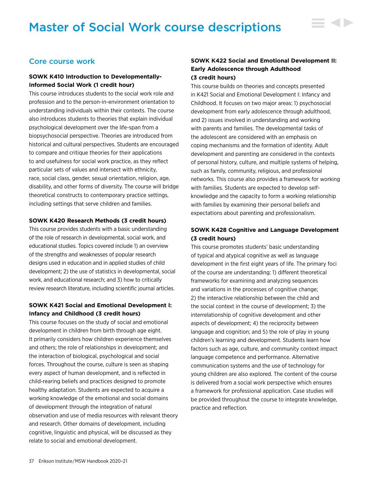# Core course work

# **SOWK K410 Introduction to Developmentally-Informed Social Work (1 credit hour)**

This course introduces students to the social work role and profession and to the person-in-environment orientation to understanding individuals within their contexts. The course also introduces students to theories that explain individual psychological development over the life-span from a biopsychosocial perspective. Theories are introduced from historical and cultural perspectives. Students are encouraged to compare and critique theories for their applications to and usefulness for social work practice, as they reflect particular sets of values and intersect with ethnicity, race, social class, gender, sexual orientation, religion, age, disability, and other forms of diversity. The course will bridge theoretical constructs to contemporary practice settings, including settings that serve children and families.

#### **SOWK K420 Research Methods (3 credit hours)**

This course provides students with a basic understanding of the role of research in developmental, social work, and educational studies. Topics covered include 1) an overview of the strengths and weaknesses of popular research designs used in education and in applied studies of child development; 2) the use of statistics in developmental, social work, and educational research; and 3) how to critically review research literature, including scientific journal articles.

# **SOWK K421 Social and Emotional Development I: Infancy and Childhood (3 credit hours)**

This course focuses on the study of social and emotional development in children from birth through age eight. It primarily considers how children experience themselves and others; the role of relationships in development; and the interaction of biological, psychological and social forces. Throughout the course, culture is seen as shaping every aspect of human development, and is reflected in child-rearing beliefs and practices designed to promote healthy adaptation. Students are expected to acquire a working knowledge of the emotional and social domains of development through the integration of natural observation and use of media resources with relevant theory and research. Other domains of development, including cognitive, linguistic and physical, will be discussed as they relate to social and emotional development.

# **SOWK K422 Social and Emotional Development II: Early Adolescence through Adulthood (3 credit hours)**

 $\equiv$  4  $\blacktriangleright$ 

This course builds on theories and concepts presented in K421 Social and Emotional Development I: Infancy and Childhood. It focuses on two major areas: 1) psychosocial development from early adolescence through adulthood, and 2) issues involved in understanding and working with parents and families. The developmental tasks of the adolescent are considered with an emphasis on coping mechanisms and the formation of identity. Adult development and parenting are considered in the contexts of personal history, culture, and multiple systems of helping, such as family, community, religious, and professional networks. This course also provides a framework for working with families. Students are expected to develop selfknowledge and the capacity to form a working relationship with families by examining their personal beliefs and expectations about parenting and professionalism.

# **SOWK K428 Cognitive and Language Development (3 credit hours)**

This course promotes students' basic understanding of typical and atypical cognitive as well as language development in the first eight years of life. The primary foci of the course are understanding: 1) different theoretical frameworks for examining and analyzing sequences and variations in the processes of cognitive change; 2) the interactive relationship between the child and the social context in the course of development; 3) the interrelationship of cognitive development and other aspects of development; 4) the reciprocity between language and cognition; and 5) the role of play in young children's learning and development. Students learn how factors such as age, culture, and community context impact language competence and performance. Alternative communication systems and the use of technology for young children are also explored. The content of the course is delivered from a social work perspective which ensures a framework for professional application. Case studies will be provided throughout the course to integrate knowledge, practice and reflection.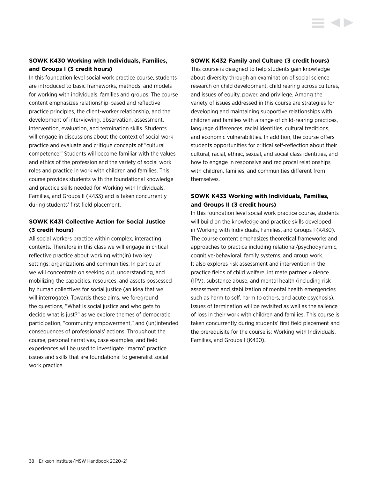# **SOWK K430 Working with Individuals, Families, and Groups I (3 credit hours)**

In this foundation level social work practice course, students are introduced to basic frameworks, methods, and models for working with individuals, families and groups. The course content emphasizes relationship-based and reflective practice principles, the client-worker relationship, and the development of interviewing, observation, assessment, intervention, evaluation, and termination skills. Students will engage in discussions about the context of social work practice and evaluate and critique concepts of "cultural competence." Students will become familiar with the values and ethics of the profession and the variety of social work roles and practice in work with children and families. This course provides students with the foundational knowledge and practice skills needed for Working with Individuals, Families, and Groups II (K433) and is taken concurrently during students' first field placement.

# **SOWK K431 Collective Action for Social Justice (3 credit hours)**

All social workers practice within complex, interacting contexts. Therefore in this class we will engage in critical reflective practice about working with(in) two key settings: organizations and communities. In particular we will concentrate on seeking out, understanding, and mobilizing the capacities, resources, and assets possessed by human collectives for social justice (an idea that we will interrogate). Towards these aims, we foreground the questions, "What is social justice and who gets to decide what is just?" as we explore themes of democratic participation, "community empowerment," and (un)intended consequences of professionals' actions. Throughout the course, personal narratives, case examples, and field experiences will be used to investigate "macro" practice issues and skills that are foundational to generalist social work practice.

#### **SOWK K432 Family and Culture (3 credit hours)**

This course is designed to help students gain knowledge about diversity through an examination of social science research on child development, child rearing across cultures, and issues of equity, power, and privilege. Among the variety of issues addressed in this course are strategies for developing and maintaining supportive relationships with children and families with a range of child-rearing practices, language differences, racial identities, cultural traditions, and economic vulnerabilities. In addition, the course offers students opportunities for critical self-reflection about their cultural, racial, ethnic, sexual, and social class identities, and how to engage in responsive and reciprocal relationships with children, families, and communities different from themselves.

# **SOWK K433 Working with Individuals, Families, and Groups II (3 credit hours)**

In this foundation level social work practice course, students will build on the knowledge and practice skills developed in Working with Individuals, Families, and Groups I (K430). The course content emphasizes theoretical frameworks and approaches to practice including relational/psychodynamic, cognitive-behavioral, family systems, and group work. It also explores risk assessment and intervention in the practice fields of child welfare, intimate partner violence (IPV), substance abuse, and mental health (including risk assessment and stabilization of mental health emergencies such as harm to self, harm to others, and acute psychosis). Issues of termination will be revisited as well as the salience of loss in their work with children and families. This course is taken concurrently during students' first field placement and the prerequisite for the course is: Working with Individuals, Families, and Groups I (K430).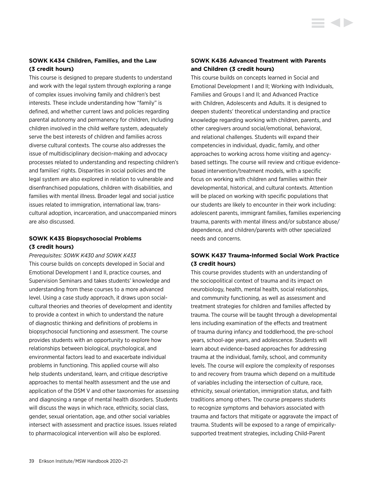# **SOWK K434 Children, Families, and the Law (3 credit hours)**

This course is designed to prepare students to understand and work with the legal system through exploring a range of complex issues involving family and children's best interests. These include understanding how "family" is defined, and whether current laws and policies regarding parental autonomy and permanency for children, including children involved in the child welfare system, adequately serve the best interests of children and families across diverse cultural contexts. The course also addresses the issue of multidisciplinary decision-making and advocacy processes related to understanding and respecting children's and families' rights. Disparities in social policies and the legal system are also explored in relation to vulnerable and disenfranchised populations, children with disabilities, and families with mental illness. Broader legal and social justice issues related to immigration, international law, transcultural adoption, incarceration, and unaccompanied minors are also discussed.

# **SOWK K435 Biopsychosocial Problems (3 credit hours)**

*Prerequisites: SOWK K430 and SOWK K433* This course builds on concepts developed in Social and Emotional Development I and II, practice courses, and Supervision Seminars and takes students' knowledge and understanding from these courses to a more advanced level. Using a case study approach, it draws upon socialcultural theories and theories of development and identity to provide a context in which to understand the nature of diagnostic thinking and definitions of problems in biopsychosocial functioning and assessment. The course provides students with an opportunity to explore how relationships between biological, psychological, and environmental factors lead to and exacerbate individual problems in functioning. This applied course will also help students understand, learn, and critique descriptive approaches to mental health assessment and the use and application of the DSM V and other taxonomies for assessing and diagnosing a range of mental health disorders. Students will discuss the ways in which race, ethnicity, social class, gender, sexual orientation, age, and other social variables intersect with assessment and practice issues. Issues related to pharmacological intervention will also be explored.

# **SOWK K436 Advanced Treatment with Parents and Children (3 credit hours)**

This course builds on concepts learned in Social and Emotional Development I and II; Working with Individuals, Families and Groups I and II; and Advanced Practice with Children, Adolescents and Adults. It is designed to deepen students' theoretical understanding and practice knowledge regarding working with children, parents, and other caregivers around social/emotional, behavioral, and relational challenges. Students will expand their competencies in individual, dyadic, family, and other approaches to working across home visiting and agencybased settings. The course will review and critique evidencebased intervention/treatment models, with a specific focus on working with children and families within their developmental, historical, and cultural contexts. Attention will be placed on working with specific populations that our students are likely to encounter in their work including: adolescent parents, immigrant families, families experiencing trauma, parents with mental illness and/or substance abuse/ dependence, and children/parents with other specialized needs and concerns.

# **SOWK K437 Trauma-Informed Social Work Practice (3 credit hours)**

This course provides students with an understanding of the sociopolitical context of trauma and its impact on neurobiology, health, mental health, social relationships, and community functioning, as well as assessment and treatment strategies for children and families affected by trauma. The course will be taught through a developmental lens including examination of the effects and treatment of trauma during infancy and toddlerhood, the pre-school years, school-age years, and adolescence. Students will learn about evidence-based approaches for addressing trauma at the individual, family, school, and community levels. The course will explore the complexity of responses to and recovery from trauma which depend on a multitude of variables including the intersection of culture, race, ethnicity, sexual orientation, immigration status, and faith traditions among others. The course prepares students to recognize symptoms and behaviors associated with trauma and factors that mitigate or aggravate the impact of trauma. Students will be exposed to a range of empiricallysupported treatment strategies, including Child-Parent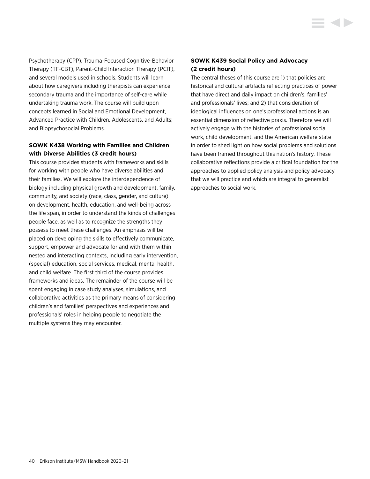Psychotherapy (CPP), Trauma-Focused Cognitive-Behavior Therapy (TF-CBT), Parent-Child Interaction Therapy (PCIT), and several models used in schools. Students will learn about how caregivers including therapists can experience secondary trauma and the importance of self-care while undertaking trauma work. The course will build upon concepts learned in Social and Emotional Development, Advanced Practice with Children, Adolescents, and Adults; and Biopsychosocial Problems.

# **SOWK K438 Working with Families and Children with Diverse Abilities (3 credit hours)**

This course provides students with frameworks and skills for working with people who have diverse abilities and their families. We will explore the interdependence of biology including physical growth and development, family, community, and society (race, class, gender, and culture) on development, health, education, and well-being across the life span, in order to understand the kinds of challenges people face, as well as to recognize the strengths they possess to meet these challenges. An emphasis will be placed on developing the skills to effectively communicate, support, empower and advocate for and with them within nested and interacting contexts, including early intervention, (special) education, social services, medical, mental health, and child welfare. The first third of the course provides frameworks and ideas. The remainder of the course will be spent engaging in case study analyses, simulations, and collaborative activities as the primary means of considering children's and families' perspectives and experiences and professionals' roles in helping people to negotiate the multiple systems they may encounter.

# **SOWK K439 Social Policy and Advocacy (2 credit hours)**

The central theses of this course are 1) that policies are historical and cultural artifacts reflecting practices of power that have direct and daily impact on children's, families' and professionals' lives; and 2) that consideration of ideological influences on one's professional actions is an essential dimension of reflective praxis. Therefore we will actively engage with the histories of professional social work, child development, and the American welfare state in order to shed light on how social problems and solutions have been framed throughout this nation's history. These collaborative reflections provide a critical foundation for the approaches to applied policy analysis and policy advocacy that we will practice and which are integral to generalist approaches to social work.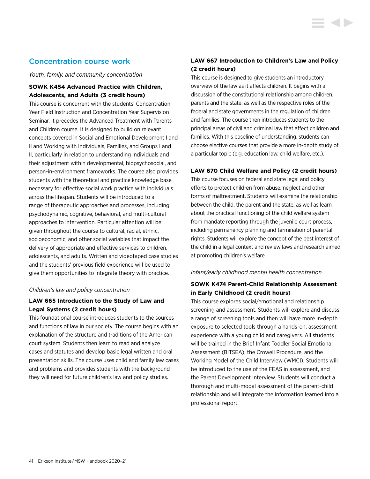# Concentration course work

*Youth, family, and community concentration*

# **SOWK K454 Advanced Practice with Children, Adolescents, and Adults (3 credit hours)**

This course is concurrent with the students' Concentration Year Field Instruction and Concentration Year Supervision Seminar. It precedes the Advanced Treatment with Parents and Children course. It is designed to build on relevant concepts covered in Social and Emotional Development I and II and Working with Individuals, Families, and Groups I and II, particularly in relation to understanding individuals and their adjustment within developmental, biopsychosocial, and person-in-environment frameworks. The course also provides students with the theoretical and practice knowledge base necessary for effective social work practice with individuals across the lifespan. Students will be introduced to a range of therapeutic approaches and processes, including psychodynamic, cognitive, behavioral, and multi-cultural approaches to intervention. Particular attention will be given throughout the course to cultural, racial, ethnic, socioeconomic, and other social variables that impact the delivery of appropriate and effective services to children, adolescents, and adults. Written and videotaped case studies and the students' previous field experience will be used to give them opportunities to integrate theory with practice.

#### *Children's law and policy concentration*

# **LAW 665 Introduction to the Study of Law and Legal Systems (2 credit hours)**

This foundational course introduces students to the sources and functions of law in our society. The course begins with an explanation of the structure and traditions of the American court system. Students then learn to read and analyze cases and statutes and develop basic legal written and oral presentation skills. The course uses child and family law cases and problems and provides students with the background they will need for future children's law and policy studies.

# **LAW 667 Introduction to Children's Law and Policy (2 credit hours)**

E GID

This course is designed to give students an introductory overview of the law as it affects children. It begins with a discussion of the constitutional relationship among children, parents and the state, as well as the respective roles of the federal and state governments in the regulation of children and families. The course then introduces students to the principal areas of civil and criminal law that affect children and families. With this baseline of understanding, students can choose elective courses that provide a more in-depth study of a particular topic (e.g. education law, child welfare, etc.).

#### **LAW 670 Child Welfare and Policy (2 credit hours)**

This course focuses on federal and state legal and policy efforts to protect children from abuse, neglect and other forms of maltreatment. Students will examine the relationship between the child, the parent and the state, as well as learn about the practical functioning of the child welfare system from mandate reporting through the juvenile court process, including permanency planning and termination of parental rights. Students will explore the concept of the best interest of the child in a legal context and review laws and research aimed at promoting children's welfare.

#### *Infant/early childhood mental health concentration*

# **SOWK K474 Parent-Child Relationship Assessment in Early Childhood (2 credit hours)**

This course explores social/emotional and relationship screening and assessment. Students will explore and discuss a range of screening tools and then will have more in-depth exposure to selected tools through a hands-on, assessment experience with a young child and caregivers. All students will be trained in the Brief Infant Toddler Social Emotional Assessment (BITSEA), the Crowell Procedure, and the Working Model of the Child Interview (WMCI). Students will be introduced to the use of the FEAS in assessment, and the Parent Development Interview. Students will conduct a thorough and multi-modal assessment of the parent-child relationship and will integrate the information learned into a professional report.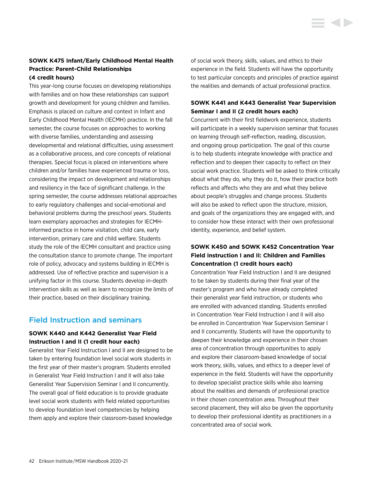# **SOWK K475 Infant/Early Childhood Mental Health Practice: Parent-Child Relationships (4 credit hours)**

This year-long course focuses on developing relationships with families and on how these relationships can support growth and development for young children and families. Emphasis is placed on culture and context in Infant and Early Childhood Mental Health (IECMH) practice. In the fall semester, the course focuses on approaches to working with diverse families, understanding and assessing developmental and relational difficulties, using assessment as a collaborative process, and core concepts of relational therapies. Special focus is placed on interventions where children and/or families have experienced trauma or loss, considering the impact on development and relationships and resiliency in the face of significant challenge. In the spring semester, the course addresses relational approaches to early regulatory challenges and social-emotional and behavioral problems during the preschool years. Students learn exemplary approaches and strategies for IECMHinformed practice in home visitation, child care, early intervention, primary care and child welfare. Students study the role of the IECMH consultant and practice using the consultation stance to promote change. The important role of policy, advocacy and systems building in IECMH is addressed. Use of reflective practice and supervision is a unifying factor in this course. Students develop in-depth intervention skills as well as learn to recognize the limits of their practice, based on their disciplinary training.

# Field Instruction and seminars

# **SOWK K440 and K442 Generalist Year Field Instruction I and II (1 credit hour each)**

Generalist Year Field Instruction I and II are designed to be taken by entering foundation level social work students in the first year of their master's program. Students enrolled in Generalist Year Field Instruction I and II will also take Generalist Year Supervision Seminar I and II concurrently. The overall goal of field education is to provide graduate level social work students with field related opportunities to develop foundation level competencies by helping them apply and explore their classroom-based knowledge

of social work theory, skills, values, and ethics to their experience in the field. Students will have the opportunity to test particular concepts and principles of practice against the realities and demands of actual professional practice.

# **SOWK K441 and K443 Generalist Year Supervision Seminar I and II (2 credit hours each)**

Concurrent with their first fieldwork experience, students will participate in a weekly supervision seminar that focuses on learning through self-reflection, reading, discussion, and ongoing group participation. The goal of this course is to help students integrate knowledge with practice and reflection and to deepen their capacity to reflect on their social work practice. Students will be asked to think critically about what they do, why they do it, how their practice both reflects and affects who they are and what they believe about people's struggles and change process. Students will also be asked to reflect upon the structure, mission, and goals of the organizations they are engaged with, and to consider how these interact with their own professional identity, experience, and belief system.

# **SOWK K450 and SOWK K452 Concentration Year Field Instruction I and II: Children and Families Concentration (1 credit hours each)**

Concentration Year Field Instruction I and II are designed to be taken by students during their final year of the master's program and who have already completed their generalist year field instruction, or students who are enrolled with advanced standing. Students enrolled in Concentration Year Field Instruction I and II will also be enrolled in Concentration Year Supervision Seminar I and II concurrently. Students will have the opportunity to deepen their knowledge and experience in their chosen area of concentration through opportunities to apply and explore their classroom-based knowledge of social work theory, skills, values, and ethics to a deeper level of experience in the field. Students will have the opportunity to develop specialist practice skills while also learning about the realities and demands of professional practice in their chosen concentration area. Throughout their second placement, they will also be given the opportunity to develop their professional identity as practitioners in a concentrated area of social work.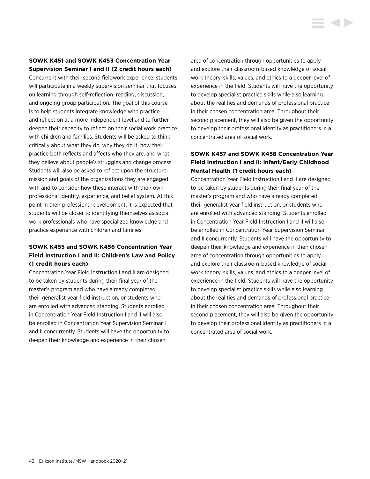# **SOWK K451 and SOWK K453 Concentration Year Supervision Seminar I and II (2 credit hours each)**

Concurrent with their second fieldwork experience, students will participate in a weekly supervision seminar that focuses on learning through self-reflection, reading, discussion, and ongoing group participation. The goal of this course is to help students integrate knowledge with practice and reflection at a more independent level and to further deepen their capacity to reflect on their social work practice with children and families. Students will be asked to think critically about what they do, why they do it, how their practice both reflects and affects who they are, and what they believe about people's struggles and change process. Students will also be asked to reflect upon the structure, mission and goals of the organizations they are engaged with and to consider how these interact with their own professional identity, experience, and belief system. At this point in their professional development, it is expected that students will be closer to identifying themselves as social work professionals who have specialized knowledge and practice experience with children and families.

# **SOWK K455 and SOWK K456 Concentration Year Field Instruction I and II: Children's Law and Policy (1 credit hours each)**

Concentration Year Field Instruction I and II are designed to be taken by students during their final year of the master's program and who have already completed their generalist year field instruction, or students who are enrolled with advanced standing. Students enrolled in Concentration Year Field Instruction I and II will also be enrolled in Concentration Year Supervision Seminar I and II concurrently. Students will have the opportunity to deepen their knowledge and experience in their chosen

area of concentration through opportunities to apply and explore their classroom-based knowledge of social work theory, skills, values, and ethics to a deeper level of experience in the field. Students will have the opportunity to develop specialist practice skills while also learning about the realities and demands of professional practice in their chosen concentration area. Throughout their second placement, they will also be given the opportunity to develop their professional identity as practitioners in a concentrated area of social work.

# **SOWK K457 and SOWK K458 Concentration Year Field Instruction I and II: Infant/Early Childhood Mental Health (1 credit hours each)**

Concentration Year Field Instruction I and II are designed to be taken by students during their final year of the master's program and who have already completed their generalist year field instruction, or students who are enrolled with advanced standing. Students enrolled in Concentration Year Field Instruction I and II will also be enrolled in Concentration Year Supervision Seminar I and II concurrently. Students will have the opportunity to deepen their knowledge and experience in their chosen area of concentration through opportunities to apply and explore their classroom-based knowledge of social work theory, skills, values, and ethics to a deeper level of experience in the field. Students will have the opportunity to develop specialist practice skills while also learning about the realities and demands of professional practice in their chosen concentration area. Throughout their second placement, they will also be given the opportunity to develop their professional identity as practitioners in a concentrated area of social work.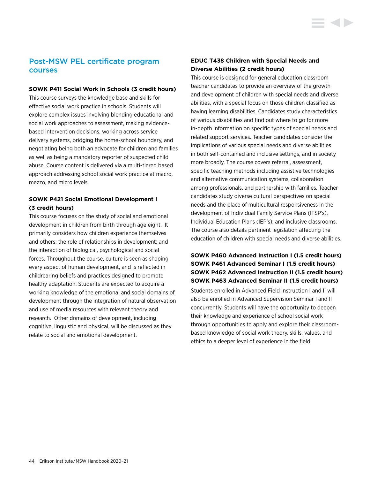# Post-MSW PEL certificate program courses

#### **SOWK P411 Social Work in Schools (3 credit hours)**

This course surveys the knowledge base and skills for effective social work practice in schools. Students will explore complex issues involving blending educational and social work approaches to assessment, making evidencebased intervention decisions, working across service delivery systems, bridging the home-school boundary, and negotiating being both an advocate for children and families as well as being a mandatory reporter of suspected child abuse. Course content is delivered via a multi-tiered based approach addressing school social work practice at macro, mezzo, and micro levels.

# **SOWK P421 Social Emotional Development I (3 credit hours)**

This course focuses on the study of social and emotional development in children from birth through age eight. It primarily considers how children experience themselves and others; the role of relationships in development; and the interaction of biological, psychological and social forces. Throughout the course, culture is seen as shaping every aspect of human development, and is reflected in childrearing beliefs and practices designed to promote healthy adaptation. Students are expected to acquire a working knowledge of the emotional and social domains of development through the integration of natural observation and use of media resources with relevant theory and research. Other domains of development, including cognitive, linguistic and physical, will be discussed as they relate to social and emotional development.

# **EDUC T438 Children with Special Needs and Diverse Abilities (2 credit hours)**

This course is designed for general education classroom teacher candidates to provide an overview of the growth and development of children with special needs and diverse abilities, with a special focus on those children classified as having learning disabilities. Candidates study characteristics of various disabilities and find out where to go for more in-depth information on specific types of special needs and related support services. Teacher candidates consider the implications of various special needs and diverse abilities in both self-contained and inclusive settings, and in society more broadly. The course covers referral, assessment, specific teaching methods including assistive technologies and alternative communication systems, collaboration among professionals, and partnership with families. Teacher candidates study diverse cultural perspectives on special needs and the place of multicultural responsiveness in the development of Individual Family Service Plans (IFSP's), Individual Education Plans (IEP's), and inclusive classrooms. The course also details pertinent legislation affecting the education of children with special needs and diverse abilities.

# **SOWK P460 Advanced Instruction I (1.5 credit hours) SOWK P461 Advanced Seminar I (1.5 credit hours) SOWK P462 Advanced Instruction II (1.5 credit hours) SOWK P463 Advanced Seminar II (1.5 credit hours)**

Students enrolled in Advanced Field Instruction I and II will also be enrolled in Advanced Supervision Seminar I and II concurrently. Students will have the opportunity to deepen their knowledge and experience of school social work through opportunities to apply and explore their classroombased knowledge of social work theory, skills, values, and ethics to a deeper level of experience in the field.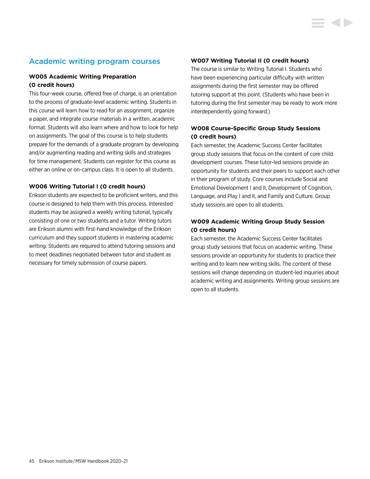# Academic writing program courses

# **W005 Academic Writing Preparation (0 credit hours)**

This four-week course, offered free of charge, is an orientation to the process of graduate-level academic writing. Students in this course will learn how to read for an assignment, organize a paper, and integrate course materials in a written, academic format. Students will also learn where and how to look for help on assignments. The goal of this course is to help students prepare for the demands of a graduate program by developing and/or augmenting reading and writing skills and strategies for time management. Students can register for this course as either an online or on-campus class. It is open to all students.

## **W006 Writing Tutorial I (0 credit hours)**

Erikson students are expected to be proficient writers, and this course is designed to help them with this process. Interested students may be assigned a weekly writing tutorial, typically consisting of one or two students and a tutor. Writing tutors are Erikson alumni with first-hand knowledge of the Erikson curriculum and they support students in mastering academic writing. Students are required to attend tutoring sessions and to meet deadlines negotiated between tutor and student as necessary for timely submission of course papers.

#### **W007 Writing Tutorial II (0 credit hours)**

The course is similar to Writing Tutorial I. Students who have been experiencing particular difficulty with written assignments during the first semester may be offered tutoring support at this point. (Students who have been in tutoring during the first semester may be ready to work more interdependently going forward.)

# **W008 Course-Specific Group Study Sessions (0 credit hours)**

Each semester, the Academic Success Center facilitates group study sessions that focus on the content of core child development courses. These tutor-led sessions provide an opportunity for students and their peers to support each other in their program of study. Core courses include Social and Emotional Development I and II, Development of Cognition, Language, and Play I and II, and Family and Culture. Group study sessions are open to all students.

# **W009 Academic Writing Group Study Session (0 credit hours)**

Each semester, the Academic Success Center facilitates group study sessions that focus on academic writing. These sessions provide an opportunity for students to practice their writing and to learn new writing skills. The content of these sessions will change depending on student-led inquiries about academic writing and assignments. Writing group sessions are open to all students.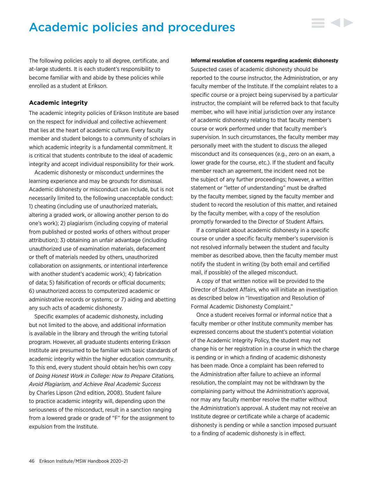# Academic policies and procedures

The following policies apply to all degree, certificate, and at-large students. It is each student's responsibility to become familiar with and abide by these policies while enrolled as a student at Erikson.

### **Academic integrity**

The academic integrity policies of Erikson Institute are based on the respect for individual and collective achievement that lies at the heart of academic culture. Every faculty member and student belongs to a community of scholars in which academic integrity is a fundamental commitment. It is critical that students contribute to the ideal of academic integrity and accept individual responsibility for their work.

Academic dishonesty or misconduct undermines the learning experience and may be grounds for dismissal. Academic dishonesty or misconduct can include, but is not necessarily limited to, the following unacceptable conduct: 1) cheating (including use of unauthorized materials, altering a graded work, or allowing another person to do one's work); 2) plagiarism (including copying of material from published or posted works of others without proper attribution); 3) obtaining an unfair advantage (including unauthorized use of examination materials, defacement or theft of materials needed by others, unauthorized collaboration on assignments, or intentional interference with another student's academic work); 4) fabrication of data; 5) falsification of records or official documents; 6) unauthorized access to computerized academic or administrative records or systems; or 7) aiding and abetting any such acts of academic dishonesty.

Specific examples of academic dishonesty, including but not limited to the above, and additional information is available in the library and through the writing tutorial program. However, all graduate students entering Erikson Institute are presumed to be familiar with basic standards of academic integrity within the higher education community. To this end, every student should obtain her/his own copy of *Doing Honest Work in College: How to Prepare Citations, Avoid Plagiarism, and Achieve Real Academic Success* by Charles Lipson (2nd edition, 2008). Student failure to practice academic integrity will, depending upon the seriousness of the misconduct, result in a sanction ranging from a lowered grade or grade of "F" for the assignment to expulsion from the Institute.

#### **Informal resolution of concerns regarding academic dishonesty**

▄▗▖▅

Suspected cases of academic dishonesty should be reported to the course instructor, the Administration, or any faculty member of the Institute. If the complaint relates to a specific course or a project being supervised by a particular instructor, the complaint will be referred back to that faculty member, who will have initial jurisdiction over any instance of academic dishonesty relating to that faculty member's course or work performed under that faculty member's supervision. In such circumstances, the faculty member may personally meet with the student to discuss the alleged misconduct and its consequences (e.g., zero on an exam, a lower grade for the course, etc.). If the student and faculty member reach an agreement, the incident need not be the subject of any further proceedings; however, a written statement or "letter of understanding" must be drafted by the faculty member, signed by the faculty member and student to record the resolution of this matter, and retained by the faculty member, with a copy of the resolution promptly forwarded to the Director of Student Affairs.

If a complaint about academic dishonesty in a specific course or under a specific faculty member's supervision is not resolved informally between the student and faculty member as described above, then the faculty member must notify the student in writing (by both email and certified mail, if possible) of the alleged misconduct.

A copy of that written notice will be provided to the Director of Student Affairs, who will initiate an investigation as described below in "Investigation and Resolution of Formal Academic Dishonesty Complaint."

Once a student receives formal or informal notice that a faculty member or other Institute community member has expressed concerns about the student's potential violation of the Academic Integrity Policy, the student may not change his or her registration in a course in which the charge is pending or in which a finding of academic dishonesty has been made. Once a complaint has been referred to the Administration after failure to achieve an informal resolution, the complaint may not be withdrawn by the complaining party without the Administration's approval, nor may any faculty member resolve the matter without the Administration's approval. A student may not receive an Institute degree or certificate while a charge of academic dishonesty is pending or while a sanction imposed pursuant to a finding of academic dishonesty is in effect.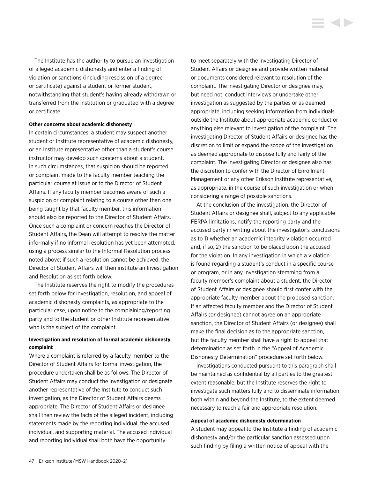The Institute has the authority to pursue an investigation of alleged academic dishonesty and enter a finding of violation or sanctions (including rescission of a degree or certificate) against a student or former student, notwithstanding that student's having already withdrawn or transferred from the institution or graduated with a degree or certificate.

#### **Other concerns about academic dishonesty**

In certain circumstances, a student may suspect another student or Institute representative of academic dishonesty, or an Institute representative other than a student's course instructor may develop such concerns about a student. In such circumstances, that suspicion should be reported or complaint made to the faculty member teaching the particular course at issue or to the Director of Student Affairs. If any faculty member becomes aware of such a suspicion or complaint relating to a course other than one being taught by that faculty member, this information should also be reported to the Director of Student Affairs. Once such a complaint or concern reaches the Director of Student Affairs, the Dean will attempt to resolve the matter informally if no informal resolution has yet been attempted, using a process similar to the Informal Resolution process noted above; if such a resolution cannot be achieved, the Director of Student Affairs will then institute an Investigation and Resolution as set forth below.

The Institute reserves the right to modify the procedures set forth below for investigation, resolution, and appeal of academic dishonesty complaints, as appropriate to the particular case, upon notice to the complaining/reporting party and to the student or other Institute representative who is the subject of the complaint.

#### **Investigation and resolution of formal academic dishonesty complaint**

Where a complaint is referred by a faculty member to the Director of Student Affairs for formal investigation, the procedure undertaken shall be as follows. The Director of Student Affairs may conduct the investigation or designate another representative of the Institute to conduct such investigation, as the Director of Student Affairs deems appropriate. The Director of Student Affairs or designee shall then review the facts of the alleged incident, including statements made by the reporting individual, the accused individual, and supporting material. The accused individual and reporting individual shall both have the opportunity

to meet separately with the investigating Director of Student Affairs or designee and provide written material or documents considered relevant to resolution of the complaint. The investigating Director or designee may, but need not, conduct interviews or undertake other investigation as suggested by the parties or as deemed appropriate, including seeking information from individuals outside the Institute about appropriate academic conduct or anything else relevant to investigation of the complaint. The investigating Director of Student Affairs or designee has the discretion to limit or expand the scope of the investigation as deemed appropriate to dispose fully and fairly of the complaint. The investigating Director or designee also has the discretion to confer with the Director of Enrollment Management or any other Erikson Institute representative, as appropriate, in the course of such investigation or when considering a range of possible sanctions.

At the conclusion of the investigation, the Director of Student Affairs or designee shall, subject to any applicable FERPA limitations, notify the reporting party and the accused party in writing about the investigator's conclusions as to 1) whether an academic integrity violation occurred and, if so, 2) the sanction to be placed upon the accused for the violation. In any investigation in which a violation is found regarding a student's conduct in a specific course or program, or in any investigation stemming from a faculty member's complaint about a student, the Director of Student Affairs or designee should first confer with the appropriate faculty member about the proposed sanction. If an affected faculty member and the Director of Student Affairs (or designee) cannot agree on an appropriate sanction, the Director of Student Affairs (or designee) shall make the final decision as to the appropriate sanction, but the faculty member shall have a right to appeal that determination as set forth in the "Appeal of Academic Dishonesty Determination" procedure set forth below.

Investigations conducted pursuant to this paragraph shall be maintained as confidential by all parties to the greatest extent reasonable, but the Institute reserves the right to investigate such matters fully and to disseminate information, both within and beyond the Institute, to the extent deemed necessary to reach a fair and appropriate resolution.

#### **Appeal of academic dishonesty determination**

A student may appeal to the Institute a finding of academic dishonesty and/or the particular sanction assessed upon such finding by filing a written notice of appeal with the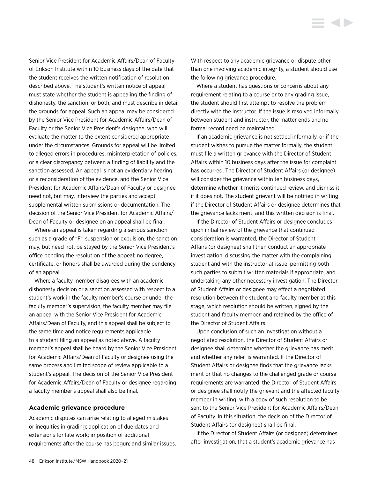Senior Vice President for Academic Affairs/Dean of Faculty of Erikson Institute within 10 business days of the date that the student receives the written notification of resolution described above. The student's written notice of appeal must state whether the student is appealing the finding of dishonesty, the sanction, or both, and must describe in detail the grounds for appeal. Such an appeal may be considered by the Senior Vice President for Academic Affairs/Dean of Faculty or the Senior Vice President's designee, who will evaluate the matter to the extent considered appropriate under the circumstances. Grounds for appeal will be limited to alleged errors in procedures, misinterpretation of policies, or a clear discrepancy between a finding of liability and the sanction assessed. An appeal is not an evidentiary hearing or a reconsideration of the evidence, and the Senior Vice President for Academic Affairs/Dean of Faculty or designee need not, but may, interview the parties and accept supplemental written submissions or documentation. The decision of the Senior Vice President for Academic Affairs/ Dean of Faculty or designee on an appeal shall be final.

Where an appeal is taken regarding a serious sanction such as a grade of "F," suspension or expulsion, the sanction may, but need not, be stayed by the Senior Vice President's office pending the resolution of the appeal; no degree, certificate, or honors shall be awarded during the pendency of an appeal.

Where a faculty member disagrees with an academic dishonesty decision or a sanction assessed with respect to a student's work in the faculty member's course or under the faculty member's supervision, the faculty member may file an appeal with the Senior Vice President for Academic Affairs/Dean of Faculty, and this appeal shall be subject to the same time and notice requirements applicable to a student filing an appeal as noted above. A faculty member's appeal shall be heard by the Senior Vice President for Academic Affairs/Dean of Faculty or designee using the same process and limited scope of review applicable to a student's appeal. The decision of the Senior Vice President for Academic Affairs/Dean of Faculty or designee regarding a faculty member's appeal shall also be final.

#### **Academic grievance procedure**

Academic disputes can arise relating to alleged mistakes or inequities in grading; application of due dates and extensions for late work; imposition of additional requirements after the course has begun; and similar issues. With respect to any academic grievance or dispute other than one involving academic integrity, a student should use the following grievance procedure.

**SOFT** 

Where a student has questions or concerns about any requirement relating to a course or to any grading issue, the student should first attempt to resolve the problem directly with the instructor. If the issue is resolved informally between student and instructor, the matter ends and no formal record need be maintained.

If an academic grievance is not settled informally, or if the student wishes to pursue the matter formally, the student must file a written grievance with the Director of Student Affairs within 10 business days after the issue for complaint has occurred. The Director of Student Affairs (or designee) will consider the grievance within ten business days, determine whether it merits continued review, and dismiss it if it does not. The student grievant will be notified in writing if the Director of Student Affairs or designee determines that the grievance lacks merit, and this written decision is final.

If the Director of Student Affairs or designee concludes upon initial review of the grievance that continued consideration is warranted, the Director of Student Affairs (or designee) shall then conduct an appropriate investigation, discussing the matter with the complaining student and with the instructor at issue, permitting both such parties to submit written materials if appropriate, and undertaking any other necessary investigation. The Director of Student Affairs or designee may effect a negotiated resolution between the student and faculty member at this stage, which resolution should be written, signed by the student and faculty member, and retained by the office of the Director of Student Affairs.

Upon conclusion of such an investigation without a negotiated resolution, the Director of Student Affairs or designee shall determine whether the grievance has merit and whether any relief is warranted. If the Director of Student Affairs or designee finds that the grievance lacks merit or that no changes to the challenged grade or course requirements are warranted, the Director of Student Affairs or designee shall notify the grievant and the affected faculty member in writing, with a copy of such resolution to be sent to the Senior Vice President for Academic Affairs/Dean of Faculty. In this situation, the decision of the Director of Student Affairs (or designee) shall be final.

If the Director of Student Affairs (or designee) determines, after investigation, that a student's academic grievance has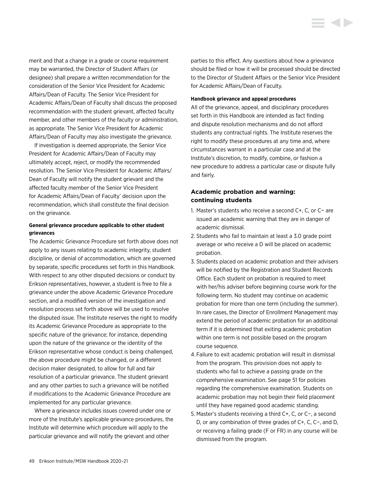<span id="page-49-0"></span>merit and that a change in a grade or course requirement may be warranted, the Director of Student Affairs (or designee) shall prepare a written recommendation for the consideration of the Senior Vice President for Academic Affairs/Dean of Faculty. The Senior Vice President for Academic Affairs/Dean of Faculty shall discuss the proposed recommendation with the student grievant, affected faculty member, and other members of the faculty or administration, as appropriate. The Senior Vice President for Academic Affairs/Dean of Faculty may also investigate the grievance.

If investigation is deemed appropriate, the Senior Vice President for Academic Affairs/Dean of Faculty may ultimately accept, reject, or modify the recommended resolution. The Senior Vice President for Academic Affairs/ Dean of Faculty will notify the student grievant and the affected faculty member of the Senior Vice President for Academic Affairs/Dean of Faculty' decision upon the recommendation, which shall constitute the final decision on the grievance.

# **General grievance procedure applicable to other student grievances**

The Academic Grievance Procedure set forth above does not apply to any issues relating to academic integrity, student discipline, or denial of accommodation, which are governed by separate, specific procedures set forth in this Handbook. With respect to any other disputed decisions or conduct by Erikson representatives, however, a student is free to file a grievance under the above Academic Grievance Procedure section, and a modified version of the investigation and resolution process set forth above will be used to resolve the disputed issue. The Institute reserves the right to modify its Academic Grievance Procedure as appropriate to the specific nature of the grievance; for instance, depending upon the nature of the grievance or the identity of the Erikson representative whose conduct is being challenged, the above procedure might be changed, or a different decision maker designated, to allow for full and fair resolution of a particular grievance. The student grievant and any other parties to such a grievance will be notified if modifications to the Academic Grievance Procedure are implemented for any particular grievance.

Where a grievance includes issues covered under one or more of the Institute's applicable grievance procedures, the Institute will determine which procedure will apply to the particular grievance and will notify the grievant and other

parties to this effect. Any questions about how a grievance should be filed or how it will be processed should be directed to the Director of Student Affairs or the Senior Vice President for Academic Affairs/Dean of Faculty.

#### **Handbook grievance and appeal procedures**

All of the grievance, appeal, and disciplinary procedures set forth in this Handbook are intended as fact finding and dispute resolution mechanisms and do not afford students any contractual rights. The Institute reserves the right to modify these procedures at any time and, where circumstances warrant in a particular case and at the Institute's discretion, to modify, combine, or fashion a new procedure to address a particular case or dispute fully and fairly.

# **Academic probation and warning: continuing students**

- 1. Master's students who receive a second C+, C, or C− are issued an academic warning that they are in danger of academic dismissal.
- 2. Students who fail to maintain at least a 3.0 grade point average or who receive a D will be placed on academic probation.
- 3. Students placed on academic probation and their advisers will be notified by the Registration and Student Records Office. Each student on probation is required to meet with her/his adviser before beginning course work for the following term. No student may continue on academic probation for more than one term (including the summer). In rare cases, the Director of Enrollment Management may extend the period of academic probation for an additional term if it is determined that exiting academic probation within one term is not possible based on the program course sequence.
- 4. Failure to exit academic probation will result in dismissal from the program. This provision does not apply to students who fail to achieve a passing grade on the comprehensive examination. [See page 51](#page-51-0) for policies regarding the comprehensive examination. Students on academic probation may not begin their field placement until they have regained good academic standing.
- 5. Master's students receiving a third C+, C, or C−, a second D, or any combination of three grades of C+, C, C−, and D, or receiving a failing grade (F or FR) in any course will be dismissed from the program.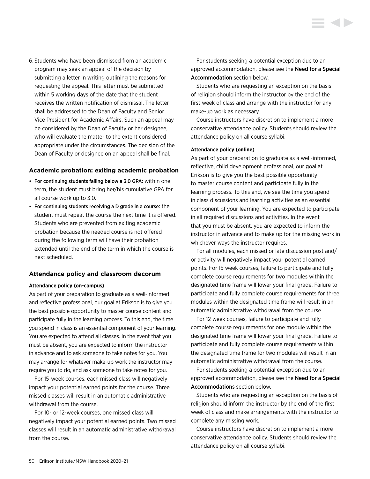6. Students who have been dismissed from an academic program may seek an appeal of the decision by submitting a letter in writing outlining the reasons for requesting the appeal. This letter must be submitted within 5 working days of the date that the student receives the written notification of dismissal. The letter shall be addressed to the Dean of Faculty and Senior Vice President for Academic Affairs. Such an appeal may be considered by the Dean of Faculty or her designee, who will evaluate the matter to the extent considered appropriate under the circumstances. The decision of the Dean of Faculty or designee on an appeal shall be final.

#### **Academic probation: exiting academic probation**

- For continuing students falling below a 3.0 GPA: within one term, the student must bring her/his cumulative GPA for all course work up to 3.0.
- For continuing students receiving a D grade in a course: the student must repeat the course the next time it is offered. Students who are prevented from exiting academic probation because the needed course is not offered during the following term will have their probation extended until the end of the term in which the course is next scheduled.

#### **Attendance policy and classroom decorum**

#### **Attendance policy (on-campus)**

As part of your preparation to graduate as a well-informed and reflective professional, our goal at Erikson is to give you the best possible opportunity to master course content and participate fully in the learning process. To this end, the time you spend in class is an essential component of your learning. You are expected to attend all classes. In the event that you must be absent, you are expected to inform the instructor in advance and to ask someone to take notes for you. You may arrange for whatever make-up work the instructor may require you to do, and ask someone to take notes for you.

For 15-week courses, each missed class will negatively impact your potential earned points for the course. Three missed classes will result in an automatic administrative withdrawal from the course.

For 10- or 12-week courses, one missed class will negatively impact your potential earned points. Two missed classes will result in an automatic administrative withdrawal from the course.

For students seeking a potential exception due to an approved accommodation, please see the Need for a Special Accommodation section below.

Students who are requesting an exception on the basis of religion should inform the instructor by the end of the first week of class and arrange with the instructor for any make-up work as necessary.

Course instructors have discretion to implement a more conservative attendance policy. Students should review the attendance policy on all course syllabi.

#### **Attendance policy (online)**

As part of your preparation to graduate as a well-informed, reflective, child development professional, our goal at Erikson is to give you the best possible opportunity to master course content and participate fully in the learning process. To this end, we see the time you spend in class discussions and learning activities as an essential component of your learning. You are expected to participate in all required discussions and activities. In the event that you must be absent, you are expected to inform the instructor in advance and to make up for the missing work in whichever ways the instructor requires.

For all modules, each missed or late discussion post and/ or activity will negatively impact your potential earned points. For 15 week courses, failure to participate and fully complete course requirements for two modules within the designated time frame will lower your final grade. Failure to participate and fully complete course requirements for three modules within the designated time frame will result in an automatic administrative withdrawal from the course.

For 12 week courses, failure to participate and fully complete course requirements for one module within the designated time frame will lower your final grade. Failure to participate and fully complete course requirements within the designated time frame for two modules will result in an automatic administrative withdrawal from the course.

For students seeking a potential exception due to an approved accommodation, please see the Need for a Special Accommodations section below.

Students who are requesting an exception on the basis of religion should inform the instructor by the end of the first week of class and make arrangements with the instructor to complete any missing work.

Course instructors have discretion to implement a more conservative attendance policy. Students should review the attendance policy on all course syllabi.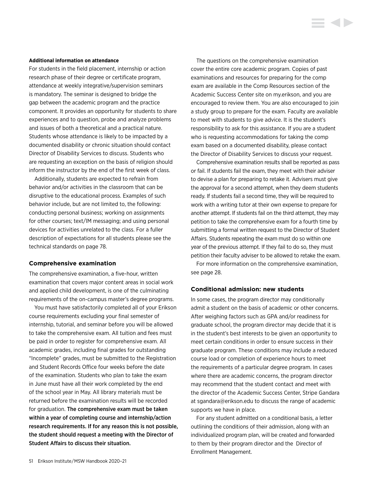#### <span id="page-51-0"></span>**Additional information on attendance**

For students in the field placement, internship or action research phase of their degree or certificate program, attendance at weekly integrative/supervision seminars is mandatory. The seminar is designed to bridge the gap between the academic program and the practice component. It provides an opportunity for students to share experiences and to question, probe and analyze problems and issues of both a theoretical and a practical nature. Students whose attendance is likely to be impacted by a documented disability or chronic situation should contact Director of Disability Services to discuss. Students who are requesting an exception on the basis of religion should inform the instructor by the end of the first week of class.

Additionally, students are expected to refrain from behavior and/or activities in the classroom that can be disruptive to the educational process. Examples of such behavior include, but are not limited to, the following: conducting personal business; working on assignments for other courses; text/IM messaging; and using personal devices for activities unrelated to the class. For a fuller description of expectations for all students please see the [technical standards on page 78.](#page-78-0)

#### **Comprehensive examination**

The comprehensive examination, a five-hour, written examination that covers major content areas in social work and applied child development, is one of the culminating requirements of the on-campus master's degree programs.

You must have satisfactorily completed all of your Erikson course requirements excluding your final semester of internship, tutorial, and seminar before you will be allowed to take the comprehensive exam. All tuition and fees must be paid in order to register for comprehensive exam. All academic grades, including final grades for outstanding "Incomplete" grades, must be submitted to the Registration and Student Records Office four weeks before the date of the examination. Students who plan to take the exam in June must have all their work completed by the end of the school year in May. All library materials must be returned before the examination results will be recorded for graduation. The comprehensive exam must be taken within a year of completing course and internship/action research requirements. If for any reason this is not possible, the student should request a meeting with the Director of Student Affairs to discuss their situation.

The questions on the comprehensive examination cover the entire core academic program. Copies of past examinations and resources for preparing for the comp exam are available in the Comp Resources section of the Academic Success Center site on my.erikson, and you are encouraged to review them. You are also encouraged to join a study group to prepare for the exam. Faculty are available to meet with students to give advice. It is the student's responsibility to ask for this assistance. If you are a student who is requesting accommodations for taking the comp exam based on a documented disability, please contact the Director of Disability Services to discuss your request.

Comprehensive examination results shall be reported as pass or fail. If students fail the exam, they meet with their adviser to devise a plan for preparing to retake it. Advisers must give the approval for a second attempt, when they deem students ready. If students fail a second time, they will be required to work with a writing tutor at their own expense to prepare for another attempt. If students fail on the third attempt, they may petition to take the comprehensive exam for a fourth time by submitting a formal written request to the Director of Student Affairs. Students repeating the exam must do so within one year of the previous attempt. If they fail to do so, they must petition their faculty adviser to be allowed to retake the exam.

For more information on the comprehensive examination, [see page 28.](#page-28-0)

#### **Conditional admission: new students**

In some cases, the program director may conditionally admit a student on the basis of academic or other concerns. After weighing factors such as GPA and/or readiness for graduate school, the program director may decide that it is in the student's best interests to be given an opportunity to meet certain conditions in order to ensure success in their graduate program. These conditions may include a reduced course load or completion of experience hours to meet the requirements of a particular degree program. In cases where there are academic concerns, the program director may recommend that the student contact and meet with the director of the Academic Success Center, Stripe Gandara at [sgandara@erikson.edu](mailto:sgandara%40erikson.edu?subject=) to discuss the range of academic supports we have in place.

For any student admitted on a conditional basis, a letter outlining the conditions of their admission, along with an individualized program plan, will be created and forwarded to them by their program director and the Director of Enrollment Management.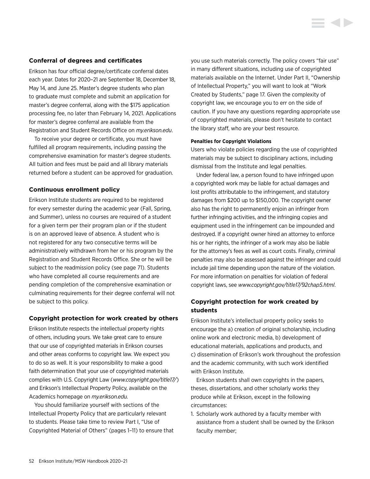#### **Conferral of degrees and certificates**

Erikson has four official degree/certificate conferral dates each year. Dates for 2020–21 are September 18, December 18, May 14, and June 25. Master's degree students who plan to graduate must complete and submit an application for master's degree conferral, along with the \$175 application processing fee, no later than February 14, 2021. Applications for master's degree conferral are available from the Registration and Student Records Office on *my.erikson.edu*.

To receive your degree or certificate, you must have fulfilled all program requirements, including passing the comprehensive examination for master's degree students. All tuition and fees must be paid and all library materials returned before a student can be approved for graduation.

## **Continuous enrollment policy**

Erikson Institute students are required to be registered for every semester during the academic year (Fall, Spring, and Summer), unless no courses are required of a student for a given term per their program plan or if the student is on an approved leave of absence. A student who is not registered for any two consecutive terms will be administratively withdrawn from her or his program by the Registration and Student Records Office. She or he will be subject to the readmission policy [\(see page 71](#page-71-0)). Students who have completed all course requirements and are pending completion of the comprehensive examination or culminating requirements for their degree conferral will not be subject to this policy.

#### **Copyright protection for work created by others**

Erikson Institute respects the intellectual property rights of others, including yours. We take great care to ensure that our use of copyrighted materials in Erikson courses and other areas conforms to copyright law. We expect you to do so as well. It is your responsibility to make a good faith determination that your use of copyrighted materials complies with U.S. Copyright Law (*[www.copyright.gov/title17/](http://www.copyright.gov/title17/)*) and Erikson's Intellectual Property Policy, available on the Academics homepage on *[my.erikson.edu](http://my.erikson.edu).*

You should familiarize yourself with sections of the Intellectual Property Policy that are particularly relevant to students. Please take time to review Part I, "Use of Copyrighted Material of Others" (pages 1–11) to ensure that you use such materials correctly. The policy covers "fair use" in many different situations, including use of copyrighted materials available on the Internet. Under Part II, "Ownership of Intellectual Property," you will want to look at "Work Created by Students," page 17. Given the complexity of copyright law, we encourage you to err on the side of caution. If you have any questions regarding appropriate use of copyrighted materials, please don't hesitate to contact the library staff, who are your best resource.

#### **Penalties for Copyright Violations**

Users who violate policies regarding the use of copyrighted materials may be subject to disciplinary actions, including dismissal from the Institute and legal penalties.

Under federal law, a person found to have infringed upon a copyrighted work may be liable for actual damages and lost profits attributable to the infringement, and statutory damages from \$200 up to \$150,000. The copyright owner also has the right to permanently enjoin an infringer from further infringing activities, and the infringing copies and equipment used in the infringement can be impounded and destroyed. If a copyright owner hired an attorney to enforce his or her rights, the infringer of a work may also be liable for the attorney's fees as well as court costs. Finally, criminal penalties may also be assessed against the infringer and could include jail time depending upon the nature of the violation. For more information on penalties for violation of federal copyright laws, see *[www.copyright.gov/title17/92chap5.html](http://www.copyright.gov/title17/92chap5.html)*.

# **Copyright protection for work created by students**

Erikson Institute's intellectual property policy seeks to encourage the a) creation of original scholarship, including online work and electronic media, b) development of educational materials, applications and products, and c) dissemination of Erikson's work throughout the profession and the academic community, with such work identified with Erikson Institute.

Erikson students shall own copyrights in the papers, theses, dissertations, and other scholarly works they produce while at Erikson, except in the following circumstances:

1. Scholarly work authored by a faculty member with assistance from a student shall be owned by the Erikson faculty member;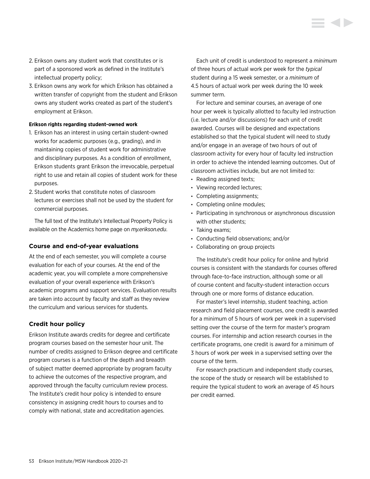- 2. Erikson owns any student work that constitutes or is part of a sponsored work as defined in the Institute's intellectual property policy;
- 3. Erikson owns any work for which Erikson has obtained a written transfer of copyright from the student and Erikson owns any student works created as part of the student's employment at Erikson.

#### **Erikson rights regarding student-owned work**

- 1. Erikson has an interest in using certain student-owned works for academic purposes (e.g., grading), and in maintaining copies of student work for administrative and disciplinary purposes. As a condition of enrollment, Erikson students grant Erikson the irrevocable, perpetual right to use and retain all copies of student work for these purposes.
- 2. Student works that constitute notes of classroom lectures or exercises shall not be used by the student for commercial purposes.

The full text of the Institute's Intellectual Property Policy is available on the Academics home page on *my.erikson.edu*.

#### **Course and end-of-year evaluations**

At the end of each semester, you will complete a course evaluation for each of your courses. At the end of the academic year, you will complete a more comprehensive evaluation of your overall experience with Erikson's academic programs and support services. Evaluation results are taken into account by faculty and staff as they review the curriculum and various services for students.

#### **Credit hour policy**

Erikson Institute awards credits for degree and certificate program courses based on the semester hour unit. The number of credits assigned to Erikson degree and certificate program courses is a function of the depth and breadth of subject matter deemed appropriate by program faculty to achieve the outcomes of the respective program, and approved through the faculty curriculum review process. The Institute's credit hour policy is intended to ensure consistency in assigning credit hours to courses and to comply with national, state and accreditation agencies.

Each unit of credit is understood to represent a *minimum* of three hours of actual work per week for the *typical* student during a 15 week semester, or a *minimum* of 4.5 hours of actual work per week during the 10 week summer term.

For lecture and seminar courses, an average of one hour per week is typically allotted to faculty led instruction (i.e. lecture and/or discussions) for each unit of credit awarded. Courses will be designed and expectations established so that the typical student will need to study and/or engage in an average of two hours of out of classroom activity for every hour of faculty led instruction in order to achieve the intended learning outcomes. Out of classroom activities include, but are not limited to:

- Reading assigned texts;
- Viewing recorded lectures;
- Completing assignments;
- Completing online modules;
- Participating in synchronous or asynchronous discussion with other students;
- Taking exams;
- Conducting field observations; and/or
- Collaborating on group projects

The Institute's credit hour policy for online and hybrid courses is consistent with the standards for courses offered through face-to-face instruction, although some or all of course content and faculty-student interaction occurs through one or more forms of distance education.

For master's level internship, student teaching, action research and field placement courses, one credit is awarded for a minimum of 5 hours of work per week in a supervised setting over the course of the term for master's program courses. For internship and action research courses in the certificate programs, one credit is award for a minimum of 3 hours of work per week in a supervised setting over the course of the term.

For research practicum and independent study courses, the scope of the study or research will be established to require the typical student to work an average of 45 hours per credit earned.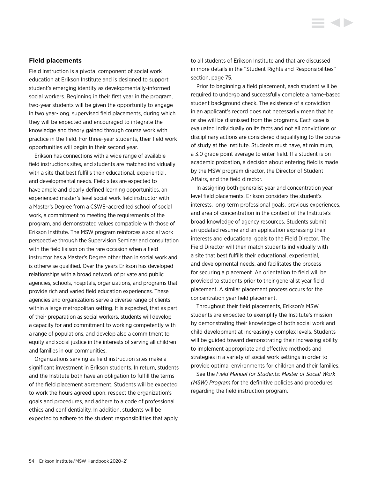#### **Field placements**

Field instruction is a pivotal component of social work education at Erikson Institute and is designed to support student's emerging identity as developmentally-informed social workers. Beginning in their first year in the program, two-year students will be given the opportunity to engage in two year-long, supervised field placements, during which they will be expected and encouraged to integrate the knowledge and theory gained through course work with practice in the field. For three-year students, their field work opportunities will begin in their second year.

Erikson has connections with a wide range of available field instructions sites, and students are matched individually with a site that best fulfills their educational, experiential, and developmental needs. Field sites are expected to have ample and clearly defined learning opportunities, an experienced master's level social work field instructor with a Master's Degree from a CSWE–accredited school of social work, a commitment to meeting the requirements of the program, and demonstrated values compatible with those of Erikson Institute. The MSW program reinforces a social work perspective through the Supervision Seminar and consultation with the field liaison on the rare occasion when a field instructor has a Master's Degree other than in social work and is otherwise qualified. Over the years Erikson has developed relationships with a broad network of private and public agencies, schools, hospitals, organizations, and programs that provide rich and varied field education experiences. These agencies and organizations serve a diverse range of clients within a large metropolitan setting. It is expected, that as part of their preparation as social workers, students will develop a capacity for and commitment to working competently with a range of populations, and develop also a commitment to equity and social justice in the interests of serving all children and families in our communities.

Organizations serving as field instruction sites make a significant investment in Erikson students. In return, students and the Institute both have an obligation to fulfill the terms of the field placement agreement. Students will be expected to work the hours agreed upon, respect the organization's goals and procedures, and adhere to a code of professional ethics and confidentiality. In addition, students will be expected to adhere to the student responsibilities that apply

to all students of Erikson Institute and that are discussed in more details in the "[Student Rights and Responsibilities"](#page-75-0)  [section, page 75.](#page-75-0) 

E GID

Prior to beginning a field placement, each student will be required to undergo and successfully complete a name-based student background check. The existence of a conviction in an applicant's record does not necessarily mean that he or she will be dismissed from the programs. Each case is evaluated individually on its facts and not all convictions or disciplinary actions are considered disqualifying to the course of study at the Institute. Students must have, at minimum, a 3.0 grade point average to enter field. If a student is on academic probation, a decision about entering field is made by the MSW program director, the Director of Student Affairs, and the field director.

In assigning both generalist year and concentration year level field placements, Erikson considers the student's interests, long-term professional goals, previous experiences, and area of concentration in the context of the Institute's broad knowledge of agency resources. Students submit an updated resume and an application expressing their interests and educational goals to the Field Director. The Field Director will then match students individually with a site that best fulfills their educational, experiential, and developmental needs, and facilitates the process for securing a placement. An orientation to field will be provided to students prior to their generalist year field placement. A similar placement process occurs for the concentration year field placement.

Throughout their field placements, Erikson's MSW students are expected to exemplify the Institute's mission by demonstrating their knowledge of both social work and child development at increasingly complex levels. Students will be guided toward demonstrating their increasing ability to implement appropriate and effective methods and strategies in a variety of social work settings in order to provide optimal environments for children and their families.

See the *Field Manual for Students: Master of Social Work (MSW) Program* for the definitive policies and procedures regarding the field instruction program.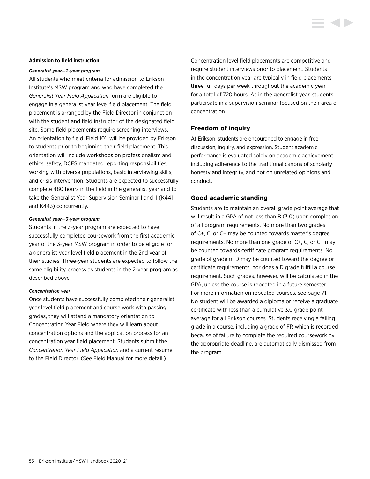#### **Admission to field instruction**

#### *Generalist year—2-year program*

All students who meet criteria for admission to Erikson Institute's MSW program and who have completed the *Generalist Year Field Application* form are eligible to engage in a generalist year level field placement. The field placement is arranged by the Field Director in conjunction with the student and field instructor of the designated field site. Some field placements require screening interviews. An orientation to field, Field 101, will be provided by Erikson to students prior to beginning their field placement. This orientation will include workshops on professionalism and ethics, safety, DCFS mandated reporting responsibilities, working with diverse populations, basic interviewing skills, and crisis intervention. Students are expected to successfully complete 480 hours in the field in the generalist year and to take the Generalist Year Supervision Seminar I and II (K441 and K443) concurrently.

#### *Generalist year—3-year program*

Students in the 3-year program are expected to have successfully completed coursework from the first academic year of the 3-year MSW program in order to be eligible for a generalist year level field placement in the 2nd year of their studies. Three-year students are expected to follow the same eligibility process as students in the 2-year program as described above.

#### *Concentration year*

Once students have successfully completed their generalist year level field placement and course work with passing grades, they will attend a mandatory orientation to Concentration Year Field where they will learn about concentration options and the application process for an concentration year field placement. Students submit the *Concentration Year Field Application* and a current resume to the Field Director. (See Field Manual for more detail.)

Concentration level field placements are competitive and require student interviews prior to placement. Students in the concentration year are typically in field placements three full days per week throughout the academic year for a total of 720 hours. As in the generalist year, students participate in a supervision seminar focused on their area of concentration.

#### **Freedom of inquiry**

At Erikson, students are encouraged to engage in free discussion, inquiry, and expression. Student academic performance is evaluated solely on academic achievement, including adherence to the traditional canons of scholarly honesty and integrity, and not on unrelated opinions and conduct.

#### **Good academic standing**

Students are to maintain an overall grade point average that will result in a GPA of not less than B (3.0) upon completion of all program requirements. No more than two grades of C+, C, or C− may be counted towards master's degree requirements. No more than one grade of C+, C, or C− may be counted towards certificate program requirements. No grade of grade of D may be counted toward the degree or certificate requirements, nor does a D grade fulfill a course requirement. Such grades, however, will be calculated in the GPA, unless the course is repeated in a future semester. For more information on repeated courses, [see page 71.](#page-71-0) No student will be awarded a diploma or receive a graduate certificate with less than a cumulative 3.0 grade point average for all Erikson courses. Students receiving a failing grade in a course, including a grade of FR which is recorded because of failure to complete the required coursework by the appropriate deadline, are automatically dismissed from the program.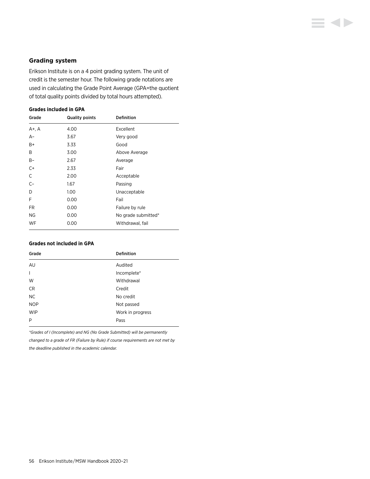# **Grading system**

Erikson Institute is on a 4 point grading system. The unit of credit is the semester hour. The following grade notations are used in calculating the Grade Point Average (GPA=the quotient of total quality points divided by total hours attempted).

▘◀▶

#### **Grades included in GPA**

| Grade | <b>Quality points</b> | <b>Definition</b>   |
|-------|-----------------------|---------------------|
| A+, A | 4.00                  | Excellent           |
| $A-$  | 3.67                  | Very good           |
| B+    | 3.33                  | Good                |
| B     | 3.00                  | Above Average       |
| B-    | 2.67                  | Average             |
| $C+$  | 2.33                  | Fair                |
| C     | 2.00                  | Acceptable          |
| $C-$  | 1.67                  | Passing             |
| D     | 1.00                  | Unacceptable        |
| F     | 0.00                  | Fail                |
| FR.   | 0.00                  | Failure by rule     |
| ΝG    | 0.00                  | No grade submitted* |
| WF    | 0.00                  | Withdrawal, fail    |

# **Grades not included in GPA**

| Grade        | Definition       |
|--------------|------------------|
| AU           | Audited          |
| $\mathbf{I}$ | Incomplete*      |
| W            | Withdrawal       |
| CR.          | Credit           |
| NC.          | No credit        |
| <b>NOP</b>   | Not passed       |
| <b>WIP</b>   | Work in progress |
| P            | Pass             |
|              |                  |

*\*Grades of I (Incomplete) and NG (No Grade Submitted) will be permanently* 

*changed to a grade of FR (Failure by Rule) if course requirements are not met by the deadline published in the academic calendar.*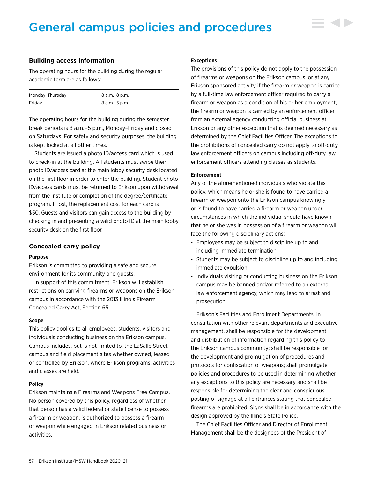# General campus policies and procedures

#### **Building access information**

The operating hours for the building during the regular academic term are as follows:

| Monday-Thursday | 8 a.m.–8 p.m.   |
|-----------------|-----------------|
| Fridav          | 8 a.m. - 5 p.m. |

The operating hours for the building during the semester break periods is 8 a.m.– 5 p.m., Monday–Friday and closed on Saturdays. For safety and security purposes, the building is kept locked at all other times.

Students are issued a photo ID/access card which is used to check-in at the building. All students must swipe their photo ID/access card at the main lobby security desk located on the first floor in order to enter the building. Student photo ID/access cards must be returned to Erikson upon withdrawal from the Institute or completion of the degree/certificate program. If lost, the replacement cost for each card is \$50. Guests and visitors can gain access to the building by checking in and presenting a valid photo ID at the main lobby security desk on the first floor.

#### **Concealed carry policy**

#### **Purpose**

Erikson is committed to providing a safe and secure environment for its community and guests.

In support of this commitment, Erikson will establish restrictions on carrying firearms or weapons on the Erikson campus in accordance with the 2013 Illinois Firearm Concealed Carry Act, Section 65.

#### **Scope**

This policy applies to all employees, students, visitors and individuals conducting business on the Erikson campus. Campus includes, but is not limited to, the LaSalle Street campus and field placement sites whether owned, leased or controlled by Erikson, where Erikson programs, activities and classes are held.

#### **Policy**

Erikson maintains a Firearms and Weapons Free Campus. No person covered by this policy, regardless of whether that person has a valid federal or state license to possess a firearm or weapon, is authorized to possess a firearm or weapon while engaged in Erikson related business or activities.

#### **Exceptions**

The provisions of this policy do not apply to the possession of firearms or weapons on the Erikson campus, or at any Erikson sponsored activity if the firearm or weapon is carried by a full-time law enforcement officer required to carry a firearm or weapon as a condition of his or her employment, the firearm or weapon is carried by an enforcement officer from an external agency conducting official business at Erikson or any other exception that is deemed necessary as determined by the Chief Facilities Officer. The exceptions to the prohibitions of concealed carry do not apply to off-duty law enforcement officers on campus including off-duty law enforcement officers attending classes as students.

#### **Enforcement**

Any of the aforementioned individuals who violate this policy, which means he or she is found to have carried a firearm or weapon onto the Erikson campus knowingly or is found to have carried a firearm or weapon under circumstances in which the individual should have known that he or she was in possession of a firearm or weapon will face the following disciplinary actions:

- Employees may be subject to discipline up to and including immediate termination;
- Students may be subject to discipline up to and including immediate expulsion;
- Individuals visiting or conducting business on the Erikson campus may be banned and/or referred to an external law enforcement agency, which may lead to arrest and prosecution.

Erikson's Facilities and Enrollment Departments, in consultation with other relevant departments and executive management, shall be responsible for the development and distribution of information regarding this policy to the Erikson campus community; shall be responsible for the development and promulgation of procedures and protocols for confiscation of weapons; shall promulgate policies and procedures to be used in determining whether any exceptions to this policy are necessary and shall be responsible for determining the clear and conspicuous posting of signage at all entrances stating that concealed firearms are prohibited. Signs shall be in accordance with the design approved by the Illinois State Police.

The Chief Facilities Officer and Director of Enrollment Management shall be the designees of the President of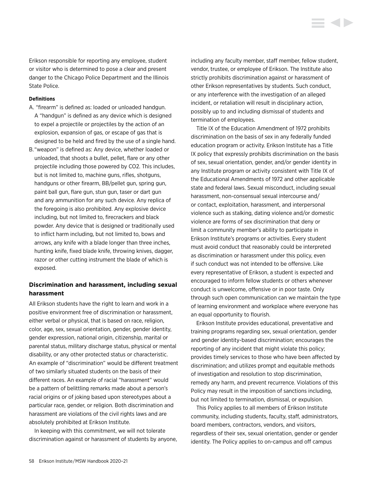Erikson responsible for reporting any employee, student or visitor who is determined to pose a clear and present danger to the Chicago Police Department and the Illinois State Police.

#### **Definitions**

- A. "firearm" is defined as: loaded or unloaded handgun. A "handgun" is defined as any device which is designed to expel a projectile or projectiles by the action of an explosion, expansion of gas, or escape of gas that is designed to be held and fired by the use of a single hand.
- B. "weapon" is defined as: Any device, whether loaded or unloaded, that shoots a bullet, pellet, flare or any other projectile including those powered by CO2. This includes, but is not limited to, machine guns, rifles, shotguns, handguns or other firearm, BB/pellet gun, spring gun, paint ball gun, flare gun, stun gun, taser or dart gun and any ammunition for any such device. Any replica of the foregoing is also prohibited. Any explosive device including, but not limited to, firecrackers and black powder. Any device that is designed or traditionally used to inflict harm including, but not limited to, bows and arrows, any knife with a blade longer than three inches, hunting knife, fixed blade knife, throwing knives, dagger, razor or other cutting instrument the blade of which is exposed.

# **Discrimination and harassment, including sexual harassment**

All Erikson students have the right to learn and work in a positive environment free of discrimination or harassment, either verbal or physical, that is based on race, religion, color, age, sex, sexual orientation, gender, gender identity, gender expression, national origin, citizenship, marital or parental status, military discharge status, physical or mental disability, or any other protected status or characteristic. An example of "discrimination" would be different treatment of two similarly situated students on the basis of their different races. An example of racial "harassment" would be a pattern of belittling remarks made about a person's racial origins or of joking based upon stereotypes about a particular race, gender, or religion. Both discrimination and harassment are violations of the civil rights laws and are absolutely prohibited at Erikson Institute.

In keeping with this commitment, we will not tolerate discrimination against or harassment of students by anyone, including any faculty member, staff member, fellow student, vendor, trustee, or employee of Erikson. The Institute also strictly prohibits discrimination against or harassment of other Erikson representatives by students. Such conduct, or any interference with the investigation of an alleged incident, or retaliation will result in disciplinary action, possibly up to and including dismissal of students and termination of employees.

Title IX of the Education Amendment of 1972 prohibits discrimination on the basis of sex in any federally funded education program or activity. Erikson Institute has a Title IX policy that expressly prohibits discrimination on the basis of sex, sexual orientation, gender, and/or gender identity in any Institute program or activity consistent with Title IX of the Educational Amendments of 1972 and other applicable state and federal laws. Sexual misconduct, including sexual harassment, non-consensual sexual intercourse and/ or contact, exploitation, harassment, and interpersonal violence such as stalking, dating violence and/or domestic violence are forms of sex discrimination that deny or limit a community member's ability to participate in Erikson Institute's programs or activities. Every student must avoid conduct that reasonably could be interpreted as discrimination or harassment under this policy, even if such conduct was not intended to be offensive. Like every representative of Erikson, a student is expected and encouraged to inform fellow students or others whenever conduct is unwelcome, offensive or in poor taste. Only through such open communication can we maintain the type of learning environment and workplace where everyone has an equal opportunity to flourish.

Erikson Institute provides educational, preventative and training programs regarding sex, sexual orientation, gender and gender identity-based discrimination; encourages the reporting of any incident that might violate this policy; provides timely services to those who have been affected by discrimination; and utilizes prompt and equitable methods of investigation and resolution to stop discrimination, remedy any harm, and prevent recurrence. Violations of this Policy may result in the imposition of sanctions including, but not limited to termination, dismissal, or expulsion.

This Policy applies to all members of Erikson Institute community, including students, faculty, staff, administrators, board members, contractors, vendors, and visitors, regardless of their sex, sexual orientation, gender or gender identity. The Policy applies to on-campus and off campus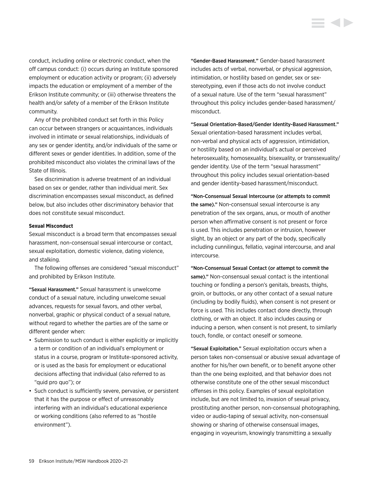conduct, including online or electronic conduct, when the off campus conduct: (i) occurs during an Institute sponsored employment or education activity or program; (ii) adversely impacts the education or employment of a member of the Erikson Institute community; or (iii) otherwise threatens the health and/or safety of a member of the Erikson Institute community.

Any of the prohibited conduct set forth in this Policy can occur between strangers or acquaintances, individuals involved in intimate or sexual relationships, individuals of any sex or gender identity, and/or individuals of the same or different sexes or gender identities. In addition, some of the prohibited misconduct also violates the criminal laws of the State of Illinois.

Sex discrimination is adverse treatment of an individual based on sex or gender, rather than individual merit. Sex discrimination encompasses sexual misconduct, as defined below, but also includes other discriminatory behavior that does not constitute sexual misconduct.

#### **Sexual Misconduct**

Sexual misconduct is a broad term that encompasses sexual harassment, non-consensual sexual intercourse or contact, sexual exploitation, domestic violence, dating violence, and stalking.

The following offenses are considered "sexual misconduct" and prohibited by Erikson Institute.

"Sexual Harassment." Sexual harassment is unwelcome conduct of a sexual nature, including unwelcome sexual advances, requests for sexual favors, and other verbal, nonverbal, graphic or physical conduct of a sexual nature, without regard to whether the parties are of the same or different gender when:

- Submission to such conduct is either explicitly or implicitly a term or condition of an individual's employment or status in a course, program or Institute-sponsored activity, or is used as the basis for employment or educational decisions affecting that individual (also referred to as "quid pro quo"); or
- Such conduct is sufficiently severe, pervasive, or persistent that it has the purpose or effect of unreasonably interfering with an individual's educational experience or working conditions (also referred to as "hostile environment").

"Gender-Based Harassment." Gender-based harassment includes acts of verbal, nonverbal, or physical aggression, intimidation, or hostility based on gender, sex or sexstereotyping, even if those acts do not involve conduct of a sexual nature. Use of the term "sexual harassment" throughout this policy includes gender-based harassment/ misconduct.

"Sexual Orientation-Based/Gender Identity-Based Harassment." Sexual orientation-based harassment includes verbal, non-verbal and physical acts of aggression, intimidation, or hostility based on an individual's actual or perceived heterosexuality, homosexuality, bisexuality, or transsexuality/ gender identity. Use of the term "sexual harassment" throughout this policy includes sexual orientation-based and gender identity-based harassment/misconduct.

"Non-Consensual Sexual Intercourse (or attempts to commit the same)." Non-consensual sexual intercourse is any penetration of the sex organs, anus, or mouth of another person when affirmative consent is not present or force is used. This includes penetration or intrusion, however slight, by an object or any part of the body, specifically including cunnilingus, fellatio, vaginal intercourse, and anal intercourse.

"Non-Consensual Sexual Contact (or attempt to commit the same)." Non-consensual sexual contact is the intentional touching or fondling a person's genitals, breasts, thighs, groin, or buttocks, or any other contact of a sexual nature (including by bodily fluids), when consent is not present or force is used. This includes contact done directly, through clothing, or with an object. It also includes causing or inducing a person, when consent is not present, to similarly touch, fondle, or contact oneself or someone.

"Sexual Exploitation." Sexual exploitation occurs when a person takes non-consensual or abusive sexual advantage of another for his/her own benefit, or to benefit anyone other than the one being exploited, and that behavior does not otherwise constitute one of the other sexual misconduct offenses in this policy. Examples of sexual exploitation include, but are not limited to, invasion of sexual privacy, prostituting another person, non-consensual photographing, video or audio-taping of sexual activity, non-consensual showing or sharing of otherwise consensual images, engaging in voyeurism, knowingly transmitting a sexually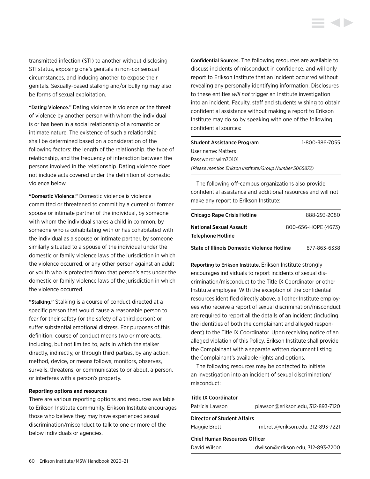transmitted infection (STI) to another without disclosing STI status, exposing one's genitals in non-consensual circumstances, and inducing another to expose their genitals. Sexually-based stalking and/or bullying may also be forms of sexual exploitation.

"Dating Violence." Dating violence is violence or the threat of violence by another person with whom the individual is or has been in a social relationship of a romantic or intimate nature. The existence of such a relationship shall be determined based on a consideration of the following factors: the length of the relationship, the type of relationship, and the frequency of interaction between the persons involved in the relationship. Dating violence does not include acts covered under the definition of domestic violence below.

"Domestic Violence." Domestic violence is violence committed or threatened to commit by a current or former spouse or intimate partner of the individual, by someone with whom the individual shares a child in common, by someone who is cohabitating with or has cohabitated with the individual as a spouse or intimate partner, by someone similarly situated to a spouse of the individual under the domestic or family violence laws of the jurisdiction in which the violence occurred, or any other person against an adult or youth who is protected from that person's acts under the domestic or family violence laws of the jurisdiction in which the violence occurred.

"Stalking." Stalking is a course of conduct directed at a specific person that would cause a reasonable person to fear for their safety (or the safety of a third person) or suffer substantial emotional distress. For purposes of this definition, course of conduct means two or more acts, including, but not limited to, acts in which the stalker directly, indirectly, or through third parties, by any action, method, device, or means follows, monitors, observes, surveils, threatens, or communicates to or about, a person, or interferes with a person's property.

#### **Reporting options and resources**

There are various reporting options and resources available to Erikson Institute community. Erikson Institute encourages those who believe they may have experienced sexual discrimination/misconduct to talk to one or more of the below individuals or agencies.

Confidential Sources. The following resources are available to discuss incidents of misconduct in confidence, and will only report to Erikson Institute that an incident occurred without revealing any personally identifying information. Disclosures to these entities *will not* trigger an Institute investigation into an incident. Faculty, staff and students wishing to obtain confidential assistance without making a report to Erikson Institute may do so by speaking with one of the following confidential sources:

| Student Assistance Program                              | 1-800-386-7055 |
|---------------------------------------------------------|----------------|
| User name: Matters                                      |                |
| Password: wlm70101                                      |                |
| (Please mention Erikson Institute/Group Number 5065872) |                |
|                                                         |                |

The following off-campus organizations also provide confidential assistance and additional resources and will not make any report to Erikson Institute:

| <b>Chicago Rape Crisis Hotline</b>           | 888-293-2080        |
|----------------------------------------------|---------------------|
| National Sexual Assault<br>Telephone Hotline | 800-656-HOPE (4673) |
| State of Illinois Domestic Violence Hotline  | 877-863-6338        |

Reporting to Erikson Institute. Erikson Institute strongly encourages individuals to report incidents of sexual discrimination/misconduct to the Title IX Coordinator or other Institute employee. With the exception of the confidential resources identified directly above, all other Institute employees who receive a report of sexual discrimination/misconduct are required to report all the details of an incident (including the identities of both the complainant and alleged respondent) to the Title IX Coordinator. Upon receiving notice of an alleged violation of this Policy, Erikson Institute shall provide the Complainant with a separate written document listing the Complainant's available rights and options.

The following resources may be contacted to initiate an investigation into an incident of sexual discrimination/ misconduct:

| <b>Title IX Coordinator</b>                          |                                   |  |  |
|------------------------------------------------------|-----------------------------------|--|--|
| plawson@erikson.edu, 312-893-7120<br>Patricia Lawson |                                   |  |  |
| <b>Director of Student Affairs</b>                   |                                   |  |  |
| Maggie Brett                                         | mbrett@erikson.edu, 312-893-7221  |  |  |
| <b>Chief Human Resources Officer</b>                 |                                   |  |  |
| David Wilson                                         | dwilson@erikson.edu, 312-893-7200 |  |  |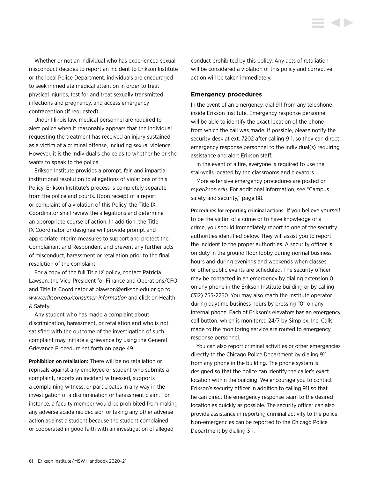Whether or not an individual who has experienced sexual misconduct decides to report an incident to Erikson Institute or the local Police Department, individuals are encouraged to seek immediate medical attention in order to treat physical injuries, test for and treat sexually transmitted infections and pregnancy, and access emergency contraception (if requested).

Under Illinois law, medical personnel are required to alert police when it reasonably appears that the individual requesting the treatment has received an injury sustained as a victim of a criminal offense, including sexual violence. However, it is the individual's choice as to whether he or she wants to speak to the police.

Erikson Institute provides a prompt, fair, and impartial institutional resolution to allegations of violations of this Policy. Erikson Institute's process is completely separate from the police and courts. Upon receipt of a report or complaint of a violation of this Policy, the Title IX Coordinator shall review the allegations and determine an appropriate course of action. In addition, the Title IX Coordinator or designee will provide prompt and appropriate interim measures to support and protect the Complainant and Respondent and prevent any further acts of misconduct, harassment or retaliation prior to the final resolution of the complaint.

For a copy of the full Title IX policy, contact Patricia Lawson, the Vice-President for Finance and Operations/CFO and Title IX Coordinator at [plawson@erikson.edu](mailto:plawson%40erikson.edu?subject=) or go to *[www.erikson.edu/consumer-information](http://www.erikson.edu/consumer-information)* and click on Health & Safety.

Any student who has made a complaint about discrimination, harassment, or retaliation and who is not satisfied with the outcome of the investigation of such complaint may initiate a grievance by using the [General](#page-49-0)  [Grievance Procedure set forth on page 49.](#page-49-0)

Prohibition on retaliation: There will be no retaliation or reprisals against any employee or student who submits a complaint, reports an incident witnessed, supports a complaining witness, or participates in any way in the investigation of a discrimination or harassment claim. For instance, a faculty member would be prohibited from making any adverse academic decision or taking any other adverse action against a student because the student complained or cooperated in good faith with an investigation of alleged

conduct prohibited by this policy. Any acts of retaliation will be considered a violation of this policy and corrective action will be taken immediately.

#### **Emergency procedures**

In the event of an emergency, dial 911 from any telephone inside Erikson Institute. Emergency response personnel will be able to identify the exact location of the phone from which the call was made. If possible, please notify the security desk at ext. 7202 after calling 911, so they can direct emergency response personnel to the individual(s) requiring assistance and alert Erikson staff.

In the event of a fire, everyone is required to use the stairwells located by the classrooms and elevators.

More extensive emergency procedures are posted on *my.erikson.edu*. For additional information, see ["Campus](#page-88-0)  [safety and security," page 88.](#page-88-0)

Procedures for reporting criminal actions: If you believe yourself to be the victim of a crime or to have knowledge of a crime, you should immediately report to one of the security authorities identified below. They will assist you to report the incident to the proper authorities. A security officer is on duty in the ground floor lobby during normal business hours and during evenings and weekends when classes or other public events are scheduled. The security officer may be contacted in an emergency by dialing extension 0 on any phone in the Erikson Institute building or by calling (312) 755-2250. You may also reach the Institute operator during daytime business hours by pressing "0" on any internal phone. Each of Erikson's elevators has an emergency call button, which is monitored 24/7 by Simplex, Inc. Calls made to the monitoring service are routed to emergency response personnel.

You can also report criminal activities or other emergencies directly to the Chicago Police Department by dialing 911 from any phone in the building. The phone system is designed so that the police can identify the caller's exact location within the building. We encourage you to contact Erikson's security officer in addition to calling 911 so that he can direct the emergency response team to the desired location as quickly as possible. The security officer can also provide assistance in reporting criminal activity to the police. Non-emergencies can be reported to the Chicago Police Department by dialing 311.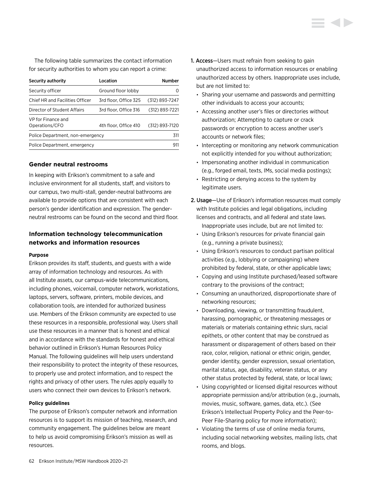The following table summarizes the contact information for security authorities to whom you can report a crime:

| Security authority                     | Location              | <b>Number</b>    |
|----------------------------------------|-----------------------|------------------|
| Security officer                       | Ground floor lobby    | $\left( \right)$ |
| <b>Chief HR and Facilities Officer</b> | 3rd floor. Office 325 | (312) 893-7247   |
| Director of Student Affairs            | 3rd floor, Office 316 | (312) 893-7221   |
| VP for Finance and<br>Operations/CFO   | 4th floor, Office 410 | (312) 893-7120   |
| Police Department, non-emergency       |                       | 311              |
| Police Department, emergency           |                       | 911              |

#### **Gender neutral restrooms**

In keeping with Erikson's commitment to a safe and inclusive environment for all students, staff, and visitors to our campus, two multi-stall, gender-neutral bathrooms are available to provide options that are consistent with each person's gender identification and expression. The genderneutral restrooms can be found on the second and third floor.

# **Information technology telecommunication networks and information resources**

#### **Purpose**

Erikson provides its staff, students, and guests with a wide array of information technology and resources. As with all Institute assets, our campus-wide telecommunications, including phones, voicemail, computer network, workstations, laptops, servers, software, printers, mobile devices, and collaboration tools, are intended for authorized business use. Members of the Erikson community are expected to use these resources in a responsible, professional way. Users shall use these resources in a manner that is honest and ethical and in accordance with the standards for honest and ethical behavior outlined in Erikson's Human Resources Policy Manual. The following guidelines will help users understand their responsibility to protect the integrity of these resources, to properly use and protect information, and to respect the rights and privacy of other users. The rules apply equally to users who connect their own devices to Erikson's network.

#### **Policy guidelines**

The purpose of Erikson's computer network and information resources is to support its mission of teaching, research, and community engagement. The guidelines below are meant to help us avoid compromising Erikson's mission as well as resources.

- 1. Access—Users must refrain from seeking to gain unauthorized access to information resources or enabling unauthorized access by others. Inappropriate uses include, but are not limited to:
	- Sharing your username and passwords and permitting other individuals to access your accounts;
	- Accessing another user's files or directories without authorization; Attempting to capture or crack passwords or encryption to access another user's accounts or network files;
	- Intercepting or monitoring any network communication not explicitly intended for you without authorization;
	- Impersonating another individual in communication (e.g., forged email, texts, IMs, social media postings);
	- Restricting or denying access to the system by legitimate users.
- 2. Usage—Use of Erikson's information resources must comply with Institute policies and legal obligations, including licenses and contracts, and all federal and state laws. Inappropriate uses include, but are not limited to:
	- Using Erikson's resources for private financial gain (e.g., running a private business);
	- Using Erikson's resources to conduct partisan political activities (e.g., lobbying or campaigning) where prohibited by federal, state, or other applicable laws;
	- Copying and using Institute purchased/leased software contrary to the provisions of the contract;
	- Consuming an unauthorized, disproportionate share of networking resources;
	- Downloading, viewing, or transmitting fraudulent, harassing, pornographic, or threatening messages or materials or materials containing ethnic slurs, racial epithets, or other content that may be construed as harassment or disparagement of others based on their race, color, religion, national or ethnic origin, gender, gender identity, gender expression, sexual orientation, marital status, age, disability, veteran status, or any other status protected by federal, state, or local laws;
	- Using copyrighted or licensed digital resources without appropriate permission and/or attribution (e.g., journals, movies, music, software, games, data, etc.). (See Erikson's Intellectual Property Policy and the Peer-to-Peer File-Sharing policy for more information);
	- Violating the terms of use of online media forums, including social networking websites, mailing lists, chat rooms, and blogs.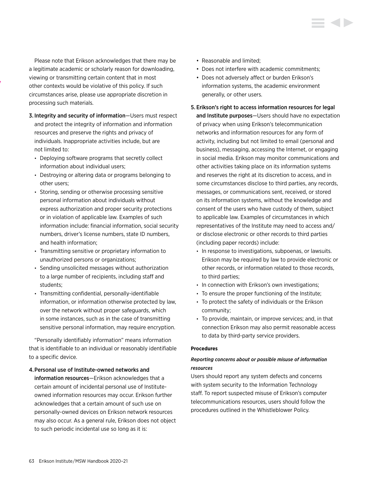Please note that Erikson acknowledges that there may be a legitimate academic or scholarly reason for downloading, viewing or transmitting certain content that in most other contexts would be violative of this policy. If such circumstances arise, please use appropriate discretion in processing such materials.

Intellectual Property

- 3. Integrity and security of information—Users must respect and protect the integrity of information and information resources and preserve the rights and privacy of individuals. Inappropriate activities include, but are not limited to:
	- Deploying software programs that secretly collect information about individual users;
	- Destroying or altering data or programs belonging to other users;
	- Storing, sending or otherwise processing sensitive personal information about individuals without express authorization and proper security protections or in violation of applicable law. Examples of such information include: financial information, social security numbers, driver's license numbers, state ID numbers, and health information;
	- Transmitting sensitive or proprietary information to unauthorized persons or organizations;
	- Sending unsolicited messages without authorization to a large number of recipients, including staff and students;
	- Transmitting confidential, personally-identifiable information, or information otherwise protected by law, over the network without proper safeguards, which in some instances, such as in the case of transmitting sensitive personal information, may require encryption.

"Personally identifiably information" means information that is identifiable to an individual or reasonably identifiable to a specific device.

#### 4.Personal use of Institute-owned networks and

information resources—Erikson acknowledges that a certain amount of incidental personal use of Instituteowned information resources may occur. Erikson further acknowledges that a certain amount of such use on personally-owned devices on Erikson network resources may also occur. As a general rule, Erikson does not object to such periodic incidental use so long as it is:

- Reasonable and limited;
- Does not interfere with academic commitments;
- Does not adversely affect or burden Erikson's information systems, the academic environment generally, or other users.
- 5. Erikson's right to access information resources for legal and Institute purposes—Users should have no expectation of privacy when using Erikson's telecommunication networks and information resources for any form of activity, including but not limited to email (personal and business), messaging, accessing the Internet, or engaging in social media. Erikson may monitor communications and other activities taking place on its information systems and reserves the right at its discretion to access, and in some circumstances disclose to third parties, any records, messages, or communications sent, received, or stored on its information systems, without the knowledge and consent of the users who have custody of them, subject to applicable law. Examples of circumstances in which representatives of the Institute may need to access and/ or disclose electronic or other records to third parties (including paper records) include:
	- In response to investigations, subpoenas, or lawsuits. Erikson may be required by law to provide electronic or other records, or information related to those records, to third parties;
	- In connection with Erikson's own investigations;
	- To ensure the proper functioning of the Institute;
	- To protect the safety of individuals or the Erikson community;
	- To provide, maintain, or improve services; and, in that connection Erikson may also permit reasonable access to data by third-party service providers.

#### **Procedures**

# *Reporting concerns about or possible misuse of information resources*

Users should report any system defects and concerns with system security to the Information Technology staff. To report suspected misuse of Erikson's computer telecommunications resources, users should follow the procedures outlined in the Whistleblower Policy.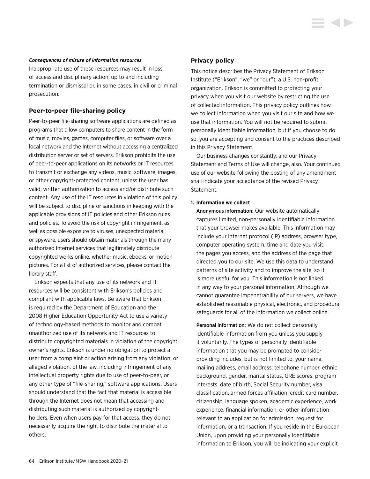#### *Consequences of misuse of information resources*

Inappropriate use of these resources may result in loss of access and disciplinary action, up to and including termination or dismissal or, in some cases, in civil or criminal prosecution.

#### **Peer-to-peer file-sharing policy**

Peer-to-peer file-sharing software applications are defined as programs that allow computers to share content in the form of music, movies, games, computer files, or software over a local network and the Internet without accessing a centralized distribution server or set of servers. Erikson prohibits the use of peer-to-peer applications on its networks or IT resources to transmit or exchange any videos, music, software, images, or other copyright-protected content, unless the user has valid, written authorization to access and/or distribute such content. Any use of the IT resources in violation of this policy will be subject to discipline or sanctions in keeping with the applicable provisions of IT policies and other Erikson rules and policies. To avoid the risk of copyright infringement, as well as possible exposure to viruses, unexpected material, or spyware, users should obtain materials through the many authorized Internet services that legitimately distribute copyrighted works online, whether music, ebooks, or motion pictures. For a list of authorized services, please contact the library staff.

Erikson expects that any use of its network and IT resources will be consistent with Erikson's policies and compliant with applicable laws. Be aware that Erikson is required by the Department of Education and the 2008 Higher Education Opportunity Act to use a variety of technology-based methods to monitor and combat unauthorized use of its network and IT resources to distribute copyrighted materials in violation of the copyright owner's rights. Erikson is under no obligation to protect a user from a complaint or action arising from any violation, or alleged violation, of the law, including infringement of any intellectual property rights due to use of peer-to-peer, or any other type of "file-sharing," software applications. Users should understand that the fact that material is accessible through the Internet does not mean that accessing and distributing such material is authorized by copyrightholders. Even when users pay for that access, they do not necessarily acquire the right to distribute the material to others.

#### **Privacy policy**

This notice describes the Privacy Statement of Erikson Institute ("Erikson", "we" or "our"), a U.S. non-profit organization. Erikson is committed to protecting your privacy when you visit our website by restricting the use of collected information. This privacy policy outlines how we collect information when you visit our site and how we use that information. You will not be required to submit personally identifiable information, but if you choose to do so, you are accepting and consent to the practices described in this Privacy Statement.

Our business changes constantly, and our Privacy Statement and Terms of Use will change, also. Your continued use of our website following the posting of any amendment shall indicate your acceptance of the revised Privacy Statement.

#### **1. Information we collect**

Anonymous information: Our website automatically captures limited, non-personally identifiable information that your browser makes available. This information may include your internet protocol (IP) address, browser type, computer operating system, time and date you visit, the pages you access, and the address of the page that directed you to our site. We use this data to understand patterns of site activity and to improve the site, so it is more useful for you. This information is not linked in any way to your personal information. Although we cannot guarantee impenetrability of our servers, we have established reasonable physical, electronic, and procedural safeguards for all of the information we collect online.

Personal information: We do not collect personally identifiable information from you unless you supply it voluntarily. The types of personally identifiable information that you may be prompted to consider providing includes, but is not limited to, your name, mailing address, email address, telephone number, ethnic background, gender, marital status, GRE scores, program interests, date of birth, Social Security number, visa classification, armed forces affiliation, credit card number, citizenship, language spoken, academic experience, work experience, financial information, or other information relevant to an application for admission, request for information, or a transaction. If you reside in the European Union, upon providing your personally identifiable information to Erikson, you will be indicating your explicit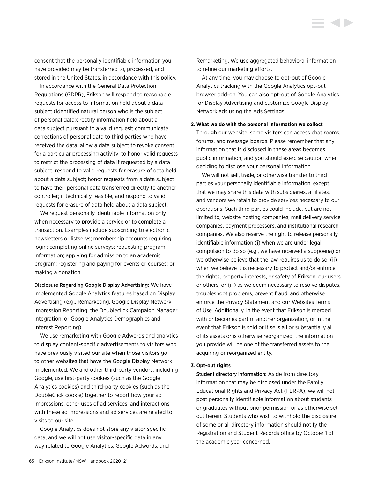consent that the personally identifiable information you have provided may be transferred to, processed, and stored in the United States, in accordance with this policy.

In accordance with the General Data Protection Regulations (GDPR), Erikson will respond to reasonable requests for access to information held about a data subject (identified natural person who is the subject of personal data); rectify information held about a data subject pursuant to a valid request; communicate corrections of personal data to third parties who have received the data; allow a data subject to revoke consent for a particular processing activity; to honor valid requests to restrict the processing of data if requested by a data subject; respond to valid requests for erasure of data held about a data subject; honor requests from a data subject to have their personal data transferred directly to another controller; if technically feasible, and respond to valid requests for erasure of data held about a data subject.

We request personally identifiable information only when necessary to provide a service or to complete a transaction. Examples include subscribing to electronic newsletters or listservs; membership accounts requiring login; completing online surveys; requesting program information; applying for admission to an academic program; registering and paying for events or courses; or making a donation.

Disclosure Regarding Google Display Advertising: We have implemented Google Analytics features based on Display Advertising (e.g., Remarketing, Google Display Network Impression Reporting, the Doubleclick Campaign Manager integration, or Google Analytics Demographics and Interest Reporting).

We use remarketing with Google Adwords and analytics to display content-specific advertisements to visitors who have previously visited our site when those visitors go to other websites that have the Google Display Network implemented. We and other third-party vendors, including Google, use first-party cookies (such as the Google Analytics cookies) and third-party cookies (such as the DoubleClick cookie) together to report how your ad impressions, other uses of ad services, and interactions with these ad impressions and ad services are related to visits to our site.

Google Analytics does not store any visitor specific data, and we will not use visitor-specific data in any way related to Google Analytics, Google Adwords, and Remarketing. We use aggregated behavioral information to refine our marketing efforts.

At any time, you may choose to opt-out of Google Analytics tracking with the Google Analytics opt-out browser add-on. You can also opt-out of Google Analytics for Display Advertising and customize Google Display Network ads using the Ads Settings.

#### **2. What we do with the personal information we collect**

Through our website, some visitors can access chat rooms, forums, and message boards. Please remember that any information that is disclosed in these areas becomes public information, and you should exercise caution when deciding to disclose your personal information.

We will not sell, trade, or otherwise transfer to third parties your personally identifiable information, except that we may share this data with subsidiaries, affiliates, and vendors we retain to provide services necessary to our operations. Such third parties could include, but are not limited to, website hosting companies, mail delivery service companies, payment processors, and institutional research companies. We also reserve the right to release personally identifiable information (i) when we are under legal compulsion to do so (e.g., we have received a subpoena) or we otherwise believe that the law requires us to do so; (ii) when we believe it is necessary to protect and/or enforce the rights, property interests, or safety of Erikson, our users or others; or (iii) as we deem necessary to resolve disputes, troubleshoot problems, prevent fraud, and otherwise enforce the Privacy Statement and our Websites Terms of Use. Additionally, in the event that Erikson is merged with or becomes part of another organization, or in the event that Erikson is sold or it sells all or substantially all of its assets or is otherwise reorganized, the information you provide will be one of the transferred assets to the acquiring or reorganized entity.

#### **3. Opt-out rights**

Student directory information: Aside from directory information that may be disclosed under the Family Educational Rights and Privacy Act (FERPA), we will not post personally identifiable information about students or graduates without prior permission or as otherwise set out herein. Students who wish to withhold the disclosure of some or all directory information should notify the Registration and Student Records office by October 1 of the academic year concerned.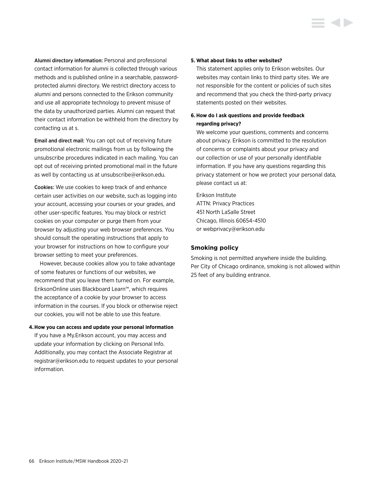Alumni directory information: Personal and professional contact information for alumni is collected through various methods and is published online in a searchable, passwordprotected alumni directory. We restrict directory access to alumni and persons connected to the Erikson community and use all appropriate technology to prevent misuse of the data by unauthorized parties. Alumni can request that their contact information be withheld from the directory by contacting us at s.

Email and direct mail: You can opt out of receiving future promotional electronic mailings from us by following the unsubscribe procedures indicated in each mailing. You can opt out of receiving printed promotional mail in the future as well by contacting us at [unsubscribe@erikson.edu.](mailto:?subject=)

Cookies: We use cookies to keep track of and enhance certain user activities on our website, such as logging into your account, accessing your courses or your grades, and other user-specific features. You may block or restrict cookies on your computer or purge them from your browser by adjusting your web browser preferences. You should consult the operating instructions that apply to your browser for instructions on how to configure your browser setting to meet your preferences.

However, because cookies allow you to take advantage of some features or functions of our websites, we recommend that you leave them turned on. For example, EriksonOnline uses Blackboard Learn™, which requires the acceptance of a cookie by your browser to access information in the courses. If you block or otherwise reject our cookies, you will not be able to use this feature.

#### **4.How you can access and update your personal information**

If you have a My.Erikson account, you may access and update your information by clicking on Personal Info. Additionally, you may contact the Associate Registrar at [registrar@erikson.edu](mailto:registrar%40erikson.edu?subject=) to request updates to your personal information.

#### **5. What about links to other websites?**

This statement applies only to Erikson websites. Our websites may contain links to third party sites. We are not responsible for the content or policies of such sites and recommend that you check the third-party privacy statements posted on their websites.

# **6. How do I ask questions and provide feedback regarding privacy?**

We welcome your questions, comments and concerns about privacy. Erikson is committed to the resolution of concerns or complaints about your privacy and our collection or use of your personally identifiable information. If you have any questions regarding this privacy statement or how we protect your personal data, please contact us at:

Erikson Institute ATTN: Privacy Practices 451 North LaSalle Street Chicago, Illinois 60654-4510 or [webprivacy@erikson.edu](mailto:?subject=)

## **Smoking policy**

Smoking is not permitted anywhere inside the building. Per City of Chicago ordinance, smoking is not allowed within 25 feet of any building entrance.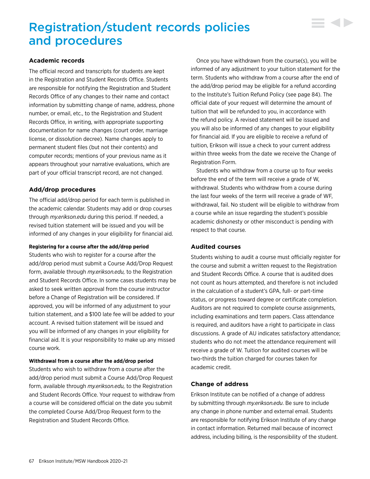# Registration/student records policies and procedures

# **Academic records**

The official record and transcripts for students are kept in the Registration and Student Records Office. Students are responsible for notifying the Registration and Student Records Office of any changes to their name and contact information by submitting change of name, address, phone number, or email, etc., to the Registration and Student Records Office, in writing, with appropriate supporting documentation for name changes (court order, marriage license, or dissolution decree). Name changes apply to permanent student files (but not their contents) and computer records; mentions of your previous name as it appears throughout your narrative evaluations, which are part of your official transcript record, are not changed.

# **Add/drop procedures**

The official add/drop period for each term is published in the academic calendar. Students may add or drop courses through *[my.erikson.edu](http://my.erikson.edu)* during this period. If needed, a revised tuition statement will be issued and you will be informed of any changes in your eligibility for financial aid.

## **Registering for a course after the add/drop period**

Students who wish to register for a course after the add/drop period must submit a Course Add/Drop Request form, available through *[my.erikson.edu,](http://my.erikson.edu)* to the Registration and Student Records Office. In some cases students may be asked to seek written approval from the course instructor before a Change of Registration will be considered. If approved, you will be informed of any adjustment to your tuition statement, and a \$100 late fee will be added to your account. A revised tuition statement will be issued and you will be informed of any changes in your eligibility for financial aid. It is your responsibility to make up any missed course work.

#### **Withdrawal from a course after the add/drop period**

Students who wish to withdraw from a course after the add/drop period must submit a Course Add/Drop Request form, available through *[my.erikson.edu,](http://my.erikson.edu)* to the Registration and Student Records Office. Your request to withdraw from a course will be considered official on the date you submit the completed Course Add/Drop Request form to the Registration and Student Records Office.

Once you have withdrawn from the course(s), you will be informed of any adjustment to your tuition statement for the term. Students who withdraw from a course after the end of the add/drop period may be eligible for a refund according to the Institute's Tuition Refund Policy ([see page 84\)](#page-86-0). The official date of your request will determine the amount of tuition that will be refunded to you, in accordance with the refund policy. A revised statement will be issued and you will also be informed of any changes to your eligibility for financial aid. If you are eligible to receive a refund of tuition, Erikson will issue a check to your current address within three weeks from the date we receive the Change of Registration Form.

▄▗▎▙

Students who withdraw from a course up to four weeks before the end of the term will receive a grade of W, withdrawal. Students who withdraw from a course during the last four weeks of the term will receive a grade of WF, withdrawal, fail. No student will be eligible to withdraw from a course while an issue regarding the student's possible academic dishonesty or other misconduct is pending with respect to that course.

## **Audited courses**

Students wishing to audit a course must officially register for the course and submit a written request to the Registration and Student Records Office. A course that is audited does not count as hours attempted, and therefore is not included in the calculation of a student's GPA, full- or part-time status, or progress toward degree or certificate completion. Auditors are not required to complete course assignments, including examinations and term papers. Class attendance is required, and auditors have a right to participate in class discussions. A grade of AU indicates satisfactory attendance; students who do not meet the attendance requirement will receive a grade of W. Tuition for audited courses will be two-thirds the tuition charged for courses taken for academic credit.

## **Change of address**

Erikson Institute can be notified of a change of address by submitting through *my.erikson.edu*. Be sure to include any change in phone number and external email. Students are responsible for notifying Erikson Institute of any change in contact information. Returned mail because of incorrect address, including billing, is the responsibility of the student.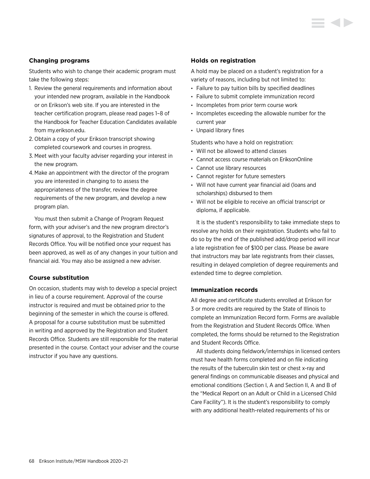# **Changing programs**

Students who wish to change their academic program must take the following steps:

- 1. Review the general requirements and information about your intended new program, available in the Handbook or on Erikson's web site. If you are interested in the teacher certification program, please read pages 1–8 of the Handbook for Teacher Education Candidates available from my.erikson.edu.
- 2. Obtain a copy of your Erikson transcript showing completed coursework and courses in progress.
- 3. Meet with your faculty adviser regarding your interest in the new program.
- 4.Make an appointment with the director of the program you are interested in changing to to assess the appropriateness of the transfer, review the degree requirements of the new program, and develop a new program plan.

You must then submit a Change of Program Request form, with your adviser's and the new program director's signatures of approval, to the Registration and Student Records Office. You will be notified once your request has been approved, as well as of any changes in your tuition and financial aid. You may also be assigned a new adviser.

## **Course substitution**

On occasion, students may wish to develop a special project in lieu of a course requirement. Approval of the course instructor is required and must be obtained prior to the beginning of the semester in which the course is offered. A proposal for a course substitution must be submitted in writing and approved by the Registration and Student Records Office. Students are still responsible for the material presented in the course. Contact your adviser and the course instructor if you have any questions.

#### **Holds on registration**

A hold may be placed on a student's registration for a variety of reasons, including but not limited to:

- Failure to pay tuition bills by specified deadlines
- Failure to submit complete immunization record
- Incompletes from prior term course work
- Incompletes exceeding the allowable number for the current year
- Unpaid library fines

Students who have a hold on registration:

- Will not be allowed to attend classes
- Cannot access course materials on EriksonOnline
- Cannot use library resources
- Cannot register for future semesters
- Will not have current year financial aid (loans and scholarships) disbursed to them
- Will not be eligible to receive an official transcript or diploma, if applicable.

It is the student's responsibility to take immediate steps to resolve any holds on their registration. Students who fail to do so by the end of the published add/drop period will incur a late registration fee of \$100 per class. Please be aware that instructors may bar late registrants from their classes, resulting in delayed completion of degree requirements and extended time to degree completion.

# **Immunization records**

All degree and certificate students enrolled at Erikson for 3 or more credits are required by the State of Illinois to complete an Immunization Record form. Forms are available from the Registration and Student Records Office. When completed, the forms should be returned to the Registration and Student Records Office.

All students doing fieldwork/internships in licensed centers must have health forms completed and on file indicating the results of the tuberculin skin test or chest x-ray and general findings on communicable diseases and physical and emotional conditions (Section I, A and Section II, A and B of the "Medical Report on an Adult or Child in a Licensed Child Care Facility"). It is the student's responsibility to comply with any additional health-related requirements of his or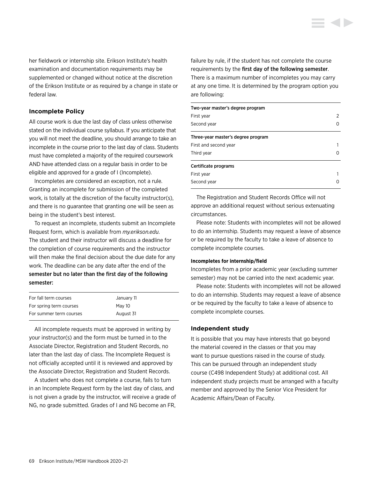

her fieldwork or internship site. Erikson Institute's health examination and documentation requirements may be supplemented or changed without notice at the discretion of the Erikson Institute or as required by a change in state or federal law.

## **Incomplete Policy**

All course work is due the last day of class unless otherwise stated on the individual course syllabus. If you anticipate that you will not meet the deadline, you should arrange to take an incomplete in the course prior to the last day of class. Students must have completed a majority of the required coursework AND have attended class on a regular basis in order to be eligible and approved for a grade of I (Incomplete).

Incompletes are considered an exception, not a rule. Granting an incomplete for submission of the completed work, is totally at the discretion of the faculty instructor(s), and there is no guarantee that granting one will be seen as being in the student's best interest.

To request an incomplete, students submit an Incomplete Request form, which is available from *my.erikson.edu*. The student and their instructor will discuss a deadline for the completion of course requirements and the instructor will then make the final decision about the due date for any work. The deadline can be any date after the end of the semester but no later than the first day of the following semester:

| For fall term courses   | January 11 |
|-------------------------|------------|
| For spring term courses | Mav 10     |
| For summer term courses | August 31  |

All incomplete requests must be approved in writing by your instructor(s) and the form must be turned in to the Associate Director, Registration and Student Records, no later than the last day of class. The Incomplete Request is not officially accepted until it is reviewed and approved by the Associate Director, Registration and Student Records.

A student who does not complete a course, fails to turn in an Incomplete Request form by the last day of class, and is not given a grade by the instructor, will receive a grade of NG, no grade submitted. Grades of I and NG become an FR,

failure by rule, if the student has not complete the course requirements by the first day of the following semester. There is a maximum number of incompletes you may carry at any one time. It is determined by the program option you are following:

| Two-year master's degree program   |   |  |
|------------------------------------|---|--|
| First year                         | 2 |  |
| Second year                        |   |  |
| Three-year master's degree program |   |  |
| First and second year              |   |  |
| Third year                         |   |  |
| Certificate programs               |   |  |
| First year                         |   |  |
| Second year                        |   |  |

The Registration and Student Records Office will not approve an additional request without serious extenuating circumstances.

Please note: Students with incompletes will not be allowed to do an internship. Students may request a leave of absence or be required by the faculty to take a leave of absence to complete incomplete courses.

#### **Incompletes for internship/field**

Incompletes from a prior academic year (excluding summer semester) may not be carried into the next academic year.

Please note: Students with incompletes will not be allowed to do an internship. Students may request a leave of absence or be required by the faculty to take a leave of absence to complete incomplete courses.

#### **Independent study**

It is possible that you may have interests that go beyond the material covered in the classes or that you may want to pursue questions raised in the course of study. This can be pursued through an independent study course (C498 Independent Study) at additional cost. All independent study projects must be arranged with a faculty member and approved by the Senior Vice President for Academic Affairs/Dean of Faculty.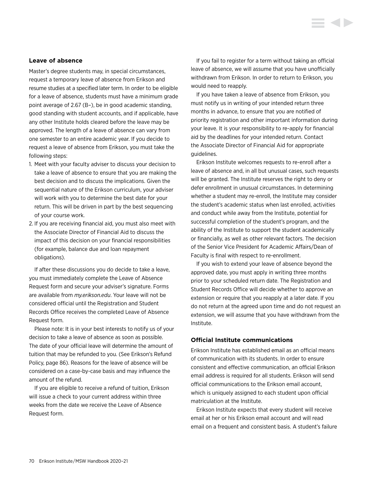#### **Leave of absence**

Master's degree students may, in special circumstances, request a temporary leave of absence from Erikson and resume studies at a specified later term. In order to be eligible for a leave of absence, students must have a minimum grade point average of 2.67 (B–), be in good academic standing, good standing with student accounts, and if applicable, have any other Institute holds cleared before the leave may be approved. The length of a leave of absence can vary from one semester to an entire academic year. If you decide to request a leave of absence from Erikson, you must take the following steps:

- 1. Meet with your faculty adviser to discuss your decision to take a leave of absence to ensure that you are making the best decision and to discuss the implications. Given the sequential nature of the Erikson curriculum, your adviser will work with you to determine the best date for your return. This will be driven in part by the best sequencing of your course work.
- 2. If you are receiving financial aid, you must also meet with the Associate Director of Financial Aid to discuss the impact of this decision on your financial responsibilities (for example, balance due and loan repayment obligations).

If after these discussions you do decide to take a leave, you must immediately complete the Leave of Absence Request form and secure your adviser's signature. Forms are available from *my.erikson.edu*. Your leave will not be considered official until the Registration and Student Records Office receives the completed Leave of Absence Request form.

Please note: It is in your best interests to notify us of your decision to take a leave of absence as soon as possible. The date of your official leave will determine the amount of tuition that may be refunded to you. [\(See Erikson's Refund](#page-86-0)  [Policy, page 86](#page-86-0)). Reasons for the leave of absence will be considered on a case-by-case basis and may influence the amount of the refund.

If you are eligible to receive a refund of tuition, Erikson will issue a check to your current address within three weeks from the date we receive the Leave of Absence Request form.

If you fail to register for a term without taking an official leave of absence, we will assume that you have unofficially withdrawn from Erikson. In order to return to Erikson, you would need to reapply.

If you have taken a leave of absence from Erikson, you must notify us in writing of your intended return three months in advance, to ensure that you are notified of priority registration and other important information during your leave. It is your responsibility to re-apply for financial aid by the deadlines for your intended return. Contact the Associate Director of Financial Aid for appropriate guidelines.

Erikson Institute welcomes requests to re-enroll after a leave of absence and, in all but unusual cases, such requests will be granted. The Institute reserves the right to deny or defer enrollment in unusual circumstances. In determining whether a student may re-enroll, the Institute may consider the student's academic status when last enrolled, activities and conduct while away from the Institute, potential for successful completion of the student's program, and the ability of the Institute to support the student academically or financially, as well as other relevant factors. The decision of the Senior Vice President for Academic Affairs/Dean of Faculty is final with respect to re-enrollment.

If you wish to extend your leave of absence beyond the approved date, you must apply in writing three months prior to your scheduled return date. The Registration and Student Records Office will decide whether to approve an extension or require that you reapply at a later date. If you do not return at the agreed upon time and do not request an extension, we will assume that you have withdrawn from the Institute.

#### **Official Institute communications**

Erikson Institute has established email as an official means of communication with its students. In order to ensure consistent and effective communication, an official Erikson email address is required for all students. Erikson will send official communications to the Erikson email account, which is uniquely assigned to each student upon official matriculation at the Institute.

Erikson Institute expects that every student will receive email at her or his Erikson email account and will read email on a frequent and consistent basis. A student's failure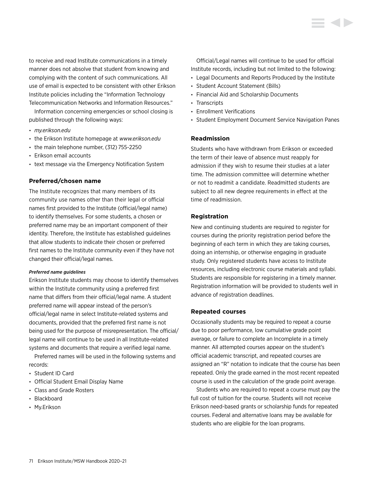<span id="page-71-0"></span>to receive and read Institute communications in a timely manner does not absolve that student from knowing and complying with the content of such communications. All use of email is expected to be consistent with other Erikson Institute policies including the "Information Technology Telecommunication Networks and Information Resources."

Information concerning emergencies or school closing is published through the following ways:

- *my.erikson.edu*
- the Erikson Institute homepage at *[www.erikson.edu](http://www.erikson.edu)*
- the main telephone number, (312) 755-2250
- Erikson email accounts
- text message via the Emergency Notification System

#### **Preferred/chosen name**

The Institute recognizes that many members of its community use names other than their legal or official names first provided to the Institute (official/legal name) to identify themselves. For some students, a chosen or preferred name may be an important component of their identity. Therefore, the Institute has established guidelines that allow students to indicate their chosen or preferred first names to the Institute community even if they have not changed their official/legal names.

#### *Preferred name guidelines*

Erikson Institute students may choose to identify themselves within the Institute community using a preferred first name that differs from their official/legal name. A student preferred name will appear instead of the person's official/legal name in select Institute-related systems and documents, provided that the preferred first name is not being used for the purpose of misrepresentation. The official/ legal name will continue to be used in all Institute-related systems and documents that require a verified legal name.

Preferred names will be used in the following systems and records:

- Student ID Card
- Official Student Email Display Name
- Class and Grade Rosters
- Blackboard
- My.Erikson

Official/Legal names will continue to be used for official Institute records, including but not limited to the following:

- Legal Documents and Reports Produced by the Institute
- Student Account Statement (Bills)
- Financial Aid and Scholarship Documents
- Transcripts
- Enrollment Verifications
- Student Employment Document Service Navigation Panes

#### **Readmission**

Students who have withdrawn from Erikson or exceeded the term of their leave of absence must reapply for admission if they wish to resume their studies at a later time. The admission committee will determine whether or not to readmit a candidate. Readmitted students are subject to all new degree requirements in effect at the time of readmission.

#### **Registration**

New and continuing students are required to register for courses during the priority registration period before the beginning of each term in which they are taking courses, doing an internship, or otherwise engaging in graduate study. Only registered students have access to Institute resources, including electronic course materials and syllabi. Students are responsible for registering in a timely manner. Registration information will be provided to students well in advance of registration deadlines.

#### **Repeated courses**

Occasionally students may be required to repeat a course due to poor performance, low cumulative grade point average, or failure to complete an Incomplete in a timely manner. All attempted courses appear on the student's official academic transcript, and repeated courses are assigned an "R" notation to indicate that the course has been repeated. Only the grade earned in the most recent repeated course is used in the calculation of the grade point average.

Students who are required to repeat a course must pay the full cost of tuition for the course. Students will not receive Erikson need-based grants or scholarship funds for repeated courses. Federal and alternative loans may be available for students who are eligible for the loan programs.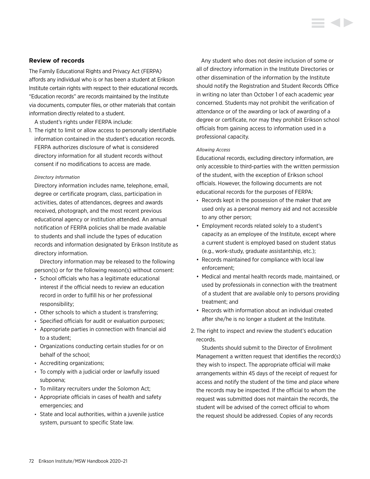## **Review of records**

The Family Educational Rights and Privacy Act (FERPA) affords any individual who is or has been a student at Erikson Institute certain rights with respect to their educational records. "Education records" are records maintained by the Institute via documents, computer files, or other materials that contain information directly related to a student.

A student's rights under FERPA include:

1. The right to limit or allow access to personally identifiable information contained in the student's education records. FERPA authorizes disclosure of what is considered directory information for all student records without consent if no modifications to access are made.

#### *Directory Information*

Directory information includes name, telephone, email, degree or certificate program, class, participation in activities, dates of attendances, degrees and awards received, photograph, and the most recent previous educational agency or institution attended. An annual notification of FERPA policies shall be made available to students and shall include the types of education records and information designated by Erikson Institute as directory information.

 Directory information may be released to the following person(s) or for the following reason(s) without consent:

- School officials who has a legitimate educational interest if the official needs to review an education record in order to fulfill his or her professional responsibility;
- Other schools to which a student is transferring;
- Specified officials for audit or evaluation purposes;
- Appropriate parties in connection with financial aid to a student;
- Organizations conducting certain studies for or on behalf of the school;
- Accrediting organizations;
- To comply with a judicial order or lawfully issued subpoena;
- To military recruiters under the Solomon Act;
- Appropriate officials in cases of health and safety emergencies; and
- State and local authorities, within a juvenile justice system, pursuant to specific State law.

 Any student who does not desire inclusion of some or all of directory information in the Institute Directories or other dissemination of the information by the Institute should notify the Registration and Student Records Office in writing no later than October 1 of each academic year concerned. Students may not prohibit the verification of attendance or of the awarding or lack of awarding of a degree or certificate, nor may they prohibit Erikson school officials from gaining access to information used in a professional capacity.

#### *Allowing Access*

Educational records, excluding directory information, are only accessible to third-parties with the written permission of the student, with the exception of Erikson school officials. However, the following documents are not educational records for the purposes of FERPA:

- Records kept in the possession of the maker that are used only as a personal memory aid and not accessible to any other person;
- Employment records related solely to a student's capacity as an employee of the Institute, except where a current student is employed based on student status (e.g., work-study, graduate assistantship, etc.);
- Records maintained for compliance with local law enforcement;
- Medical and mental health records made, maintained, or used by professionals in connection with the treatment of a student that are available only to persons providing treatment; and
- Records with information about an individual created after she/he is no longer a student at the Institute.
- 2. The right to inspect and review the student's education records.

 Students should submit to the Director of Enrollment Management a written request that identifies the record(s) they wish to inspect. The appropriate official will make arrangements within 45 days of the receipt of request for access and notify the student of the time and place where the records may be inspected. If the official to whom the request was submitted does not maintain the records, the student will be advised of the correct official to whom the request should be addressed. Copies of any records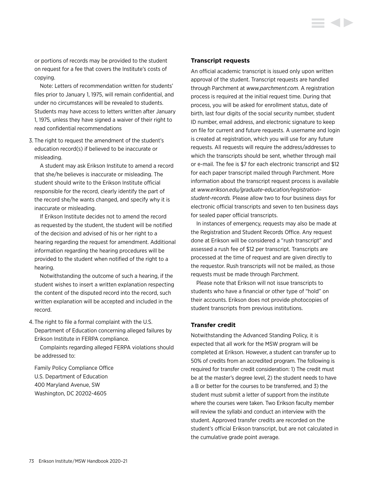or portions of records may be provided to the student on request for a fee that covers the Institute's costs of copying.

 Note: Letters of recommendation written for students' files prior to January 1, 1975, will remain confidential, and under no circumstances will be revealed to students. Students may have access to letters written after January 1, 1975, unless they have signed a waiver of their right to read confidential recommendations

3. The right to request the amendment of the student's education record(s) if believed to be inaccurate or misleading.

 A student may ask Erikson Institute to amend a record that she/he believes is inaccurate or misleading. The student should write to the Erikson Institute official responsible for the record, clearly identify the part of the record she/he wants changed, and specify why it is inaccurate or misleading.

 If Erikson Institute decides not to amend the record as requested by the student, the student will be notified of the decision and advised of his or her right to a hearing regarding the request for amendment. Additional information regarding the hearing procedures will be provided to the student when notified of the right to a hearing.

 Notwithstanding the outcome of such a hearing, if the student wishes to insert a written explanation respecting the content of the disputed record into the record, such written explanation will be accepted and included in the record.

4. The right to file a formal complaint with the U.S. Department of Education concerning alleged failures by Erikson Institute in FERPA compliance.

 Complaints regarding alleged FERPA violations should be addressed to:

Family Policy Compliance Office U.S. Department of Education 400 Maryland Avenue, SW Washington, DC 20202-4605

### **Transcript requests**

An official academic transcript is issued only upon written approval of the student. Transcript requests are handled through Parchment at *[www.parchment.com](http://www.parchment.com)*. A registration process is required at the initial request time. During that process, you will be asked for enrollment status, date of birth, last four digits of the social security number, student ID number, email address, and electronic signature to keep on file for current and future requests. A username and login is created at registration, which you will use for any future requests. All requests will require the address/addresses to which the transcripts should be sent, whether through mail or e-mail. The fee is \$7 for each electronic transcript and \$12 for each paper transcript mailed through Parchment. More information about the transcript request process is available at *[www.erikson.edu/graduate-education/registration](https://www.erikson.edu/graduate-education/registration-student-records/)[student-records](https://www.erikson.edu/graduate-education/registration-student-records/).* Please allow two to four business days for electronic official transcripts and seven to ten business days for sealed paper official transcripts.

In instances of emergency, requests may also be made at the Registration and Student Records Office. Any request done at Erikson will be considered a "rush transcript" and assessed a rush fee of \$12 per transcript. Transcripts are processed at the time of request and are given directly to the requestor. Rush transcripts will not be mailed, as those requests must be made through Parchment.

Please note that Erikson will not issue transcripts to students who have a financial or other type of "hold" on their accounts. Erikson does not provide photocopies of student transcripts from previous institutions.

#### **Transfer credit**

Notwithstanding the Advanced Standing Policy, it is expected that all work for the MSW program will be completed at Erikson. However, a student can transfer up to 50% of credits from an accredited program. The following is required for transfer credit consideration: 1) The credit must be at the master's degree level, 2) the student needs to have a B or better for the courses to be transferred, and 3) the student must submit a letter of support from the institute where the courses were taken. Two Erikson faculty member will review the syllabi and conduct an interview with the student. Approved transfer credits are recorded on the student's official Erikson transcript, but are not calculated in the cumulative grade point average.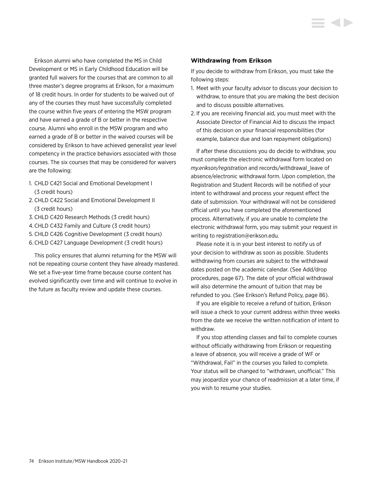Erikson alumni who have completed the MS in Child Development or MS in Early Childhood Education will be granted full waivers for the courses that are common to all three master's degree programs at Erikson, for a maximum of 18 credit hours. In order for students to be waived out of any of the courses they must have successfully completed the course within five years of entering the MSW program and have earned a grade of B or better in the respective course. Alumni who enroll in the MSW program and who earned a grade of B or better in the waived courses will be considered by Erikson to have achieved generalist year level competency in the practice behaviors associated with those courses. The six courses that may be considered for waivers are the following:

- 1. CHLD C421 Social and Emotional Development I (3 credit hours)
- 2. CHLD C422 Social and Emotional Development II (3 credit hours)
- 3. CHLD C420 Research Methods (3 credit hours)
- 4.CHLD C432 Family and Culture (3 credit hours)
- 5. CHLD C426 Cognitive Development (3 credit hours)
- 6. CHLD C427 Language Development (3 credit hours)

This policy ensures that alumni returning for the MSW will not be repeating course content they have already mastered. We set a five-year time frame because course content has evolved significantly over time and will continue to evolve in the future as faculty review and update these courses.

### **Withdrawing from Erikson**

If you decide to withdraw from Erikson, you must take the following steps:

- 1. Meet with your faculty advisor to discuss your decision to withdraw, to ensure that you are making the best decision and to discuss possible alternatives.
- 2. If you are receiving financial aid, you must meet with the Associate Director of Financial Aid to discuss the impact of this decision on your financial responsibilities (for example, balance due and loan repayment obligations)

If after these discussions you do decide to withdraw, you must complete the electronic withdrawal form located on *my.erikson/registration* and records/withdrawal\_leave of absence/electronic withdrawal form. Upon completion, the Registration and Student Records will be notified of your intent to withdrawal and process your request effect the date of submission. Your withdrawal will not be considered official until you have completed the aforementioned process. Alternatively, if you are unable to complete the electronic withdrawal form, you may submit your request in writing to [registration@erikson.edu.](mailto:registration%40erikson.edu?subject=)

Please note it is in your best interest to notify us of your decision to withdraw as soon as possible. Students withdrawing from courses are subject to the withdrawal dates posted on the academic calendar. ([See Add/drop](#page-67-0)  [procedures, page 67](#page-67-0)). The date of your official withdrawal will also determine the amount of tuition that may be refunded to you. [\(See Erikson's Refund Policy, page 86\)](#page-86-0).

If you are eligible to receive a refund of tuition, Erikson will issue a check to your current address within three weeks from the date we receive the written notification of intent to withdraw.

If you stop attending classes and fail to complete courses without officially withdrawing from Erikson or requesting a leave of absence, you will receive a grade of WF or "Withdrawal, Fail" in the courses you failed to complete. Your status will be changed to "withdrawn, unofficial." This may jeopardize your chance of readmission at a later time, if you wish to resume your studies.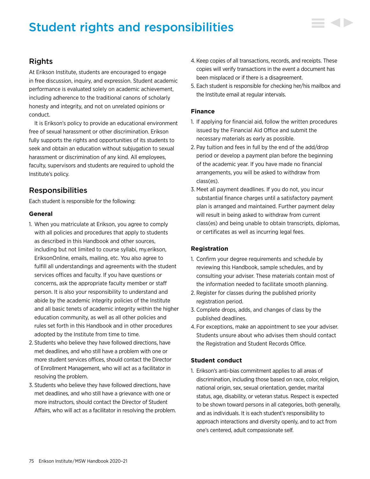# Student rights and responsibilities



# Rights

At Erikson Institute, students are encouraged to engage in free discussion, inquiry, and expression. Student academic performance is evaluated solely on academic achievement, including adherence to the traditional canons of scholarly honesty and integrity, and not on unrelated opinions or conduct.

It is Erikson's policy to provide an educational environment free of sexual harassment or other discrimination. Erikson fully supports the rights and opportunities of its students to seek and obtain an education without subjugation to sexual harassment or discrimination of any kind. All employees, faculty, supervisors and students are required to uphold the Institute's policy.

# Responsibilities

Each student is responsible for the following:

# **General**

- 1. When you matriculate at Erikson, you agree to comply with all policies and procedures that apply to students as described in this Handbook and other sources, including but not limited to course syllabi, my.erikson, EriksonOnline, emails, mailing, etc. You also agree to fulfill all understandings and agreements with the student services offices and faculty. If you have questions or concerns, ask the appropriate faculty member or staff person. It is also your responsibility to understand and abide by the academic integrity policies of the Institute and all basic tenets of academic integrity within the higher education community, as well as all other policies and rules set forth in this Handbook and in other procedures adopted by the Institute from time to time.
- 2. Students who believe they have followed directions, have met deadlines, and who still have a problem with one or more student services offices, should contact the Director of Enrollment Management, who will act as a facilitator in resolving the problem.
- 3. Students who believe they have followed directions, have met deadlines, and who still have a grievance with one or more instructors, should contact the Director of Student Affairs, who will act as a facilitator in resolving the problem.
- 4. Keep copies of all transactions, records, and receipts. These copies will verify transactions in the event a document has been misplaced or if there is a disagreement.
- 5. Each student is responsible for checking her/his mailbox and the Institute email at regular intervals.

# **Finance**

- 1. If applying for financial aid, follow the written procedures issued by the Financial Aid Office and submit the necessary materials as early as possible.
- 2. Pay tuition and fees in full by the end of the add/drop period or develop a payment plan before the beginning of the academic year. If you have made no financial arrangements, you will be asked to withdraw from class(es).
- 3. Meet all payment deadlines. If you do not, you incur substantial finance charges until a satisfactory payment plan is arranged and maintained. Further payment delay will result in being asked to withdraw from current class(es) and being unable to obtain transcripts, diplomas, or certificates as well as incurring legal fees.

# **Registration**

- 1. Confirm your degree requirements and schedule by reviewing this Handbook, sample schedules, and by consulting your adviser. These materials contain most of the information needed to facilitate smooth planning.
- 2. Register for classes during the published priority registration period.
- 3. Complete drops, adds, and changes of class by the published deadlines.
- 4. For exceptions, make an appointment to see your adviser. Students unsure about who advises them should contact the Registration and Student Records Office.

# **Student conduct**

1. Erikson's anti-bias commitment applies to all areas of discrimination, including those based on race, color, religion, national origin, sex, sexual orientation, gender, marital status, age, disability, or veteran status. Respect is expected to be shown toward persons in all categories, both generally, and as individuals. It is each student's responsibility to approach interactions and diversity openly, and to act from one's centered, adult compassionate self.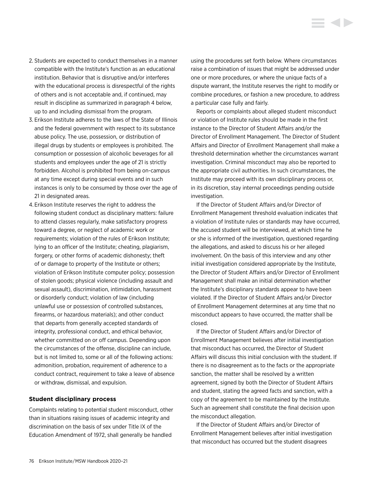- 2. Students are expected to conduct themselves in a manner compatible with the Institute's function as an educational institution. Behavior that is disruptive and/or interferes with the educational process is disrespectful of the rights of others and is not acceptable and, if continued, may result in discipline as summarized in paragraph 4 below, up to and including dismissal from the program.
- 3. Erikson Institute adheres to the laws of the State of Illinois and the federal government with respect to its substance abuse policy. The use, possession, or distribution of illegal drugs by students or employees is prohibited. The consumption or possession of alcoholic beverages for all students and employees under the age of 21 is strictly forbidden. Alcohol is prohibited from being on-campus at any time except during special events and in such instances is only to be consumed by those over the age of 21 in designated areas.
- 4. Erikson Institute reserves the right to address the following student conduct as disciplinary matters: failure to attend classes regularly, make satisfactory progress toward a degree, or neglect of academic work or requirements; violation of the rules of Erikson Institute; lying to an officer of the Institute; cheating, plagiarism, forgery, or other forms of academic dishonesty; theft of or damage to property of the Institute or others; violation of Erikson Institute computer policy; possession of stolen goods; physical violence (including assault and sexual assault), discrimination, intimidation, harassment or disorderly conduct; violation of law (including unlawful use or possession of controlled substances, firearms, or hazardous materials); and other conduct that departs from generally accepted standards of integrity, professional conduct, and ethical behavior, whether committed on or off campus. Depending upon the circumstances of the offense, discipline can include, but is not limited to, some or all of the following actions: admonition, probation, requirement of adherence to a conduct contract, requirement to take a leave of absence or withdraw, dismissal, and expulsion.

#### **Student disciplinary process**

Complaints relating to potential student misconduct, other than in situations raising issues of academic integrity and discrimination on the basis of sex under Title IX of the Education Amendment of 1972, shall generally be handled

using the procedures set forth below. Where circumstances raise a combination of issues that might be addressed under one or more procedures, or where the unique facts of a dispute warrant, the Institute reserves the right to modify or combine procedures, or fashion a new procedure, to address a particular case fully and fairly.

**KID** 

Reports or complaints about alleged student misconduct or violation of Institute rules should be made in the first instance to the Director of Student Affairs and/or the Director of Enrollment Management. The Director of Student Affairs and Director of Enrollment Management shall make a threshold determination whether the circumstances warrant investigation. Criminal misconduct may also be reported to the appropriate civil authorities. In such circumstances, the Institute may proceed with its own disciplinary process or, in its discretion, stay internal proceedings pending outside investigation.

If the Director of Student Affairs and/or Director of Enrollment Management threshold evaluation indicates that a violation of Institute rules or standards may have occurred, the accused student will be interviewed, at which time he or she is informed of the investigation, questioned regarding the allegations, and asked to discuss his or her alleged involvement. On the basis of this interview and any other initial investigation considered appropriate by the Institute, the Director of Student Affairs and/or Director of Enrollment Management shall make an initial determination whether the Institute's disciplinary standards appear to have been violated. If the Director of Student Affairs and/or Director of Enrollment Management determines at any time that no misconduct appears to have occurred, the matter shall be closed.

If the Director of Student Affairs and/or Director of Enrollment Management believes after initial investigation that misconduct has occurred, the Director of Student Affairs will discuss this initial conclusion with the student. If there is no disagreement as to the facts or the appropriate sanction, the matter shall be resolved by a written agreement, signed by both the Director of Student Affairs and student, stating the agreed facts and sanction, with a copy of the agreement to be maintained by the Institute. Such an agreement shall constitute the final decision upon the misconduct allegation.

If the Director of Student Affairs and/or Director of Enrollment Management believes after initial investigation that misconduct has occurred but the student disagrees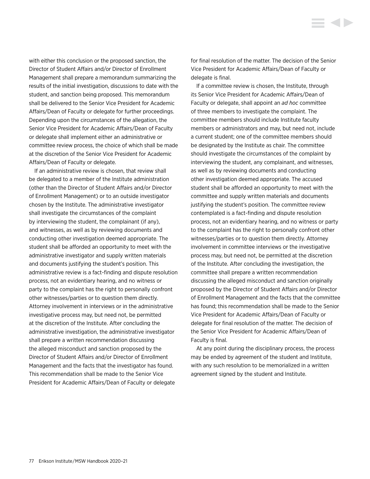with either this conclusion or the proposed sanction, the Director of Student Affairs and/or Director of Enrollment Management shall prepare a memorandum summarizing the results of the initial investigation, discussions to date with the student, and sanction being proposed. This memorandum shall be delivered to the Senior Vice President for Academic Affairs/Dean of Faculty or delegate for further proceedings. Depending upon the circumstances of the allegation, the Senior Vice President for Academic Affairs/Dean of Faculty or delegate shall implement either an administrative or committee review process, the choice of which shall be made at the discretion of the Senior Vice President for Academic Affairs/Dean of Faculty or delegate.

If an administrative review is chosen, that review shall be delegated to a member of the Institute administration (other than the Director of Student Affairs and/or Director of Enrollment Management) or to an outside investigator chosen by the Institute. The administrative investigator shall investigate the circumstances of the complaint by interviewing the student, the complainant (if any), and witnesses, as well as by reviewing documents and conducting other investigation deemed appropriate. The student shall be afforded an opportunity to meet with the administrative investigator and supply written materials and documents justifying the student's position. This administrative review is a fact-finding and dispute resolution process, not an evidentiary hearing, and no witness or party to the complaint has the right to personally confront other witnesses/parties or to question them directly. Attorney involvement in interviews or in the administrative investigative process may, but need not, be permitted at the discretion of the Institute. After concluding the administrative investigation, the administrative investigator shall prepare a written recommendation discussing the alleged misconduct and sanction proposed by the Director of Student Affairs and/or Director of Enrollment Management and the facts that the investigator has found. This recommendation shall be made to the Senior Vice President for Academic Affairs/Dean of Faculty or delegate

for final resolution of the matter. The decision of the Senior Vice President for Academic Affairs/Dean of Faculty or delegate is final.

**KID** 

If a committee review is chosen, the Institute, through its Senior Vice President for Academic Affairs/Dean of Faculty or delegate, shall appoint an *ad hoc* committee of three members to investigate the complaint. The committee members should include Institute faculty members or administrators and may, but need not, include a current student; one of the committee members should be designated by the Institute as chair. The committee should investigate the circumstances of the complaint by interviewing the student, any complainant, and witnesses, as well as by reviewing documents and conducting other investigation deemed appropriate. The accused student shall be afforded an opportunity to meet with the committee and supply written materials and documents justifying the student's position. The committee review contemplated is a fact-finding and dispute resolution process, not an evidentiary hearing, and no witness or party to the complaint has the right to personally confront other witnesses/parties or to question them directly. Attorney involvement in committee interviews or the investigative process may, but need not, be permitted at the discretion of the Institute. After concluding the investigation, the committee shall prepare a written recommendation discussing the alleged misconduct and sanction originally proposed by the Director of Student Affairs and/or Director of Enrollment Management and the facts that the committee has found; this recommendation shall be made to the Senior Vice President for Academic Affairs/Dean of Faculty or delegate for final resolution of the matter. The decision of the Senior Vice President for Academic Affairs/Dean of Faculty is final.

At any point during the disciplinary process, the process may be ended by agreement of the student and Institute, with any such resolution to be memorialized in a written agreement signed by the student and Institute.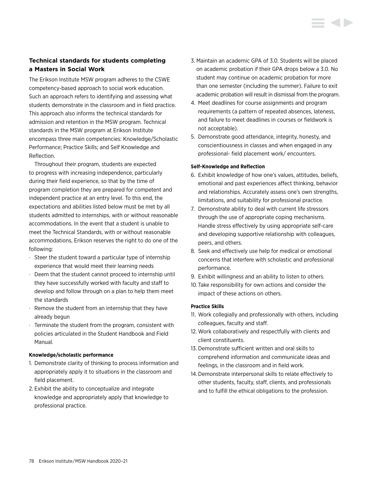# **Technical standards for students completing a Masters in Social Work**

The Erikson Institute MSW program adheres to the CSWE competency-based approach to social work education. Such an approach refers to identifying and assessing what students demonstrate in the classroom and in field practice. This approach also informs the technical standards for admission and retention in the MSW program. Technical standards in the MSW program at Erikson Institute encompass three main competencies: Knowledge/Scholastic Performance; Practice Skills; and Self Knowledge and Reflection.

Throughout their program, students are expected to progress with increasing independence, particularly during their field experience, so that by the time of program completion they are prepared for competent and independent practice at an entry level. To this end, the expectations and abilities listed below must be met by all students admitted to internships, with or without reasonable accommodations. In the event that a student is unable to meet the Technical Standards, with or without reasonable accommodations, Erikson reserves the right to do one of the following:

- $\cdot$  Steer the student toward a particular type of internship experience that would meet their learning needs
- Deem that the student cannot proceed to internship until they have successfully worked with faculty and staff to develop and follow through on a plan to help them meet the standards
- $\cdot$  Remove the student from an internship that they have already begun
- Terminate the student from the program, consistent with policies articulated in the Student Handbook and Field Manual.

#### **Knowledge/scholastic performance**

- 1. Demonstrate clarity of thinking to process information and appropriately apply it to situations in the classroom and field placement.
- 2. Exhibit the ability to conceptualize and integrate knowledge and appropriately apply that knowledge to professional practice.
- 3. Maintain an academic GPA of 3.0. Students will be placed on academic probation if their GPA drops below a 3.0. No student may continue on academic probation for more than one semester (including the summer). Failure to exit academic probation will result in dismissal from the program.
- 4. Meet deadlines for course assignments and program requirements (a pattern of repeated absences, lateness, and failure to meet deadlines in courses or fieldwork is not acceptable).
- 5. Demonstrate good attendance, integrity, honesty, and conscientiousness in classes and when engaged in any professional- field placement work/ encounters.

## **Self-Knowledge and Reflection**

- 6. Exhibit knowledge of how one's values, attitudes, beliefs, emotional and past experiences affect thinking, behavior and relationships. Accurately assess one's own strengths, limitations, and suitability for professional practice.
- 7. Demonstrate ability to deal with current life stressors through the use of appropriate coping mechanisms. Handle stress effectively by using appropriate self-care and developing supportive relationship with colleagues, peers, and others.
- 8. Seek and effectively use help for medical or emotional concerns that interfere with scholastic and professional performance.
- 9. Exhibit willingness and an ability to listen to others.
- 10.Take responsibility for own actions and consider the impact of these actions on others.

# **Practice Skills**

- 11. Work collegially and professionally with others, including colleagues, faculty and staff.
- 12. Work collaboratively and respectfully with clients and client constituents.
- 13. Demonstrate sufficient written and oral skills to comprehend information and communicate ideas and feelings, in the classroom and in field work.
- 14.Demonstrate interpersonal skills to relate effectively to other students, faculty, staff, clients, and professionals and to fulfill the ethical obligations to the profession.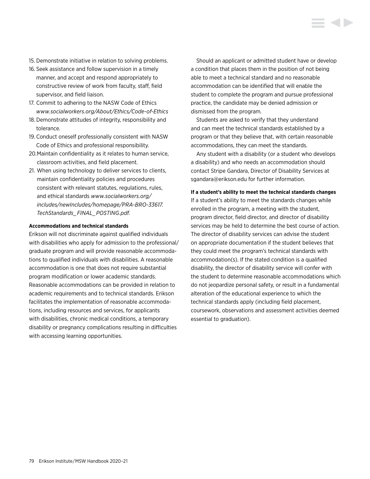- 15. Demonstrate initiative in relation to solving problems.
- 16. Seek assistance and follow supervision in a timely manner, and accept and respond appropriately to constructive review of work from faculty, staff, field supervisor, and field liaison.
- 17. Commit to adhering to the NASW Code of Ethics *[www.socialworkers.org/About/Ethics/Code-of-Ethics](http://www.socialworkers.org/About/Ethics/Code-of-Ethics)*
- 18. Demonstrate attitudes of integrity, responsibility and tolerance.
- 19. Conduct oneself professionally consistent with NASW Code of Ethics and professional responsibility.
- 20.Maintain confidentiality as it relates to human service, classroom activities, and field placement.
- 21. When using technology to deliver services to clients, maintain confidentiality policies and procedures consistent with relevant statutes, regulations, rules, and ethical standards *[www.socialworkers.org/](http://www.socialworkers.org/includes/newIncludes/homepage/PRA-BRO-33617.TechStandards_FINAL_POSTING.pdf) [includes/newIncludes/homepage/PRA-BRO-33617.](http://www.socialworkers.org/includes/newIncludes/homepage/PRA-BRO-33617.TechStandards_FINAL_POSTING.pdf) [TechStandards\\_FINAL\\_POSTING.pdf](http://www.socialworkers.org/includes/newIncludes/homepage/PRA-BRO-33617.TechStandards_FINAL_POSTING.pdf).*

#### **Accommodations and technical standards**

Erikson will not discriminate against qualified individuals with disabilities who apply for admission to the professional/ graduate program and will provide reasonable accommodations to qualified individuals with disabilities. A reasonable accommodation is one that does not require substantial program modification or lower academic standards. Reasonable accommodations can be provided in relation to academic requirements and to technical standards. Erikson facilitates the implementation of reasonable accommodations, including resources and services, for applicants with disabilities, chronic medical conditions, a temporary disability or pregnancy complications resulting in difficulties with accessing learning opportunities.

Should an applicant or admitted student have or develop a condition that places them in the position of not being able to meet a technical standard and no reasonable accommodation can be identified that will enable the student to complete the program and pursue professional practice, the candidate may be denied admission or dismissed from the program.

Students are asked to verify that they understand and can meet the technical standards established by a program or that they believe that, with certain reasonable accommodations, they can meet the standards.

Any student with a disability (or a student who develops a disability) and who needs an accommodation should contact Stripe Gandara, Director of Disability Services at [sgandara@erikson.edu](mailto:sgandara%40erikson.edu?subject=) for further information.

#### **If a student's ability to meet the technical standards changes**

If a student's ability to meet the standards changes while enrolled in the program, a meeting with the student, program director, field director, and director of disability services may be held to determine the best course of action. The director of disability services can advise the student on appropriate documentation if the student believes that they could meet the program's technical standards with accommodation(s). If the stated condition is a qualified disability, the director of disability service will confer with the student to determine reasonable accommodations which do not jeopardize personal safety, or result in a fundamental alteration of the educational experience to which the technical standards apply (including field placement, coursework, observations and assessment activities deemed essential to graduation).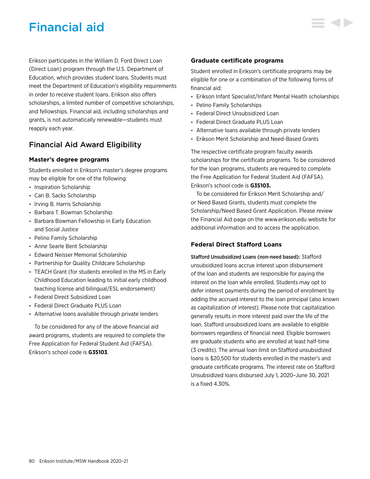# Financial aid

Erikson participates in the William D. Ford Direct Loan (Direct Loan) program through the U.S. Department of Education, which provides student loans. Students must meet the Department of Education's eligibility requirements in order to receive student loans. Erikson also offers scholarships, a limited number of competitive scholarships, and fellowships. Financial aid, including scholarships and grants, is not automatically renewable—students must reapply each year.

# Financial Aid Award Eligibility

# **Master's degree programs**

Students enrolled in Erikson's master's degree programs may be eligible for one of the following:

- Inspiration Scholarship
- Cari B. Sacks Scholarship
- Irving B. Harris Scholarship
- Barbara T. Bowman Scholarship
- Barbara Bowman Fellowship in Early Education and Social Justice
- Pelino Family Scholarship
- Anne Searle Bent Scholarship
- Edward Neisser Memorial Scholarship
- Partnership for Quality Childcare Scholarship
- TEACH Grant (for students enrolled in the MS in Early Childhood Education leading to initial early childhood teaching license and bilingual/ESL endorsement)
- Federal Direct Subsidized Loan
- Federal Direct Graduate PLUS Loan
- Alternative loans available through private lenders

To be considered for any of the above financial aid award programs, students are required to complete the Free Application for Federal Student Aid (FAFSA). Erikson's school code is **G35103**.

# **Graduate certificate programs**

Student enrolled in Erikson's certificate programs may be eligible for one or a combination of the following forms of financial aid:

- Erikson Infant Specialist/Infant Mental Health scholarships
- Pelino Family Scholarships
- Federal Direct Unsubsidized Loan
- Federal Direct Graduate PLUS Loan
- Alternative loans available through private lenders
- Erikson Merit Scholarship and Need-Based Grants

The respective certificate program faculty awards scholarships for the certificate programs. To be considered for the loan programs, students are required to complete the Free Application for Federal Student Aid (FAFSA). Erikson's school code is **G35103.**

To be considered for Erikson Merit Scholarship and/ or Need Based Grants, students must complete the Scholarship/Need Based Grant Application. Please review the Financial Aid page on the [www.erikson.edu](http://www.erikson.edu) website for additional information and to access the application.

# **Federal Direct Stafford Loans**

Stafford Unsubsidized Loans (non-need based): Stafford unsubsidized loans accrue interest upon disbursement of the loan and students are responsible for paying the interest on the loan while enrolled. Students may opt to defer interest payments during the period of enrollment by adding the accrued interest to the loan principal (also known as capitalization of interest). Please note that capitalization generally results in more interest paid over the life of the loan. Stafford unsubsidized loans are available to eligible borrowers regardless of financial need. Eligible borrowers are graduate students who are enrolled at least half-time (3 credits). The annual loan limit on Stafford unsubsidized loans is \$20,500 for students enrolled in the master's and graduate certificate programs. The interest rate on Stafford Unsubsidized loans disbursed July 1, 2020–June 30, 2021 is a fixed 4.30%.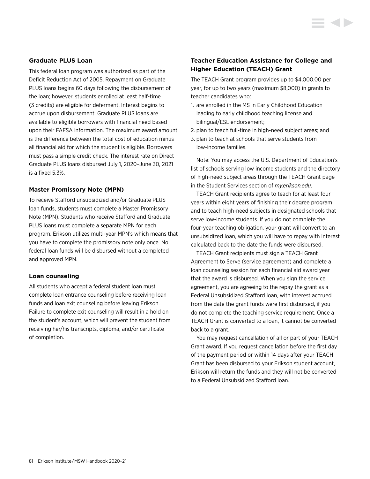## **Graduate PLUS Loan**

This federal loan program was authorized as part of the Deficit Reduction Act of 2005. Repayment on Graduate PLUS loans begins 60 days following the disbursement of the loan; however, students enrolled at least half-time (3 credits) are eligible for deferment. Interest begins to accrue upon disbursement. Graduate PLUS loans are available to eligible borrowers with financial need based upon their FAFSA information. The maximum award amount is the difference between the total cost of education minus all financial aid for which the student is eligible. Borrowers must pass a simple credit check. The interest rate on Direct Graduate PLUS loans disbursed July 1, 2020–June 30, 2021 is a fixed 5.3%.

## **Master Promissory Note (MPN)**

To receive Stafford unsubsidized and/or Graduate PLUS loan funds, students must complete a Master Promissory Note (MPN). Students who receive Stafford and Graduate PLUS loans must complete a separate MPN for each program. Erikson utilizes multi-year MPN's which means that you have to complete the promissory note only once. No federal loan funds will be disbursed without a completed and approved MPN.

#### **Loan counseling**

All students who accept a federal student loan must complete loan entrance counseling before receiving loan funds and loan exit counseling before leaving Erikson. Failure to complete exit counseling will result in a hold on the student's account, which will prevent the student from receiving her/his transcripts, diploma, and/or certificate of completion.

# **Teacher Education Assistance for College and Higher Education (TEACH) Grant**

The TEACH Grant program provides up to \$4,000.00 per year, for up to two years (maximum \$8,000) in grants to teacher candidates who:

- 1. are enrolled in the MS in Early Childhood Education leading to early childhood teaching license and bilingual/ESL endorsement;
- 2. plan to teach full-time in high-need subject areas; and
- 3. plan to teach at schools that serve students from low-income families.

Note: You may access the U.S. Department of Education's list of schools serving low income students and the directory of high-need subject areas through the TEACH Grant page in the Student Services section of *[my.erikson.edu](http://my.erikson.edu)*.

TEACH Grant recipients agree to teach for at least four years within eight years of finishing their degree program and to teach high-need subjects in designated schools that serve low-income students. If you do not complete the four-year teaching obligation, your grant will convert to an unsubsidized loan, which you will have to repay with interest calculated back to the date the funds were disbursed.

TEACH Grant recipients must sign a TEACH Grant Agreement to Serve (service agreement) and complete a loan counseling session for each financial aid award year that the award is disbursed. When you sign the service agreement, you are agreeing to the repay the grant as a Federal Unsubsidized Stafford loan, with interest accrued from the date the grant funds were first disbursed, if you do not complete the teaching service requirement. Once a TEACH Grant is converted to a loan, it cannot be converted back to a grant.

You may request cancellation of all or part of your TEACH Grant award. If you request cancellation before the first day of the payment period or within 14 days after your TEACH Grant has been disbursed to your Erikson student account, Erikson will return the funds and they will not be converted to a Federal Unsubsidized Stafford loan.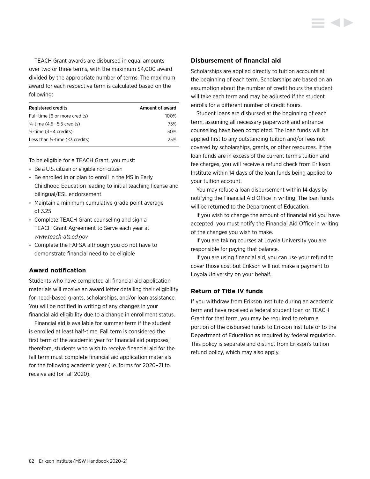TEACH Grant awards are disbursed in equal amounts over two or three terms, with the maximum \$4,000 award divided by the appropriate number of terms. The maximum award for each respective term is calculated based on the following:

| <b>Registered credits</b>                  | Amount of award |
|--------------------------------------------|-----------------|
| Full-time (6 or more credits)              | 100%            |
| $\frac{3}{4}$ -time (4.5 – 5.5 credits)    | 75%             |
| $\frac{1}{2}$ -time (3 – 4 credits)        | 50%             |
| Less than $\frac{1}{2}$ -time (<3 credits) | 25%             |

To be eligible for a TEACH Grant, you must:

- Be a U.S. citizen or eligible non-citizen
- Be enrolled in or plan to enroll in the MS in Early Childhood Education leading to initial teaching license and bilingual/ESL endorsement
- Maintain a minimum cumulative grade point average of 3.25
- Complete TEACH Grant counseling and sign a TEACH Grant Agreement to Serve each year at *[www.teach-ats.ed.gov](http://www.teach-ats.ed.gov)*
- Complete the FAFSA although you do not have to demonstrate financial need to be eligible

# **Award notification**

Students who have completed all financial aid application materials will receive an award letter detailing their eligibility for need-based grants, scholarships, and/or loan assistance. You will be notified in writing of any changes in your financial aid eligibility due to a change in enrollment status.

Financial aid is available for summer term if the student is enrolled at least half-time. Fall term is considered the first term of the academic year for financial aid purposes; therefore, students who wish to receive financial aid for the fall term must complete financial aid application materials for the following academic year (i.e. forms for 2020–21 to receive aid for fall 2020).

# **Disbursement of financial aid**

Scholarships are applied directly to tuition accounts at the beginning of each term. Scholarships are based on an assumption about the number of credit hours the student will take each term and may be adjusted if the student enrolls for a different number of credit hours.

Student loans are disbursed at the beginning of each term, assuming all necessary paperwork and entrance counseling have been completed. The loan funds will be applied first to any outstanding tuition and/or fees not covered by scholarships, grants, or other resources. If the loan funds are in excess of the current term's tuition and fee charges, you will receive a refund check from Erikson Institute within 14 days of the loan funds being applied to your tuition account.

You may refuse a loan disbursement within 14 days by notifying the Financial Aid Office in writing. The loan funds will be returned to the Department of Education.

If you wish to change the amount of financial aid you have accepted, you must notify the Financial Aid Office in writing of the changes you wish to make.

If you are taking courses at Loyola University you are responsible for paying that balance.

If you are using financial aid, you can use your refund to cover those cost but Erikson will not make a payment to Loyola University on your behalf.

# **Return of Title IV funds**

If you withdraw from Erikson Institute during an academic term and have received a federal student loan or TEACH Grant for that term, you may be required to return a portion of the disbursed funds to Erikson Institute or to the Department of Education as required by federal regulation. This policy is separate and distinct from Erikson's tuition refund policy, which may also apply.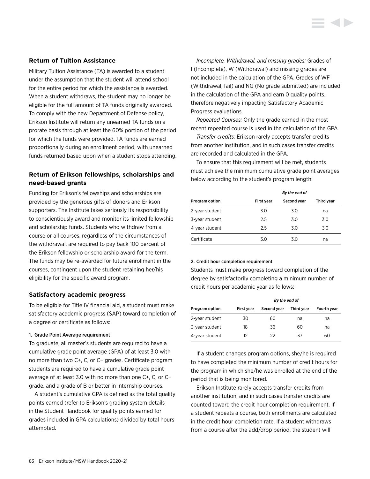## **Return of Tuition Assistance**

Military Tuition Assistance (TA) is awarded to a student under the assumption that the student will attend school for the entire period for which the assistance is awarded. When a student withdraws, the student may no longer be eligible for the full amount of TA funds originally awarded. To comply with the new Department of Defense policy, Erikson Institute will return any unearned TA funds on a prorate basis through at least the 60% portion of the period for which the funds were provided. TA funds are earned proportionally during an enrollment period, with unearned funds returned based upon when a student stops attending.

# **Return of Erikson fellowships, scholarships and need-based grants**

Funding for Erikson's fellowships and scholarships are provided by the generous gifts of donors and Erikson supporters. The Institute takes seriously its responsibility to conscientiously award and monitor its limited fellowship and scholarship funds. Students who withdraw from a course or all courses, regardless of the circumstances of the withdrawal, are required to pay back 100 percent of the Erikson fellowship or scholarship award for the term. The funds may be re-awarded for future enrollment in the courses, contingent upon the student retaining her/his eligibility for the specific award program.

#### **Satisfactory academic progress**

To be eligible for Title IV financial aid, a student must make satisfactory academic progress (SAP) toward completion of a degree or certificate as follows:

#### 1. Grade Point Average requirement

To graduate, all master's students are required to have a cumulative grade point average (GPA) of at least 3.0 with no more than two C+, C, or C− grades. Certificate program students are required to have a cumulative grade point average of at least 3.0 with no more than one C+, C, or C− grade, and a grade of B or better in internship courses.

A student's cumulative GPA is defined as the total quality points earned (refer to Erikson's grading system details in the Student Handbook for quality points earned for grades included in GPA calculations) divided by total hours attempted.

*Incomplete, Withdrawal, and missing grades:* Grades of I (Incomplete), W (Withdrawal) and missing grades are not included in the calculation of the GPA. Grades of WF (Withdrawal, fail) and NG (No grade submitted) are included in the calculation of the GPA and earn 0 quality points, therefore negatively impacting Satisfactory Academic Progress evaluations.

*Repeated Courses:* Only the grade earned in the most recent repeated course is used in the calculation of the GPA.

*Transfer credits:* Erikson rarely accepts transfer credits from another institution, and in such cases transfer credits are recorded and calculated in the GPA.

To ensure that this requirement will be met, students must achieve the minimum cumulative grade point averages below according to the student's program length:

|                | By the end of |             |            |
|----------------|---------------|-------------|------------|
| Program option | First year    | Second year | Third year |
| 2-year student | 3.0           | 3.0         | na         |
| 3-year student | 2.5           | 3.0         | 3.0        |
| 4-year student | 2.5           | 3.0         | 3.0        |
| Certificate    | 3.0           | 3.0         | na         |

#### 2. Credit hour completion requirement

Students must make progress toward completion of the degree by satisfactorily completing a minimum number of credit hours per academic year as follows:

|                | By the end of |             |            |                    |
|----------------|---------------|-------------|------------|--------------------|
| Program option | First year    | Second year | Third year | <b>Fourth year</b> |
| 2-year student | 30            | 60          | na         | na                 |
| 3-year student | 18            | 36          | 60         | na                 |
| 4-year student | 12            | 22          | 37         | 60                 |

If a student changes program options, she/he is required to have completed the minimum number of credit hours for the program in which she/he was enrolled at the end of the period that is being monitored.

Erikson Institute rarely accepts transfer credits from another institution, and in such cases transfer credits are counted toward the credit hour completion requirement. If a student repeats a course, both enrollments are calculated in the credit hour completion rate. If a student withdraws from a course after the add/drop period, the student will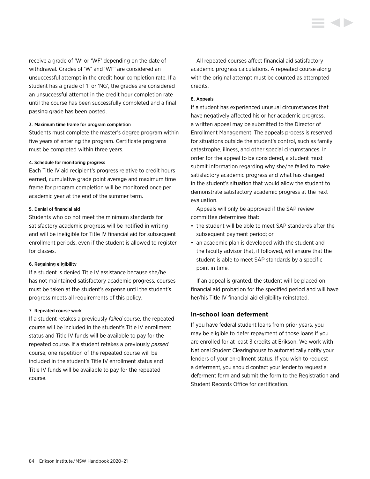receive a grade of 'W' or 'WF' depending on the date of withdrawal. Grades of 'W' and 'WF' are considered an unsuccessful attempt in the credit hour completion rate. If a student has a grade of 'I' or 'NG', the grades are considered an unsuccessful attempt in the credit hour completion rate until the course has been successfully completed and a final passing grade has been posted.

#### 3. Maximum time frame for program completion

Students must complete the master's degree program within five years of entering the program. Certificate programs must be completed within three years.

#### 4. Schedule for monitoring progress

Each Title IV aid recipient's progress relative to credit hours earned, cumulative grade point average and maximum time frame for program completion will be monitored once per academic year at the end of the summer term.

#### 5. Denial of financial aid

Students who do not meet the minimum standards for satisfactory academic progress will be notified in writing and will be ineligible for Title IV financial aid for subsequent enrollment periods, even if the student is allowed to register for classes.

#### 6. Regaining eligibility

If a student is denied Title IV assistance because she/he has not maintained satisfactory academic progress, courses must be taken at the student's expense until the student's progress meets all requirements of this policy.

#### 7. Repeated course work

If a student retakes a previously *failed* course, the repeated course will be included in the student's Title IV enrollment status and Title IV funds will be available to pay for the repeated course. If a student retakes a previously *passed* course, one repetition of the repeated course will be included in the student's Title IV enrollment status and Title IV funds will be available to pay for the repeated course.

All repeated courses affect financial aid satisfactory academic progress calculations. A repeated course along with the original attempt must be counted as attempted credits.

# 8. Appeals

If a student has experienced unusual circumstances that have negatively affected his or her academic progress, a written appeal may be submitted to the Director of Enrollment Management. The appeals process is reserved for situations outside the student's control, such as family catastrophe, illness, and other special circumstances. In order for the appeal to be considered, a student must submit information regarding why she/he failed to make satisfactory academic progress and what has changed in the student's situation that would allow the student to demonstrate satisfactory academic progress at the next evaluation.

Appeals will only be approved if the SAP review committee determines that:

- the student will be able to meet SAP standards after the subsequent payment period; or
- an academic plan is developed with the student and the faculty advisor that, if followed, will ensure that the student is able to meet SAP standards by a specific point in time.

If an appeal is granted, the student will be placed on financial aid probation for the specified period and will have her/his Title IV financial aid eligibility reinstated.

#### **In-school loan deferment**

If you have federal student loans from prior years, you may be eligible to defer repayment of those loans if you are enrolled for at least 3 credits at Erikson. We work with National Student Clearinghouse to automatically notify your lenders of your enrollment status. If you wish to request a deferment, you should contact your lender to request a deferment form and submit the form to the Registration and Student Records Office for certification.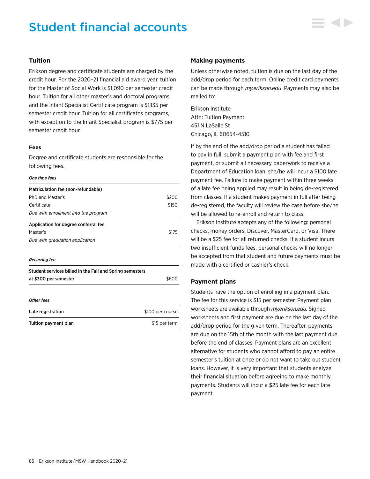# Student financial accounts



# **Tuition**

Erikson degree and certificate students are charged by the credit hour. For the 2020–21 financial aid award year, tuition for the Master of Social Work is \$1,090 per semester credit hour. Tuition for all other master's and doctoral programs and the Infant Specialist Certificate program is \$1,135 per semester credit hour. Tuition for all certificates programs, with exception to the Infant Specialist program is \$775 per semester credit hour.

#### **Fees**

Degree and certificate students are responsible for the following fees.

#### *One time fees*

| Matriculation fee (non-refundable)                       |       |
|----------------------------------------------------------|-------|
| PhD and Master's                                         | \$200 |
| Certificate                                              | \$150 |
| Due with enrollment into the program                     |       |
| Application for degree conferral fee                     |       |
| Master's                                                 | \$175 |
| Due with graduation application                          |       |
|                                                          |       |
| Recurring fee                                            |       |
| Student services billed in the Fall and Spring semesters |       |

| at \$300 per semester | \$600 |
|-----------------------|-------|
|                       |       |

#### *Other fees*

| Late registration    | \$100 per course |
|----------------------|------------------|
| Tuition payment plan | \$15 per term    |

#### **Making payments**

Unless otherwise noted, tuition is due on the last day of the add/drop period for each term. Online credit card payments can be made through *[my.erikson.edu](http://my.erikson.edu)*. Payments may also be mailed to:

Erikson Institute Attn: Tuition Payment 451 N LaSalle St Chicago, IL 60654-4510

If by the end of the add/drop period a student has failed to pay in full, submit a payment plan with fee and first payment, or submit all necessary paperwork to receive a Department of Education loan, she/he will incur a \$100 late payment fee. Failure to make payment within three weeks of a late fee being applied may result in being de-registered from classes. If a student makes payment in full after being de-registered, the faculty will review the case before she/he will be allowed to re-enroll and return to class.

Erikson Institute accepts any of the following: personal checks, money orders, Discover, MasterCard, or Visa. There will be a \$25 fee for all returned checks. If a student incurs two insufficient funds fees, personal checks will no longer be accepted from that student and future payments must be made with a certified or cashier's check.

#### **Payment plans**

Students have the option of enrolling in a payment plan. The fee for this service is \$15 per semester. Payment plan worksheets are available through *[my.erikson.edu.](http://my.erikson.edu)* Signed worksheets and first payment are due on the last day of the add/drop period for the given term. Thereafter, payments are due on the 15th of the month with the last payment due before the end of classes. Payment plans are an excellent alternative for students who cannot afford to pay an entire semester's tuition at once or do not want to take out student loans. However, it is very important that students analyze their financial situation before agreeing to make monthly payments. Students will incur a \$25 late fee for each late payment.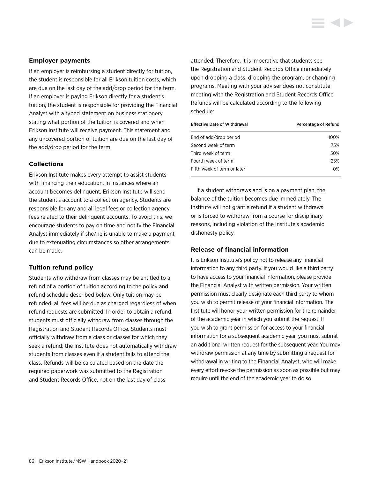## <span id="page-86-0"></span>**Employer payments**

If an employer is reimbursing a student directly for tuition, the student is responsible for all Erikson tuition costs, which are due on the last day of the add/drop period for the term. If an employer is paying Erikson directly for a student's tuition, the student is responsible for providing the Financial Analyst with a typed statement on business stationery stating what portion of the tuition is covered and when Erikson Institute will receive payment. This statement and any uncovered portion of tuition are due on the last day of the add/drop period for the term.

## **Collections**

Erikson Institute makes every attempt to assist students with financing their education. In instances where an account becomes delinquent, Erikson Institute will send the student's account to a collection agency. Students are responsible for any and all legal fees or collection agency fees related to their delinquent accounts. To avoid this, we encourage students to pay on time and notify the Financial Analyst immediately if she/he is unable to make a payment due to extenuating circumstances so other arrangements can be made.

#### **Tuition refund policy**

Students who withdraw from classes may be entitled to a refund of a portion of tuition according to the policy and refund schedule described below. Only tuition may be refunded; all fees will be due as charged regardless of when refund requests are submitted. In order to obtain a refund, students must officially withdraw from classes through the Registration and Student Records Office. Students must officially withdraw from a class or classes for which they seek a refund; the Institute does not automatically withdraw students from classes even if a student fails to attend the class. Refunds will be calculated based on the date the required paperwork was submitted to the Registration and Student Records Office, not on the last day of class

attended. Therefore, it is imperative that students see the Registration and Student Records Office immediately upon dropping a class, dropping the program, or changing programs. Meeting with your adviser does not constitute meeting with the Registration and Student Records Office. Refunds will be calculated according to the following schedule:

| <b>Effective Date of Withdrawal</b> | Percentage of Refund |
|-------------------------------------|----------------------|
| End of add/drop period              | 100%                 |
| Second week of term                 | 75%                  |
| Third week of term                  | 50%                  |
| Fourth week of term                 | 25%                  |
| Fifth week of term or later         | 0%                   |

If a student withdraws and is on a payment plan, the balance of the tuition becomes due immediately. The Institute will not grant a refund if a student withdraws or is forced to withdraw from a course for disciplinary reasons, including violation of the Institute's academic dishonesty policy.

## **Release of financial information**

It is Erikson Institute's policy not to release any financial information to any third party. If you would like a third party to have access to your financial information, please provide the Financial Analyst with written permission. Your written permission must clearly designate each third party to whom you wish to permit release of your financial information. The Institute will honor your written permission for the remainder of the academic year in which you submit the request. If you wish to grant permission for access to your financial information for a subsequent academic year, you must submit an additional written request for the subsequent year. You may withdraw permission at any time by submitting a request for withdrawal in writing to the Financial Analyst, who will make every effort revoke the permission as soon as possible but may require until the end of the academic year to do so.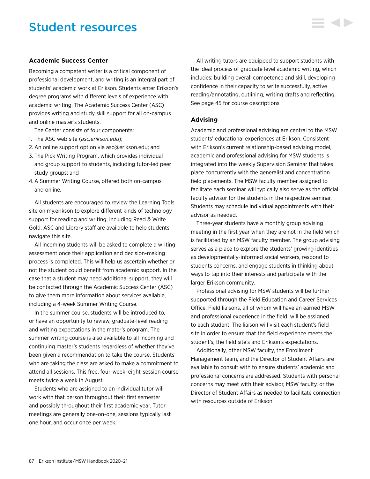# Student resources

# **Academic Success Center**

Becoming a competent writer is a critical component of professional development, and writing is an integral part of students' academic work at Erikson. Students enter Erikson's degree programs with different levels of experience with academic writing. The Academic Success Center (ASC) provides writing and study skill support for all on-campus and online master's students.

The Center consists of four components:

- 1. The ASC web site (*[asc.erikson.edu](http://asc.erikson.edu)*);
- 2. An online support option via [asc@erikson.edu](mailto:asc%40erikson.edu?subject=); and
- 3. The Pick Writing Program, which provides individual and group support to students, including tutor-led peer study groups; and
- 4.A Summer Writing Course, offered both on-campus and online.

All students are encouraged to review the Learning Tools site on my.erikson to explore different kinds of technology support for reading and writing, including Read & Write Gold. ASC and Library staff are available to help students navigate this site.

All incoming students will be asked to complete a writing assessment once their application and decision-making process is completed. This will help us ascertain whether or not the student could benefit from academic support. In the case that a student may need additional support, they will be contacted through the Academic Success Center (ASC) to give them more information about services available, including a 4-week Summer Writing Course.

In the summer course, students will be introduced to, or have an opportunity to review, graduate-level reading and writing expectations in the mater's program. The summer writing course is also available to all incoming and continuing master's students regardless of whether they've been given a recommendation to take the course. Students who are taking the class are asked to make a commitment to attend all sessions. This free, four-week, eight-session course meets twice a week in August.

Students who are assigned to an individual tutor will work with that person throughout their first semester and possibly throughout their first academic year. Tutor meetings are generally one-on-one, sessions typically last one hour, and occur once per week.

All writing tutors are equipped to support students with the ideal process of graduate level academic writing, which includes: building overall competence and skill, developing confidence in their capacity to write successfully, active reading/annotating, outlining, writing drafts and reflecting. [See page 45 for course descriptions.](#page-45-0)

E GID

#### **Advising**

Academic and professional advising are central to the MSW students' educational experiences at Erikson. Consistent with Erikson's current relationship-based advising model, academic and professional advising for MSW students is integrated into the weekly Supervision Seminar that takes place concurrently with the generalist and concentration field placements. The MSW faculty member assigned to facilitate each seminar will typically also serve as the official faculty advisor for the students in the respective seminar. Students may schedule individual appointments with their advisor as needed.

Three-year students have a monthly group advising meeting in the first year when they are not in the field which is facilitated by an MSW faculty member. The group advising serves as a place to explore the students' growing identities as developmentally-informed social workers, respond to students concerns, and engage students in thinking about ways to tap into their interests and participate with the larger Erikson community.

Professional advising for MSW students will be further supported through the Field Education and Career Services Office. Field liaisons, all of whom will have an earned MSW and professional experience in the field, will be assigned to each student. The liaison will visit each student's field site in order to ensure that the field experience meets the student's, the field site's and Erikson's expectations.

Additionally, other MSW faculty, the Enrollment Management team, and the Director of Student Affairs are available to consult with to ensure students' academic and professional concerns are addressed. Students with personal concerns may meet with their advisor, MSW faculty, or the Director of Student Affairs as needed to facilitate connection with resources outside of Erikson.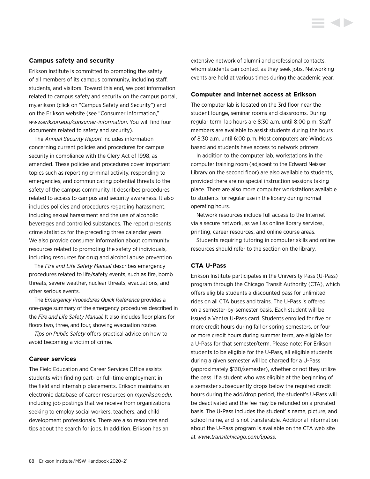#### **Campus safety and security**

Erikson Institute is committed to promoting the safety of all members of its campus community, including staff, students, and visitors. Toward this end, we post information related to campus safety and security on the campus portal, my.erikson (click on "Campus Safety and Security") and on the Erikson website (see "Consumer Information," *[www.erikson.edu/consumer-information](http://www.erikson.edu/consumer-information)*. You will find four documents related to safety and security).

The *Annual Security Report* includes information concerning current policies and procedures for campus security in compliance with the Clery Act of 1998, as amended. These policies and procedures cover important topics such as reporting criminal activity, responding to emergencies, and communicating potential threats to the safety of the campus community. It describes procedures related to access to campus and security awareness. It also includes policies and procedures regarding harassment, including sexual harassment and the use of alcoholic beverages and controlled substances. The report presents crime statistics for the preceding three calendar years. We also provide consumer information about community resources related to promoting the safety of individuals, including resources for drug and alcohol abuse prevention.

The *Fire and Life Safety Manual* describes emergency procedures related to life/safety events, such as fire, bomb threats, severe weather, nuclear threats, evacuations, and other serious events.

The *Emergency Procedures Quick Reference* provides a one-page summary of the emergency procedures described in the *Fire and Life Safety Manual.* It also includes floor plans for floors two, three, and four, showing evacuation routes.

*Tips on Public Safety* offers practical advice on how to avoid becoming a victim of crime.

### **Career services**

The Field Education and Career Services Office assists students with finding part- or full-time employment in the field and internship placements. Erikson maintains an electronic database of career resources on *my.erikson.edu*, including job postings that we receive from organizations seeking to employ social workers, teachers, and child development professionals. There are also resources and tips about the search for jobs. In addition, Erikson has an

extensive network of alumni and professional contacts, whom students can contact as they seek jobs. Networking events are held at various times during the academic year.

#### **Computer and Internet access at Erikson**

The computer lab is located on the 3rd floor near the student lounge, seminar rooms and classrooms. During regular term, lab hours are 8:30 a.m. until 8:00 p.m. Staff members are available to assist students during the hours of 8:30 a.m. until 6:00 p.m. Most computers are Windows based and students have access to network printers.

In addition to the computer lab, workstations in the computer training room (adjacent to the Edward Neisser Library on the second floor) are also available to students, provided there are no special instruction sessions taking place. There are also more computer workstations available to students for regular use in the library during normal operating hours.

Network resources include full access to the Internet via a secure network, as well as online library services, printing, career resources, and online course areas.

Students requiring tutoring in computer skills and online resources should refer to the section on the library.

## **CTA U-Pass**

Erikson Institute participates in the University Pass (U-Pass) program through the Chicago Transit Authority (CTA), which offers eligible students a discounted pass for unlimited rides on all CTA buses and trains. The U-Pass is offered on a semester-by-semester basis. Each student will be issued a Ventra U-Pass card. Students enrolled for five or more credit hours during fall or spring semesters, or four or more credit hours during summer term, are eligible for a U-Pass for that semester/term. Please note: For Erikson students to be eligible for the U-Pass, all eligible students during a given semester will be charged for a U-Pass (approximately \$130/semester), whether or not they utilize the pass. If a student who was eligible at the beginning of a semester subsequently drops below the required credit hours during the add/drop period, the student's U-Pass will be deactivated and the fee may be refunded on a prorated basis. The U-Pass includes the student' s name, picture, and school name, and is not transferable. Additional information about the U-Pass program is available on the CTA web site at *[www.transitchicago.com/upass](http://www.transitchicago.com/upass)*.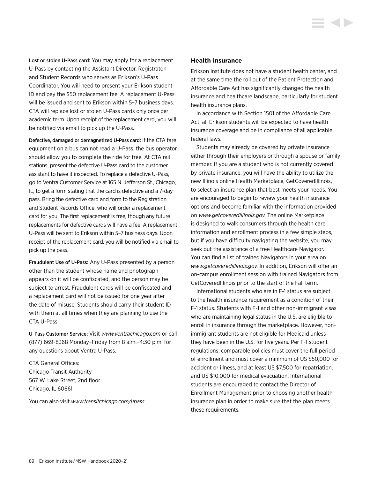Lost or stolen U-Pass card: You may apply for a replacement U-Pass by contacting the Assistant Director, Registraton and Student Records who serves as Erikson's U-Pass Coordinator. You will need to present your Erikson student ID and pay the \$50 replacement fee. A replacement U-Pass will be issued and sent to Erikson within 5–7 business days. CTA will replace lost or stolen U-Pass cards only once per academic term. Upon receipt of the replacement card, you will be notified via email to pick up the U-Pass.

Defective, damaged or demagnetized U-Pass card: If the CTA fare equipment on a bus can not read a U-Pass, the bus operator should allow you to complete the ride for free. At CTA rail stations, present the defective U-Pass card to the customer assistant to have it inspected. To replace a defective U-Pass, go to Ventra Customer Service at 165 N. Jefferson St., Chicago, IL, to get a form stating that the card is defective and a 7-day pass. Bring the defective card and form to the Registration and Student Records Office, who will order a replacement card for you. The first replacement is free, though any future replacements for defective cards will have a fee. A replacement U-Pass will be sent to Erikson within 5–7 business days. Upon receipt of the replacement card, you will be notified via email to pick up the pass.

Fraudulent Use of U-Pass: Any U-Pass presented by a person other than the student whose name and photograph appears on it will be confiscated, and the person may be subject to arrest. Fraudulent cards will be confiscated and a replacement card will not be issued for one year after the date of misuse. Students should carry their student ID with them at all times when they are planning to use the CTA U-Pass.

U-Pass Customer Service: Visit *[www.ventrachicago.com](http://www.ventrachicago.com)* or call (877) 669-8368 Monday–Friday from 8 a.m.–4:30 p.m. for any questions about Ventra U-Pass.

CTA General Offices: Chicago Transit Authority 567 W. Lake Street, 2nd floor Chicago, IL 60661

You can also visit *[www.transitchicago.com/upass](http://www.transitchicago.com/upass)*

# **Health insurance**

Erikson Institute does not have a student health center, and at the same time the roll out of the Patient Protection and Affordable Care Act has significantly changed the health insurance and healthcare landscape, particularly for student health insurance plans.

In accordance with Section 1501 of the Affordable Care Act, all Erikson students will be expected to have health insurance coverage and be in compliance of all applicable federal laws.

Students may already be covered by private insurance either through their employers or through a spouse or family member. If you are a student who is not currently covered by private insurance, you will have the ability to utilize the new Illinois online Health Marketplace, GetCoveredIllinois, to select an insurance plan that best meets your needs. You are encouraged to begin to review your health insurance options and become familiar with the information provided on *[www.getcoveredillinois.gov.](www.getcoveredillinois.gov)* The online Marketplace is designed to walk consumers through the health care information and enrollment process in a few simple steps, but if you have difficulty navigating the website, you may seek out the assistance of a free Healthcare Navigator. You can find a list of trained Navigators in your area on *<www.getcoveredillinois.gov>.* In addition, Erikson will offer an on-campus enrollment session with trained Navigators from GetCoveredIllinois prior to the start of the Fall term.

International students who are in F-1 status are subject to the health insurance requirement as a condition of their F-1 status. Students with F-1 and other non-immigrant visas who are maintaining legal status in the U.S. are eligible to enroll in insurance through the marketplace. However, nonimmigrant students are not eligible for Medicaid unless they have been in the U.S. for five years. Per F-1 student regulations, comparable policies must cover the full period of enrollment and must cover a minimum of US \$50,000 for accident or illness, and at least US \$7,500 for repatriation, and US \$10,000 for medical evacuation. International students are encouraged to contact the Director of Enrollment Management prior to choosing another health insurance plan in order to make sure that the plan meets these requirements.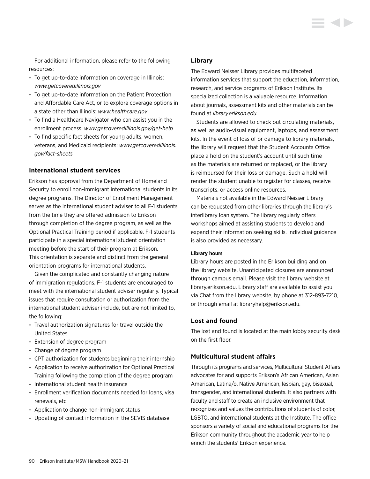For additional information, please refer to the following resources:

- To get up-to-date information on coverage in Illinois: *<www.getcoveredillinois.gov>*
- To get up-to-date information on the Patient Protection and Affordable Care Act, or to explore coverage options in a state other than Illinois: *[www.healthcare.gov](http://www.healthcare.gov)*
- To find a Healthcare Navigator who can assist you in the enrollment process: *[www.getcoveredillinois.gov/get-help](http://www.getcoveredillinois.gov/get-help)*
- To find specific fact sheets for young adults, women, veterans, and Medicaid recipients: *[www.getcoveredillinois.](http://www.getcoveredillinois.gov/fact-sheets) [gov/fact-sheets](http://www.getcoveredillinois.gov/fact-sheets)*

#### **International student services**

Erikson has approval from the Department of Homeland Security to enroll non-immigrant international students in its degree programs. The Director of Enrollment Management serves as the international student adviser to all F-1 students from the time they are offered admission to Erikson through completion of the degree program, as well as the Optional Practical Training period if applicable. F-1 students participate in a special international student orientation meeting before the start of their program at Erikson. This orientation is separate and distinct from the general orientation programs for international students.

Given the complicated and constantly changing nature of immigration regulations, F-1 students are encouraged to meet with the international student adviser regularly. Typical issues that require consultation or authorization from the international student adviser include, but are not limited to, the following:

- Travel authorization signatures for travel outside the United States
- Extension of degree program
- Change of degree program
- CPT authorization for students beginning their internship
- Application to receive authorization for Optional Practical Training following the completion of the degree program
- International student health insurance
- Enrollment verification documents needed for loans, visa renewals, etc.
- Application to change non-immigrant status
- Updating of contact information in the SEVIS database

#### **Library**

The Edward Neisser Library provides multifaceted information services that support the education, information, research, and service programs of Erikson Institute. Its specialized collection is a valuable resource. Information about journals, assessment kits and other materials can be found at *[library.erikson.edu](http://library.erikson.edu).*

Students are allowed to check out circulating materials, as well as audio-visual equipment, laptops, and assessment kits. In the event of loss of or damage to library materials, the library will request that the Student Accounts Office place a hold on the student's account until such time as the materials are returned or replaced, or the library is reimbursed for their loss or damage. Such a hold will render the student unable to register for classes, receive transcripts, or access online resources.

Materials not available in the Edward Neisser Library can be requested from other libraries through the library's interlibrary loan system. The library regularly offers workshops aimed at assisting students to develop and expand their information seeking skills. Individual guidance is also provided as necessary.

#### **Library hours**

Library hours are posted in the Erikson building and on the library website. Unanticipated closures are announced through campus email. Please visit the library website at [library.erikson.edu](http://library.erikson.edu). Library staff are available to assist you via Chat from the library website, by phone at 312-893-7210, or through email at [libraryhelp@erikson.edu.](mailto:libraryhelp%40erikson.edu?subject=)

#### **Lost and found**

The lost and found is located at the main lobby security desk on the first floor.

### **Multicultural student affairs**

Through its programs and services, Multicultural Student Affairs advocates for and supports Erikson's African American, Asian American, Latina/o, Native American, lesbian, gay, bisexual, transgender, and international students. It also partners with faculty and staff to create an inclusive environment that recognizes and values the contributions of students of color, LGBTQ, and international students at the Institute. The office sponsors a variety of social and educational programs for the Erikson community throughout the academic year to help enrich the students' Erikson experience.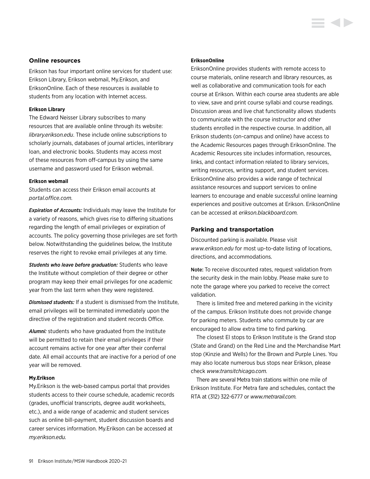#### **Online resources**

Erikson has four important online services for student use: Erikson Library, Erikson webmail, My.Erikson, and EriksonOnline. Each of these resources is available to students from any location with Internet access.

### **Erikson Library**

The Edward Neisser Library subscribes to many resources that are available online through its website: *[library.erikson.edu](http://library.erikson.edu)*. These include online subscriptions to scholarly journals, databases of journal articles, interlibrary loan, and electronic books. Students may access most of these resources from off-campus by using the same username and password used for Erikson webmail.

#### **Erikson webmail**

Students can access their Erikson email accounts at *[portal.office.com](http://portal.office.com).*

*Expiration of Accounts:* Individuals may leave the Institute for a variety of reasons, which gives rise to differing situations regarding the length of email privileges or expiration of accounts. The policy governing those privileges are set forth below. Notwithstanding the guidelines below, the Institute reserves the right to revoke email privileges at any time.

*Students who leave before graduation:* Students who leave the Institute without completion of their degree or other program may keep their email privileges for one academic year from the last term when they were registered.

*Dismissed students:* If a student is dismissed from the Institute, email privileges will be terminated immediately upon the directive of the registration and student records Office.

*Alumni:* students who have graduated from the Institute will be permitted to retain their email privileges if their account remains active for one year after their conferral date. All email accounts that are inactive for a period of one year will be removed.

#### **My.Erikson**

My.Erikson is the web-based campus portal that provides students access to their course schedule, academic records (grades, unofficial transcripts, degree audit worksheets, etc.), and a wide range of academic and student services such as online bill-payment, student discussion boards and career services information. My.Erikson can be accessed at *my.erikson.edu.*

#### **EriksonOnline**

EriksonOnline provides students with remote access to course materials, online research and library resources, as well as collaborative and communication tools for each course at Erikson. Within each course area students are able to view, save and print course syllabi and course readings. Discussion areas and live chat functionality allows students to communicate with the course instructor and other students enrolled in the respective course. In addition, all Erikson students (on-campus and online) have access to the Academic Resources pages through EriksonOnline. The Academic Resources site includes information, resources, links, and contact information related to library services, writing resources, writing support, and student services. EriksonOnline also provides a wide range of technical assistance resources and support services to online learners to encourage and enable successful online learning experiences and positive outcomes at Erikson. EriksonOnline can be accessed at *[erikson.blackboard.com](http://erikson.blackboard.com).*

#### **Parking and transportation**

Discounted parking is available. Please visit *www.erikson.edu* for most up-to-date listing of locations, directions, and accommodations.

Note: To receive discounted rates, request validation from the security desk in the main lobby. Please make sure to note the garage where you parked to receive the correct validation.

There is limited free and metered parking in the vicinity of the campus. Erikson Institute does not provide change for parking meters. Students who commute by car are encouraged to allow extra time to find parking.

The closest El stops to Erikson Institute is the Grand stop (State and Grand) on the Red Line and the Merchandise Mart stop (Kinzie and Wells) for the Brown and Purple Lines. You may also locate numerous bus stops near Erikson, please check *[www.transitchicago.com.](http://www.transitchicago.com)*

There are several Metra train stations within one mile of Erikson Institute. For Metra fare and schedules, contact the RTA at (312) 322-6777 or *[www.metrarail.com](http://www.metrarail.com).*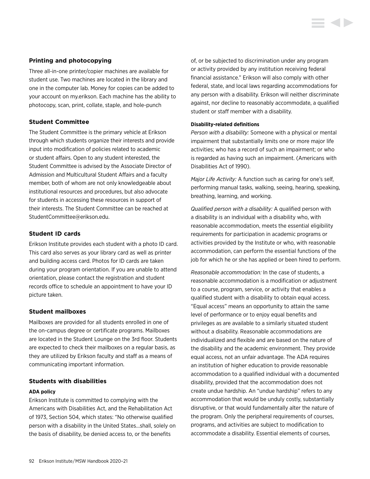# **Printing and photocopying**

Three all-in-one printer/copier machines are available for student use. Two machines are located in the library and one in the computer lab. Money for copies can be added to your account on my.erikson. Each machine has the ability to photocopy, scan, print, collate, staple, and hole-punch

# **Student Committee**

The Student Committee is the primary vehicle at Erikson through which students organize their interests and provide input into modification of policies related to academic or student affairs. Open to any student interested, the Student Committee is advised by the Associate Director of Admission and Multicultural Student Affairs and a faculty member, both of whom are not only knowledgeable about institutional resources and procedures, but also advocate for students in accessing these resources in support of their interests. The Student Committee can be reached at [StudentCommittee@erikson.edu](mailto:StudentCommittee%40erikson.edu?subject=).

# **Student ID cards**

Erikson Institute provides each student with a photo ID card. This card also serves as your library card as well as printer and building access card. Photos for ID cards are taken during your program orientation. If you are unable to attend orientation, please contact the registration and student records office to schedule an appointment to have your ID picture taken.

# **Student mailboxes**

Mailboxes are provided for all students enrolled in one of the on-campus degree or certificate programs. Mailboxes are located in the Student Lounge on the 3rd floor. Students are expected to check their mailboxes on a regular basis, as they are utilized by Erikson faculty and staff as a means of communicating important information.

# **Students with disabilities**

#### **ADA policy**

Erikson Institute is committed to complying with the Americans with Disabilities Act, and the Rehabilitation Act of 1973, Section 504, which states: "No otherwise qualified person with a disability in the United States…shall, solely on the basis of disability, be denied access to, or the benefits

of, or be subjected to discrimination under any program or activity provided by any institution receiving federal financial assistance." Erikson will also comply with other federal, state, and local laws regarding accommodations for any person with a disability. Erikson will neither discriminate against, nor decline to reasonably accommodate, a qualified student or staff member with a disability.

#### **Disability-related definitions**

*Person with a disability:* Someone with a physical or mental impairment that substantially limits one or more major life activities; who has a record of such an impairment; or who is regarded as having such an impairment. (Americans with Disabilities Act of 1990).

*Major Life Activity:* A function such as caring for one's self, performing manual tasks, walking, seeing, hearing, speaking, breathing, learning, and working.

*Qualified person with a disability:* A qualified person with a disability is an individual with a disability who, with reasonable accommodation, meets the essential eligibility requirements for participation in academic programs or activities provided by the Institute or who, with reasonable accommodation, can perform the essential functions of the job for which he or she has applied or been hired to perform.

*Reasonable accommodation:* In the case of students, a reasonable accommodation is a modification or adjustment to a course, program, service, or activity that enables a qualified student with a disability to obtain equal access. "Equal access" means an opportunity to attain the same level of performance or to enjoy equal benefits and privileges as are available to a similarly situated student without a disability. Reasonable accommodations are individualized and flexible and are based on the nature of the disability and the academic environment. They provide equal access, not an unfair advantage. The ADA requires an institution of higher education to provide reasonable accommodation to a qualified individual with a documented disability, provided that the accommodation does not create undue hardship. An "undue hardship" refers to any accommodation that would be unduly costly, substantially disruptive, or that would fundamentally alter the nature of the program. Only the peripheral requirements of courses, programs, and activities are subject to modification to accommodate a disability. Essential elements of courses,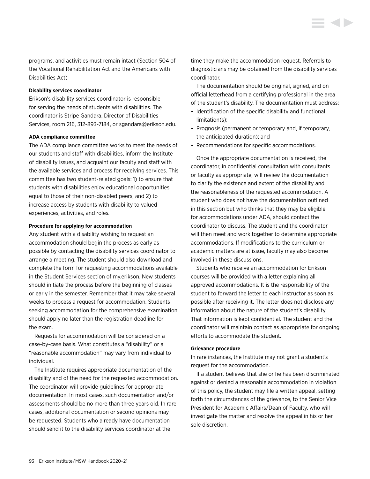programs, and activities must remain intact (Section 504 of the Vocational Rehabilitation Act and the Americans with Disabilities Act)

#### **Disability services coordinator**

Erikson's disability services coordinator is responsible for serving the needs of students with disabilities. The coordinator is Stripe Gandara, Director of Disabilities Services, room 216, 312-893-7184, or [sgandara@erikson.edu.](mailto:sgandara%40erikson.edu?subject=)

#### **ADA compliance committee**

The ADA compliance committee works to meet the needs of our students and staff with disabilities, inform the Institute of disability issues, and acquaint our faculty and staff with the available services and process for receiving services. This committee has two student-related goals: 1) to ensure that students with disabilities enjoy educational opportunities equal to those of their non-disabled peers; and 2) to increase access by students with disability to valued experiences, activities, and roles.

### **Procedure for applying for accommodation**

Any student with a disability wishing to request an accommodation should begin the process as early as possible by contacting the disability services coordinator to arrange a meeting. The student should also download and complete the form for requesting accommodations available in the Student Services section of my.erikson. New students should initiate the process before the beginning of classes or early in the semester. Remember that it may take several weeks to process a request for accommodation. Students seeking accommodation for the comprehensive examination should apply no later than the registration deadline for the exam.

Requests for accommodation will be considered on a case-by-case basis. What constitutes a "disability" or a "reasonable accommodation" may vary from individual to individual.

The Institute requires appropriate documentation of the disability and of the need for the requested accommodation. The coordinator will provide guidelines for appropriate documentation. In most cases, such documentation and/or assessments should be no more than three years old. In rare cases, additional documentation or second opinions may be requested. Students who already have documentation should send it to the disability services coordinator at the

time they make the accommodation request. Referrals to diagnosticians may be obtained from the disability services coordinator.

The documentation should be original, signed, and on official letterhead from a certifying professional in the area of the student's disability. The documentation must address:

- Identification of the specific disability and functional limitation(s);
- Prognosis (permanent or temporary and, if temporary, the anticipated duration); and
- Recommendations for specific accommodations.

Once the appropriate documentation is received, the coordinator, in confidential consultation with consultants or faculty as appropriate, will review the documentation to clarify the existence and extent of the disability and the reasonableness of the requested accommodation. A student who does not have the documentation outlined in this section but who thinks that they may be eligible for accommodations under ADA, should contact the coordinator to discuss. The student and the coordinator will then meet and work together to determine appropriate accommodations. If modifications to the curriculum or academic matters are at issue, faculty may also become involved in these discussions.

Students who receive an accommodation for Erikson courses will be provided with a letter explaining all approved accommodations. It is the responsibility of the student to forward the letter to each instructor as soon as possible after receiving it. The letter does not disclose any information about the nature of the student's disability. That information is kept confidential. The student and the coordinator will maintain contact as appropriate for ongoing efforts to accommodate the student.

#### **Grievance procedure**

In rare instances, the Institute may not grant a student's request for the accommodation.

If a student believes that she or he has been discriminated against or denied a reasonable accommodation in violation of this policy, the student may file a written appeal, setting forth the circumstances of the grievance, to the Senior Vice President for Academic Affairs/Dean of Faculty, who will investigate the matter and resolve the appeal in his or her sole discretion.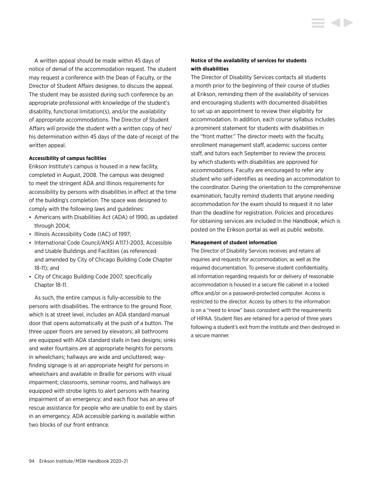A written appeal should be made within 45 days of notice of denial of the accommodation request. The student may request a conference with the Dean of Faculty, or the Director of Student Affairs designee, to discuss the appeal. The student may be assisted during such conference by an appropriate professional with knowledge of the student's disability, functional limitation(s), and/or the availability of appropriate accommodations. The Director of Student Affairs will provide the student with a written copy of her/ his determination within 45 days of the date of receipt of the written appeal.

#### **Accessibility of campus facilities**

Erikson Institute's campus is housed in a new facility, completed in August, 2008. The campus was designed to meet the stringent ADA and Illinois requirements for accessibility by persons with disabilities in effect at the time of the building's completion. The space was designed to comply with the following laws and guidelines:

- Americans with Disabilities Act (ADA) of 1990, as updated through 2004;
- Illinois Accessibility Code (IAC) of 1997;
- International Code Council/ANSI A117.1-2003, Accessible and Usable Buildings and Facilities (as referenced and amended by City of Chicago Building Code Chapter 18-11); and
- City of Chicago Building Code 2007, specifically Chapter 18-11.

As such, the entire campus is fully-accessible to the persons with disabilities. The entrance to the ground floor, which is at street level, includes an ADA standard manual door that opens automatically at the push of a button. The three upper floors are served by elevators; all bathrooms are equipped with ADA standard stalls in two designs; sinks and water fountains are at appropriate heights for persons in wheelchairs; hallways are wide and uncluttered; wayfinding signage is at an appropriate height for persons in wheelchairs and available in Braille for persons with visual impairment; classrooms, seminar rooms, and hallways are equipped with strobe lights to alert persons with hearing impairment of an emergency; and each floor has an area of rescue assistance for people who are unable to exit by stairs in an emergency. ADA accessible parking is available within two blocks of our front entrance.

# **Notice of the availability of services for students with disabilities**

The Director of Disability Services contacts all students a month prior to the beginning of their course of studies at Erikson, reminding them of the availability of services and encouraging students with documented disabilities to set up an appointment to review their eligibility for accommodation. In addition, each course syllabus includes a prominent statement for students with disabilities in the "front matter." The director meets with the faculty, enrollment management staff, academic success center staff, and tutors each September to review the process by which students with disabilities are approved for accommodations. Faculty are encouraged to refer any student who self-identifies as needing an accommodation to the coordinator. During the orientation to the comprehensive examination, faculty remind students that anyone needing accommodation for the exam should to request it no later than the deadline for registration. Policies and procedures for obtaining services are included in the *Handbook*, which is posted on the Erikson portal as well as public website.

#### **Management of student information**

The Director of Disability Services receives and retains all inquiries and requests for accommodation, as well as the required documentation. To preserve student confidentiality, all information regarding requests for or delivery of reasonable accommodation is housed in a secure file cabinet in a locked office and/or on a password-protected computer. Access is restricted to the director. Access by others to the information is on a "need to know" basis consistent with the requirements of HIPAA. Student files are retained for a period of three years following a student's exit from the Institute and then destroyed in a secure manner.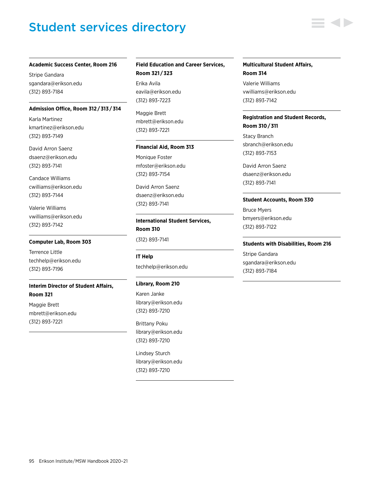# Student services directory

#### **Academic Success Center, Room 216**

Stripe Gandara [sgandara@erikson.edu](mailto:sgandara%40erikson.edu?subject=) (312) 893-7184

#### **Admission Office, Room 312 / 313 / 314**

Karla Martinez kmartinez@erikson.edu (312) 893-7149

David Arron Saenz [dsaenz@erikson.edu](mailto:dsaenz%40erikson.edu?subject=) (312) 893-7141

Candace Williams [cwilliams@erikson.edu](mailto:cwilliams%40erikson.edu?subject=) (312) 893-7144

Valerie Williams [vwilliams@erikson.edu](mailto:vwilliams%40erikson.edu?subject=) (312) 893-7142

#### **Computer Lab, Room 303**

Terrence Little [techhelp@erikson.edu](mailto:techhelp%40erikson.edu?subject=) (312) 893-7196

# **Interim Director of Student Affairs, Room 321**

Maggie Brett [mbrett@erikson.edu](mailto:mbrett%40erikson.edu?subject=) (312) 893-7221

# **Field Education and Career Services, Room 321 / 323**

Erika Avila eavila@erikson.edu (312) 893-7223

Maggie Brett [mbrett@erikson.edu](mailto:mbrett%40erikson.edu?subject=) (312) 893-7221

#### **Financial Aid, Room 313**

Monique Foster mfoster@erikson.edu (312) 893-7154

David Arron Saenz [dsaenz@erikson.edu](mailto:dsaenz%40erikson.edu?subject=) (312) 893-7141

**International Student Services, Room 310** (312) 893-7141

**IT Help** [techhelp@erikson.edu](mailto:techhelp%40erikson.edu?subject=)

#### **Library, Room 210**

Karen Janke [library@erikson.edu](mailto:library%40erikson.edu?subject=) (312) 893-7210

Brittany Poku [library@erikson.edu](mailto:library%40erikson.edu?subject=) (312) 893-7210

Lindsey Sturch [library@erikson.edu](mailto:library%40erikson.edu?subject=) (312) 893-7210

# **Multicultural Student Affairs, Room 314**

Valerie Williams [vwilliams@erikson.edu](mailto:vwilliams%40erikson.edu?subject=) (312) 893-7142

# **Registration and Student Records, Room 310 / 311**

Stacy Branch [sbranch@erikson.edu](mailto:sbranch%40erikson.edu?subject=) (312) 893-7153

David Arron Saenz [dsaenz@erikson.edu](mailto:dsaenz%40erikson.edu?subject=) (312) 893-7141

#### **Student Accounts, Room 330**

Bruce Myers [bmyers@erikson.edu](mailto:bmyers%40erikson.edu%20?subject=)  (312) 893-7122

#### **Students with Disabilities, Room 216**

Stripe Gandara [sgandara@erikson.edu](mailto:sgandara%40erikson.edu?subject=) (312) 893-7184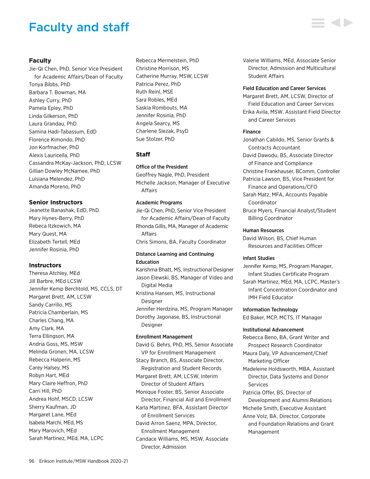# Faculty and staff

# **Faculty**

Jie-Qi Chen, PhD, Senior Vice President for Academic Affairs/Dean of Faculty Tonya Bibbs, PhD Barbara T. Bowman, MA Ashley Curry, PhD Pamela Epley, PhD Linda Gilkerson, PhD Laura Grandau, PhD Samina Hadi-Tabassum, EdD Florence Kimondo, PhD Jon Korfmacher, PhD Alexis Lauricella, PhD Cassandra McKay-Jackson, PhD, LCSW Gillian Dowley McNamee, PhD Luisiana Melendez, PhD Amanda Moreno, PhD

#### **Senior Instructors**

Jeanette Banashak, EdD, PhD Mary Hynes-Berry, PhD Rebeca Itzkowich, MA Mary Quest, MA Elizabeth Tertell, MEd Jennifer Rosinia, PhD

#### **Instructors**

Theresa Atchley, MEd Jill Barbre, MEd LCSW Jennifer Kemp Berchtold, MS, CCLS, DT Margaret Brett, AM, LCSW Sandy Carrillo, MS Patricia Chamberlain, MS Charles Chang, MA Amy Clark, MA Terra Ellingson, MA Andria Goss, MS, MSW Melinda Gronen, MA, LCSW Rebecca Halperin, MS Carey Halsey, MS Robyn Hart, MEd Mary Claire Heffron, PhD Carri Hill, PhD Andrea Hohf, MSCD, LCSW Sherry Kaufman, JD Margaret Lane, MEd Isabela Marchi, MEd, MS Mary Marovich, MEd Sarah Martinez, MEd, MA, LCPC

Rebecca Mermelstein, PhD Christine Morrison, MS Catherine Murray, MSW, LCSW Patricia Perez, PhD Ruth Reinl, MSE Sara Robles, MEd Saskia Rombouts, MA Jennifer Rosinia, PhD Angela Searcy, MS Charlene Slezak, PsyD Sue Stolzer, PhD

# **Staff**

Office of the President

Geoffrey Nagle, PhD, President Michelle Jackson, Manager of Executive Affairs

### Academic Programs

Jie-Qi Chen, PhD, Senior Vice President for Academic Affairs/Dean of Faculty Rhonda Gillis, MA, Manager of Academic Affairs Chris Simons, BA, Faculty Coordinator

## Distance Learning and Continuing Education

Karishma Bhatt, MS, Instructional Designer Jason Elewski, BS, Manager of Video and Digital Media Kristina Hansen, MS, Instructional Designer Jennifer Herdzina, MS, Program Manager Dorothy Jagonase, BS, Instructional Designer

# Enrollment Management

David G. Behrs, PhD, MS, Senior Associate VP for Enrollment Management Stacy Branch, BS, Associate Director, Registration and Student Records Margaret Brett, AM, LCSW, Interim Director of Student Affairs Monique Foster, BS, Senior Associate Director, Financial Aid and Enrollment Karla Martinez, BFA, Assistant Director of Enrollment Services David Arron Saenz, MPA, Director, Enrollment Management Candace Williams, MS, MSW, Associate Director, Admission

Valerie Williams, MEd, Associate Senior Director, Admission and Multicultural Student Affairs

#### Field Education and Career Services

Margaret Brett, AM, LCSW, Director of Field Education and Career Services Erika Avila, MSW, Assistant Field Director and Career Services

#### Finance

Jonathan Cabildo, MS, Senior Grants & Contracts Accountant David Dawodu, BS, Associate Director

of Finance and Compliance

- Christine Frankhauser, BComm, Controller
- Patricia Lawson, BS, Vice President for Finance and Operations/CFO Sarah Matz, MFA, Accounts Payable

Coordinator

Bruce Myers, Financial Analyst/Student Billing Coordinator

### Human Resources

David Wilson, BS, Chief Human Resources and Facilities Officer

### Infant Studies

Jennifer Kemp, MS, Program Manager, Infant Studies Certificate Program

Sarah Martinez, MEd, MA, LCPC, Master's Infant Concentration Coordinator and IMH Field Educator

Information Technology

Ed Baker, MCP, MCTS, IT Manager

#### Institutional Advancement

Rebecca Beno, BA, Grant Writer and Prospect Research Coordinator

Maura Daly, VP Advancement/Chief Marketing Officer

Madeleine Holdsworth, MBA, Assistant Director, Data Systems and Donor Services

Patricia Offer, BS, Director of Development and Alumni Relations

Michelle Smith, Executive Assistant Anne Volz, BA, Director, Corporate and Foundation Relations and Grant Management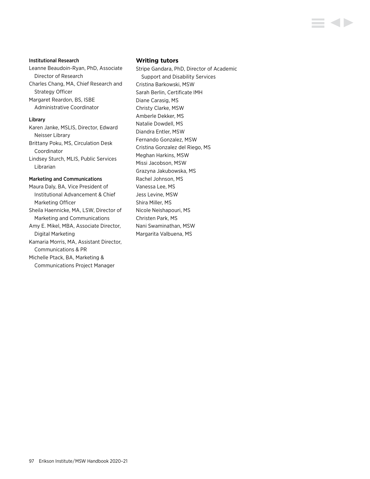#### Institutional Research

Leanne Beaudoin-Ryan, PhD, Associate Director of Research Charles Chang, MA, Chief Research and Strategy Officer Margaret Reardon, BS, ISBE Administrative Coordinator

### Library

Karen Janke, MSLIS, Director, Edward Neisser Library Brittany Poku, MS, Circulation Desk Coordinator Lindsey Sturch, MLIS, Public Services Librarian

#### Marketing and Communications

Maura Daly, BA, Vice President of Institutional Advancement & Chief Marketing Officer Sheila Haennicke, MA, LSW, Director of Marketing and Communications Amy E. Mikel, MBA, Associate Director, Digital Marketing Kamaria Morris, MA, Assistant Director, Communications & PR Michelle Ptack, BA, Marketing & Communications Project Manager

#### **Writing tutors**

Stripe Gandara, PhD, Director of Academic Support and Disability Services Cristina Barkowski, MSW Sarah Berlin, Certificate IMH Diane Carasig, MS Christy Clarke, MSW Amberle Dekker, MS Natalie Dowdell, MS Diandra Entler, MSW Fernando Gonzalez, MSW Cristina Gonzalez del Riego, MS Meghan Harkins, MSW Missi Jacobson, MSW Grazyna Jakubowska, MS Rachel Johnson, MS Vanessa Lee, MS Jess Levine, MSW Shira Miller, MS Nicole Neishapouri, MS Christen Park, MS Nani Swaminathan, MSW Margarita Valbuena, MS